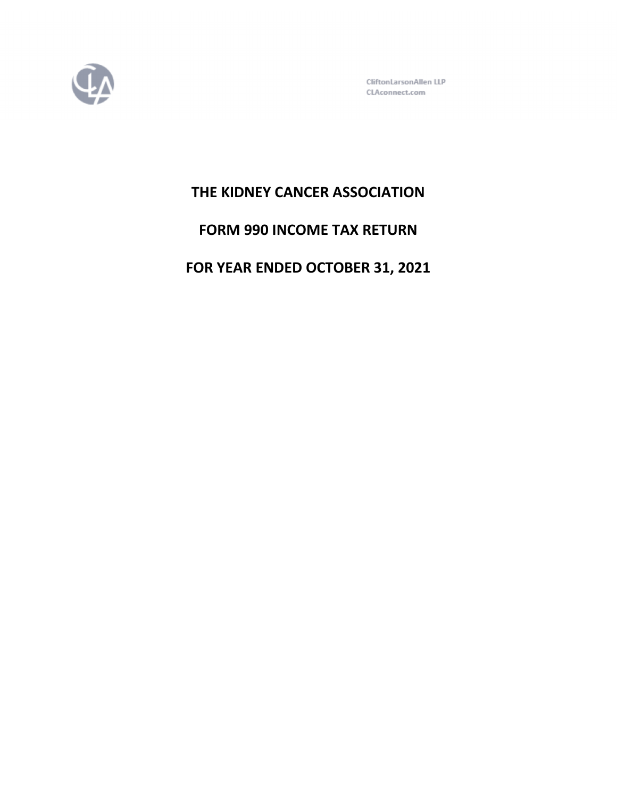

CliftonLarsonAllen LLP CLAconnect.com

# **THE KIDNEY CANCER ASSOCIATION**

# **FORM 990 INCOME TAX RETURN**

# **FOR YEAR ENDED OCTOBER 31, 2021**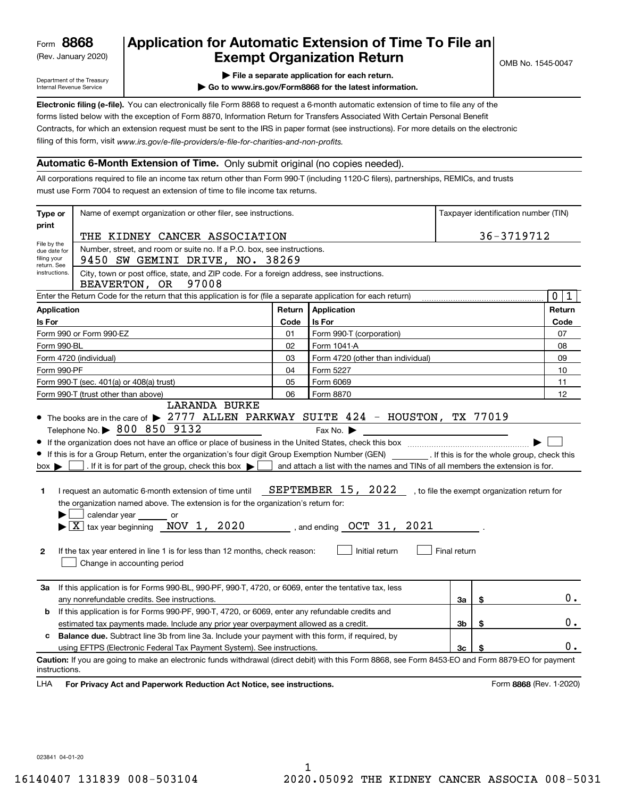(Rev. January 2020)

## **Application for Automatic Extension of Time To File an Exempt Organization Return**

Department of the Treasury Internal Revenue Service

**| File a separate application for each return.**

**| Go to www.irs.gov/Form8868 for the latest information.**

**Electronic filing (e-file).**  You can electronically file Form 8868 to request a 6-month automatic extension of time to file any of the filing of this form, visit www.irs.gov/e-file-providers/e-file-for-charities-and-non-profits. forms listed below with the exception of Form 8870, Information Return for Transfers Associated With Certain Personal Benefit Contracts, for which an extension request must be sent to the IRS in paper format (see instructions). For more details on the electronic

## **Automatic 6-Month Extension of Time.** Only submit original (no copies needed).

All corporations required to file an income tax return other than Form 990-T (including 1120-C filers), partnerships, REMICs, and trusts must use Form 7004 to request an extension of time to file income tax returns.

| Type or                                                                                                                                                                                                                                                | Name of exempt organization or other filer, see instructions.                                                                                                                                                                                                                                                                                                                                                                                                                                                                                                                                                                                 | Taxpayer identification number (TIN) |                                                                                                                                                                  |              |    |                                              |  |  |
|--------------------------------------------------------------------------------------------------------------------------------------------------------------------------------------------------------------------------------------------------------|-----------------------------------------------------------------------------------------------------------------------------------------------------------------------------------------------------------------------------------------------------------------------------------------------------------------------------------------------------------------------------------------------------------------------------------------------------------------------------------------------------------------------------------------------------------------------------------------------------------------------------------------------|--------------------------------------|------------------------------------------------------------------------------------------------------------------------------------------------------------------|--------------|----|----------------------------------------------|--|--|
| print                                                                                                                                                                                                                                                  | THE KIDNEY CANCER ASSOCIATION                                                                                                                                                                                                                                                                                                                                                                                                                                                                                                                                                                                                                 | 36-3719712                           |                                                                                                                                                                  |              |    |                                              |  |  |
| File by the                                                                                                                                                                                                                                            | Number, street, and room or suite no. If a P.O. box, see instructions.                                                                                                                                                                                                                                                                                                                                                                                                                                                                                                                                                                        |                                      |                                                                                                                                                                  |              |    |                                              |  |  |
| due date for<br>filing your<br>return. See                                                                                                                                                                                                             | 9450 SW GEMINI DRIVE, NO. 38269                                                                                                                                                                                                                                                                                                                                                                                                                                                                                                                                                                                                               |                                      |                                                                                                                                                                  |              |    |                                              |  |  |
| City, town or post office, state, and ZIP code. For a foreign address, see instructions.<br>instructions.<br>BEAVERTON, OR<br>97008<br>Enter the Return Code for the return that this application is for (file a separate application for each return) |                                                                                                                                                                                                                                                                                                                                                                                                                                                                                                                                                                                                                                               |                                      |                                                                                                                                                                  |              |    |                                              |  |  |
|                                                                                                                                                                                                                                                        |                                                                                                                                                                                                                                                                                                                                                                                                                                                                                                                                                                                                                                               |                                      |                                                                                                                                                                  |              |    | $\mathbf 0$<br>1                             |  |  |
| Application                                                                                                                                                                                                                                            |                                                                                                                                                                                                                                                                                                                                                                                                                                                                                                                                                                                                                                               | Return                               | Application                                                                                                                                                      |              |    | Return                                       |  |  |
| Is For                                                                                                                                                                                                                                                 |                                                                                                                                                                                                                                                                                                                                                                                                                                                                                                                                                                                                                                               | Code                                 | Is For                                                                                                                                                           |              |    | Code                                         |  |  |
|                                                                                                                                                                                                                                                        | Form 990 or Form 990-EZ                                                                                                                                                                                                                                                                                                                                                                                                                                                                                                                                                                                                                       | 01                                   | Form 990-T (corporation)                                                                                                                                         |              |    | 07                                           |  |  |
| Form 990-BL                                                                                                                                                                                                                                            |                                                                                                                                                                                                                                                                                                                                                                                                                                                                                                                                                                                                                                               | 02                                   | Form 1041-A                                                                                                                                                      |              |    | 08                                           |  |  |
|                                                                                                                                                                                                                                                        | Form 4720 (individual)                                                                                                                                                                                                                                                                                                                                                                                                                                                                                                                                                                                                                        | 03                                   | Form 4720 (other than individual)                                                                                                                                |              |    | 09                                           |  |  |
| Form 990-PF                                                                                                                                                                                                                                            |                                                                                                                                                                                                                                                                                                                                                                                                                                                                                                                                                                                                                                               | 04                                   | Form 5227                                                                                                                                                        |              |    | 10                                           |  |  |
|                                                                                                                                                                                                                                                        | Form 990-T (sec. 401(a) or 408(a) trust)                                                                                                                                                                                                                                                                                                                                                                                                                                                                                                                                                                                                      | 05                                   | Form 6069                                                                                                                                                        |              |    | 11                                           |  |  |
|                                                                                                                                                                                                                                                        | Form 990-T (trust other than above)<br><b>LARANDA BURKE</b>                                                                                                                                                                                                                                                                                                                                                                                                                                                                                                                                                                                   | 06                                   | Form 8870                                                                                                                                                        |              |    | 12                                           |  |  |
| $box \blacktriangleright$<br>1<br>$\mathbf{2}$                                                                                                                                                                                                         | Telephone No. > 800 850 9132<br>If this is for a Group Return, enter the organization's four digit Group Exemption Number (GEN) [164]. If this is for the whole group, check this<br>. If it is for part of the group, check this box $\blacktriangleright$<br>I request an automatic 6-month extension of time until<br>the organization named above. The extension is for the organization's return for:<br>calendar year ________ or<br>$\blacktriangleright$ $ \underline{X} $ tax year beginning $\overline{N}$ OV 1, 2020<br>If the tax year entered in line 1 is for less than 12 months, check reason:<br>Change in accounting period |                                      | Fax No.<br>and attach a list with the names and TINs of all members the extension is for.<br>SEPTEMBER 15, 2022<br>, and ending $OCT$ 31, 2021<br>Initial return | Final return |    | , to file the exempt organization return for |  |  |
| За                                                                                                                                                                                                                                                     | If this application is for Forms 990-BL, 990-PF, 990-T, 4720, or 6069, enter the tentative tax, less<br>any nonrefundable credits. See instructions.                                                                                                                                                                                                                                                                                                                                                                                                                                                                                          |                                      |                                                                                                                                                                  | За           | \$ | $0$ .                                        |  |  |
| b                                                                                                                                                                                                                                                      | If this application is for Forms 990-PF, 990-T, 4720, or 6069, enter any refundable credits and                                                                                                                                                                                                                                                                                                                                                                                                                                                                                                                                               |                                      |                                                                                                                                                                  |              |    |                                              |  |  |
|                                                                                                                                                                                                                                                        | estimated tax payments made. Include any prior year overpayment allowed as a credit.                                                                                                                                                                                                                                                                                                                                                                                                                                                                                                                                                          |                                      |                                                                                                                                                                  | Зb           | \$ | 0.                                           |  |  |
| c                                                                                                                                                                                                                                                      | <b>Balance due.</b> Subtract line 3b from line 3a. Include your payment with this form, if required, by                                                                                                                                                                                                                                                                                                                                                                                                                                                                                                                                       |                                      |                                                                                                                                                                  |              |    |                                              |  |  |
| using EFTPS (Electronic Federal Tax Payment System). See instructions.<br>3c<br>\$                                                                                                                                                                     |                                                                                                                                                                                                                                                                                                                                                                                                                                                                                                                                                                                                                                               |                                      |                                                                                                                                                                  |              |    |                                              |  |  |
| instructions.<br>LHA                                                                                                                                                                                                                                   | Caution: If you are going to make an electronic funds withdrawal (direct debit) with this Form 8868, see Form 8453-EO and Form 8879-EO for payment<br>For Privacy Act and Paperwork Reduction Act Notice, see instructions.                                                                                                                                                                                                                                                                                                                                                                                                                   |                                      |                                                                                                                                                                  |              |    | Form 8868 (Rev. 1-2020)                      |  |  |

023841 04-01-20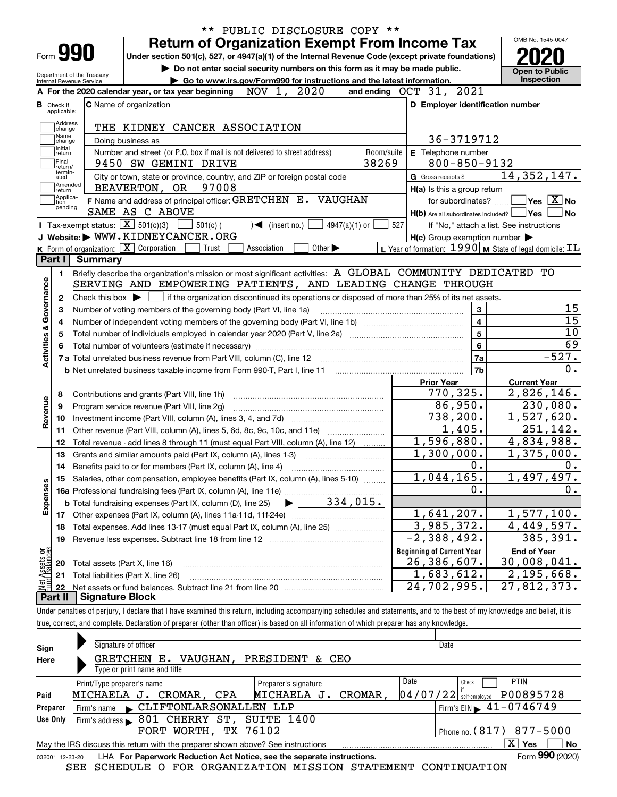| ** PUBLIC DISCLOSURE COPY **                                                                                                                                           |                             |                |                                                                                                                  | OMB No. 1545-0047                                                                                                              |
|------------------------------------------------------------------------------------------------------------------------------------------------------------------------|-----------------------------|----------------|------------------------------------------------------------------------------------------------------------------|--------------------------------------------------------------------------------------------------------------------------------|
| <b>Return of Organization Exempt From Income Tax</b><br>Form 990<br>Under section 501(c), 527, or 4947(a)(1) of the Internal Revenue Code (except private foundations) |                             |                |                                                                                                                  |                                                                                                                                |
| Do not enter social security numbers on this form as it may be made public.                                                                                            |                             |                |                                                                                                                  |                                                                                                                                |
| Department of the Treasury<br>Go to www.irs.gov/Form990 for instructions and the latest information.<br>Internal Revenue Service                                       |                             |                |                                                                                                                  | <b>Open to Public</b><br>Inspection                                                                                            |
| NOV 1, 2020<br>A For the 2020 calendar year, or tax year beginning                                                                                                     |                             |                | and ending OCT 31, 2021                                                                                          |                                                                                                                                |
| C Name of organization<br><b>B</b> Check if<br>applicable:                                                                                                             |                             |                | D Employer identification number                                                                                 |                                                                                                                                |
| Address                                                                                                                                                                |                             |                |                                                                                                                  |                                                                                                                                |
| THE KIDNEY CANCER ASSOCIATION<br>change<br>Name                                                                                                                        |                             |                |                                                                                                                  |                                                                                                                                |
| Doing business as<br>change<br>Initial                                                                                                                                 |                             |                | 36-3719712                                                                                                       |                                                                                                                                |
| Number and street (or P.O. box if mail is not delivered to street address)<br>return<br>Final                                                                          |                             | Room/suite     | E Telephone number                                                                                               |                                                                                                                                |
| 9450 SW GEMINI DRIVE<br>return/<br>termin-                                                                                                                             |                             | 38269          | $800 - 850 - 9132$                                                                                               |                                                                                                                                |
| City or town, state or province, country, and ZIP or foreign postal code<br>ated<br>Amended                                                                            |                             |                | G Gross receipts \$                                                                                              | 14, 352, 147.                                                                                                                  |
| BEAVERTON, OR 97008<br>return<br> Applica-                                                                                                                             |                             |                | H(a) Is this a group return                                                                                      |                                                                                                                                |
| F Name and address of principal officer: GRETCHEN E. VAUGHAN<br>tion<br>pending                                                                                        |                             |                | for subordinates?                                                                                                | $\sqrt{}$ Yes $\sqrt{}$ X $\sqrt{}$ No                                                                                         |
| SAME AS C ABOVE<br>Tax-exempt status: $\boxed{\mathbf{X}}$ 501(c)(3)                                                                                                   |                             |                | $H(b)$ Are all subordinates included? $\Box$ Yes                                                                 | No                                                                                                                             |
| $501(c)$ (<br>$\sqrt{\frac{1}{1}}$ (insert no.)<br>J Website: WWW.KIDNEYCANCER.ORG                                                                                     | $4947(a)(1)$ or             | 527            |                                                                                                                  | If "No," attach a list. See instructions                                                                                       |
| K Form of organization: X Corporation<br>Trust<br>Association                                                                                                          | Other $\blacktriangleright$ |                | $H(c)$ Group exemption number $\blacktriangleright$<br>L Year of formation: 1990   M State of legal domicile: IL |                                                                                                                                |
| Part I<br><b>Summary</b>                                                                                                                                               |                             |                |                                                                                                                  |                                                                                                                                |
| Briefly describe the organization's mission or most significant activities: A GLOBAL COMMUNITY DEDICATED TO<br>1.                                                      |                             |                |                                                                                                                  |                                                                                                                                |
| SERVING AND EMPOWERING PATIENTS, AND LEADING CHANGE THROUGH                                                                                                            |                             |                |                                                                                                                  |                                                                                                                                |
|                                                                                                                                                                        |                             |                |                                                                                                                  |                                                                                                                                |
| Check this box $\blacktriangleright$ $\Box$ if the organization discontinued its operations or disposed of more than 25% of its net assets.<br>2                       |                             |                | 3                                                                                                                | 15                                                                                                                             |
| Number of voting members of the governing body (Part VI, line 1a)<br>з                                                                                                 | $\overline{\mathbf{4}}$     | 15             |                                                                                                                  |                                                                                                                                |
| 4<br>5                                                                                                                                                                 |                             | $\overline{5}$ | 10                                                                                                               |                                                                                                                                |
| Activities & Governance                                                                                                                                                |                             | $\bf{6}$       | 69                                                                                                               |                                                                                                                                |
|                                                                                                                                                                        |                             |                | 7a                                                                                                               | $-527.$                                                                                                                        |
|                                                                                                                                                                        |                             |                | 7b                                                                                                               | 0.                                                                                                                             |
|                                                                                                                                                                        |                             |                | <b>Prior Year</b>                                                                                                | <b>Current Year</b>                                                                                                            |
| Contributions and grants (Part VIII, line 1h)<br>8                                                                                                                     |                             |                | 770,325.                                                                                                         | 2,826,146.                                                                                                                     |
| Revenue<br>Program service revenue (Part VIII, line 2g)<br>9                                                                                                           |                             |                | 86,950.                                                                                                          | 230,080.                                                                                                                       |
| 10                                                                                                                                                                     |                             |                | 738, 200.                                                                                                        | 1,527,620.                                                                                                                     |
| Other revenue (Part VIII, column (A), lines 5, 6d, 8c, 9c, 10c, and 11e)<br>11                                                                                         |                             |                | 1,405.                                                                                                           | $\overline{251}$ , 142.                                                                                                        |
| Total revenue - add lines 8 through 11 (must equal Part VIII, column (A), line 12)<br>12                                                                               |                             |                | 1,596,880.                                                                                                       |                                                                                                                                |
| Grants and similar amounts paid (Part IX, column (A), lines 1-3)<br>13                                                                                                 |                             |                | 1,300,000.                                                                                                       |                                                                                                                                |
| Benefits paid to or for members (Part IX, column (A), line 4)<br>14                                                                                                    |                             |                |                                                                                                                  |                                                                                                                                |
| Salaries, other compensation, employee benefits (Part IX, column (A), lines 5-10)<br>15                                                                                |                             |                |                                                                                                                  |                                                                                                                                |
|                                                                                                                                                                        |                             |                | 0.                                                                                                               |                                                                                                                                |
|                                                                                                                                                                        |                             |                | 1,044,165.<br>$\mathbf 0$ .                                                                                      |                                                                                                                                |
|                                                                                                                                                                        |                             |                |                                                                                                                  |                                                                                                                                |
|                                                                                                                                                                        |                             |                |                                                                                                                  |                                                                                                                                |
|                                                                                                                                                                        |                             |                | 1,641,207.                                                                                                       |                                                                                                                                |
| Total expenses. Add lines 13-17 (must equal Part IX, column (A), line 25) [11, 11, 1201, 1301, 1301, 1301, 130<br>18                                                   |                             |                | 3,985,372.                                                                                                       |                                                                                                                                |
| Revenue less expenses. Subtract line 18 from line 12<br>19                                                                                                             |                             |                | $-2,388,492.$                                                                                                    |                                                                                                                                |
|                                                                                                                                                                        |                             |                | <b>Beginning of Current Year</b>                                                                                 | 4,834,988.<br>$\overline{1,375}$ ,000.<br>0.<br>1,497,497.<br>0.<br>1,577,100.<br>4,449,597.<br>385,391.<br><b>End of Year</b> |
| Expenses<br>Total assets (Part X, line 16)<br>20                                                                                                                       |                             |                | 26,386,607.                                                                                                      | 30,008,041.                                                                                                                    |
| Net Assets or<br>Total liabilities (Part X, line 26)<br>21<br>22                                                                                                       |                             |                | 1,683,612.<br>24,702,995.                                                                                        | 2,195,668.<br>$\overline{27}$ , 812, 373.                                                                                      |

true, correct, and complete. Declaration of preparer (other than officer) is based on all information of which preparer has any knowledge.

| <b>PTIN</b>                                                                                               |  |  |  |  |  |  |  |  |  |
|-----------------------------------------------------------------------------------------------------------|--|--|--|--|--|--|--|--|--|
| P00895728                                                                                                 |  |  |  |  |  |  |  |  |  |
| Firm's EIN $\blacktriangleright$ 41-0746749                                                               |  |  |  |  |  |  |  |  |  |
|                                                                                                           |  |  |  |  |  |  |  |  |  |
| 877-5000<br>Phone no. $(817)$                                                                             |  |  |  |  |  |  |  |  |  |
| ΧI<br><b>No</b><br>Yes<br>May the IRS discuss this return with the preparer shown above? See instructions |  |  |  |  |  |  |  |  |  |
| Form 990 (2020)                                                                                           |  |  |  |  |  |  |  |  |  |
|                                                                                                           |  |  |  |  |  |  |  |  |  |

SEE SCHEDULE O FOR ORGANIZATION MISSION STATEMENT CONTINUATION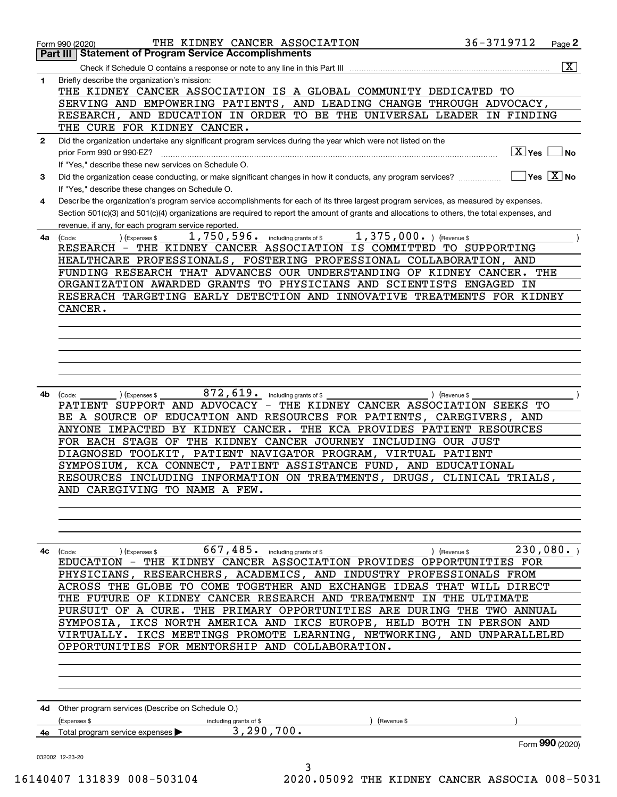|                  | 36-3719712<br>THE KIDNEY CANCER ASSOCIATION<br>Form 990 (2020)<br>Part III Statement of Program Service Accomplishments                      |                                     | Page 2                  |
|------------------|----------------------------------------------------------------------------------------------------------------------------------------------|-------------------------------------|-------------------------|
|                  |                                                                                                                                              |                                     | $\overline{\mathbf{X}}$ |
|                  |                                                                                                                                              |                                     |                         |
| 1                | Briefly describe the organization's mission:<br>THE KIDNEY CANCER ASSOCIATION IS A GLOBAL COMMUNITY DEDICATED TO                             |                                     |                         |
|                  | SERVING AND EMPOWERING PATIENTS, AND LEADING CHANGE THROUGH ADVOCACY,                                                                        |                                     |                         |
|                  | RESEARCH, AND EDUCATION IN ORDER TO BE THE UNIVERSAL LEADER IN FINDING                                                                       |                                     |                         |
|                  | THE CURE FOR KIDNEY CANCER.                                                                                                                  |                                     |                         |
| $\mathbf{2}$     | Did the organization undertake any significant program services during the year which were not listed on the                                 |                                     |                         |
|                  | prior Form 990 or 990-EZ?                                                                                                                    | $\boxed{\text{X}}$ Yes $\boxed{\ }$ | ∣No                     |
|                  | If "Yes," describe these new services on Schedule O.                                                                                         |                                     |                         |
| 3                | Did the organization cease conducting, or make significant changes in how it conducts, any program services?                                 | $\sqrt{Y}$ es $\boxed{X}$ No        |                         |
|                  | If "Yes," describe these changes on Schedule O.                                                                                              |                                     |                         |
| 4                | Describe the organization's program service accomplishments for each of its three largest program services, as measured by expenses.         |                                     |                         |
|                  | Section 501(c)(3) and 501(c)(4) organizations are required to report the amount of grants and allocations to others, the total expenses, and |                                     |                         |
|                  | revenue, if any, for each program service reported.                                                                                          |                                     |                         |
| 4a               | $1,750,596$ . including grants of \$<br>$1,375,000.$ ) (Revenue \$<br>) (Expenses \$<br>(Code:                                               |                                     |                         |
|                  | RESEARCH - THE KIDNEY CANCER ASSOCIATION IS COMMITTED TO SUPPORTING                                                                          |                                     |                         |
|                  | HEALTHCARE PROFESSIONALS, FOSTERING PROFESSIONAL COLLABORATION, AND                                                                          |                                     |                         |
|                  | FUNDING RESEARCH THAT ADVANCES OUR UNDERSTANDING OF KIDNEY CANCER. THE                                                                       |                                     |                         |
|                  | ORGANIZATION AWARDED GRANTS TO PHYSICIANS AND SCIENTISTS ENGAGED IN                                                                          |                                     |                         |
|                  | RESERACH TARGETING EARLY DETECTION AND INNOVATIVE TREATMENTS FOR KIDNEY                                                                      |                                     |                         |
|                  | CANCER.                                                                                                                                      |                                     |                         |
|                  |                                                                                                                                              |                                     |                         |
|                  |                                                                                                                                              |                                     |                         |
|                  |                                                                                                                                              |                                     |                         |
|                  |                                                                                                                                              |                                     |                         |
|                  |                                                                                                                                              |                                     |                         |
|                  |                                                                                                                                              |                                     |                         |
| 4b l             | $872, 619$ including grants of \$<br>(Expenses \$<br>(Code:<br>) (Revenue \$                                                                 |                                     |                         |
|                  | PATIENT SUPPORT AND ADVOCACY - THE KIDNEY CANCER ASSOCIATION SEEKS TO                                                                        |                                     |                         |
|                  | BE A SOURCE OF EDUCATION AND RESOURCES FOR PATIENTS, CAREGIVERS, AND                                                                         |                                     |                         |
|                  |                                                                                                                                              |                                     |                         |
|                  | ANYONE IMPACTED BY KIDNEY CANCER. THE KCA PROVIDES PATIENT RESOURCES                                                                         |                                     |                         |
|                  | FOR EACH STAGE OF THE KIDNEY CANCER JOURNEY INCLUDING OUR JUST                                                                               |                                     |                         |
|                  | DIAGNOSED TOOLKIT, PATIENT NAVIGATOR PROGRAM, VIRTUAL PATIENT                                                                                |                                     |                         |
|                  | SYMPOSIUM, KCA CONNECT, PATIENT ASSISTANCE FUND, AND EDUCATIONAL                                                                             |                                     |                         |
|                  | RESOURCES INCLUDING INFORMATION ON TREATMENTS, DRUGS, CLINICAL TRIALS,                                                                       |                                     |                         |
|                  | AND CAREGIVING TO NAME A FEW.                                                                                                                |                                     |                         |
|                  |                                                                                                                                              |                                     |                         |
|                  |                                                                                                                                              |                                     |                         |
|                  |                                                                                                                                              |                                     |                         |
|                  |                                                                                                                                              |                                     |                         |
|                  | 667, 485.<br>including grants of \$<br>(Code:<br>Expenses \$<br>(Revenue \$                                                                  | 230,080.                            |                         |
|                  | THE KIDNEY CANCER ASSOCIATION PROVIDES OPPORTUNITIES FOR<br>EDUCATION -                                                                      |                                     |                         |
|                  | PHYSICIANS, RESEARCHERS, ACADEMICS, AND INDUSTRY PROFESSIONALS FROM                                                                          |                                     |                         |
|                  | GLOBE TO COME TOGETHER AND EXCHANGE IDEAS THAT<br>ACROSS THE<br>WILL DIRECT                                                                  |                                     |                         |
|                  | <b>THE FUTURE</b><br>OF KIDNEY CANCER RESEARCH AND TREATMENT<br>IN THE<br>ULTIMATE                                                           |                                     |                         |
|                  | PURSUIT OF A CURE. THE PRIMARY OPPORTUNITIES ARE DURING THE TWO ANNUAL                                                                       |                                     |                         |
|                  | SYMPOSIA, IKCS NORTH AMERICA AND IKCS EUROPE, HELD BOTH IN PERSON AND                                                                        |                                     |                         |
|                  | VIRTUALLY. IKCS MEETINGS PROMOTE LEARNING, NETWORKING, AND UNPARALLELED                                                                      |                                     |                         |
|                  | OPPORTUNITIES FOR MENTORSHIP AND COLLABORATION.                                                                                              |                                     |                         |
|                  |                                                                                                                                              |                                     |                         |
|                  |                                                                                                                                              |                                     |                         |
|                  |                                                                                                                                              |                                     |                         |
|                  |                                                                                                                                              |                                     |                         |
|                  | Other program services (Describe on Schedule O.)                                                                                             |                                     |                         |
|                  | (Revenue \$<br>(Expenses \$<br>including grants of \$                                                                                        |                                     |                         |
| 4c<br>4d -<br>4е | 3, 290, 700.<br>Total program service expenses ▶                                                                                             |                                     |                         |
|                  |                                                                                                                                              |                                     | Form 990 (2020)         |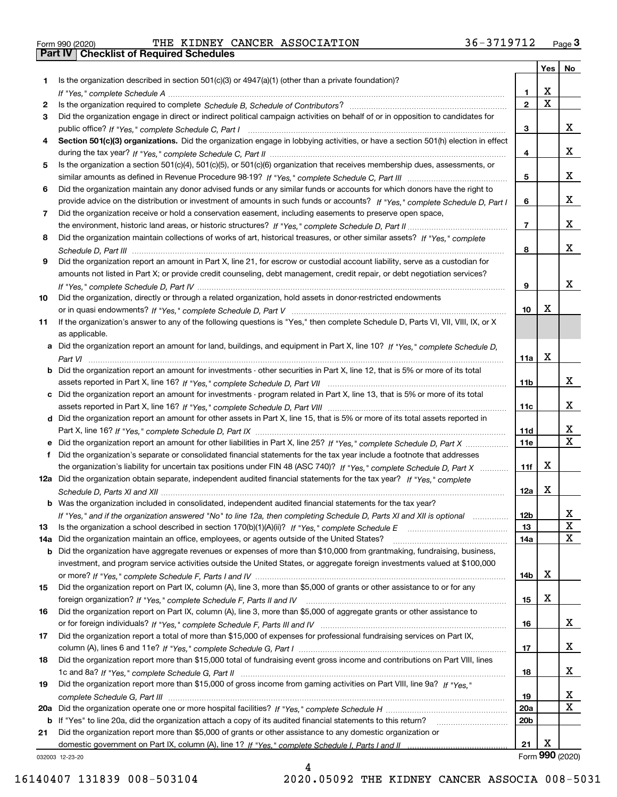|  | Form 990 (2020) |
|--|-----------------|

Form 990 (2020) THE KIDNEY CANCER ASSOCIATION 36-3719712 <sub>Page</sub> 3<br>**Part IV | Checklist of Required Schedules** 

|     |                                                                                                                                       |                 | Yes         | No              |
|-----|---------------------------------------------------------------------------------------------------------------------------------------|-----------------|-------------|-----------------|
| 1.  | Is the organization described in section $501(c)(3)$ or $4947(a)(1)$ (other than a private foundation)?                               |                 |             |                 |
|     |                                                                                                                                       | 1.              | X           |                 |
| 2   |                                                                                                                                       | $\overline{2}$  | $\mathbf X$ |                 |
| 3   | Did the organization engage in direct or indirect political campaign activities on behalf of or in opposition to candidates for       |                 |             | x               |
|     |                                                                                                                                       | 3               |             |                 |
| 4   | Section 501(c)(3) organizations. Did the organization engage in lobbying activities, or have a section 501(h) election in effect      | 4               |             | x               |
| 5   | Is the organization a section 501(c)(4), 501(c)(5), or 501(c)(6) organization that receives membership dues, assessments, or          |                 |             |                 |
|     |                                                                                                                                       | 5               |             | x               |
| 6   | Did the organization maintain any donor advised funds or any similar funds or accounts for which donors have the right to             |                 |             |                 |
|     | provide advice on the distribution or investment of amounts in such funds or accounts? If "Yes," complete Schedule D, Part I          | 6               |             | x               |
| 7   | Did the organization receive or hold a conservation easement, including easements to preserve open space,                             |                 |             |                 |
|     |                                                                                                                                       | $\overline{7}$  |             | x               |
| 8   | Did the organization maintain collections of works of art, historical treasures, or other similar assets? If "Yes," complete          |                 |             |                 |
|     |                                                                                                                                       | 8               |             | x               |
| 9   | Did the organization report an amount in Part X, line 21, for escrow or custodial account liability, serve as a custodian for         |                 |             |                 |
|     | amounts not listed in Part X; or provide credit counseling, debt management, credit repair, or debt negotiation services?             |                 |             |                 |
|     |                                                                                                                                       | 9               |             | x               |
| 10  | Did the organization, directly or through a related organization, hold assets in donor-restricted endowments                          |                 |             |                 |
|     |                                                                                                                                       | 10              | X           |                 |
| 11  | If the organization's answer to any of the following questions is "Yes," then complete Schedule D, Parts VI, VIII, VIII, IX, or X     |                 |             |                 |
|     | as applicable.                                                                                                                        |                 |             |                 |
|     | a Did the organization report an amount for land, buildings, and equipment in Part X, line 10? If "Yes," complete Schedule D,         | 11a             | X           |                 |
|     | <b>b</b> Did the organization report an amount for investments - other securities in Part X, line 12, that is 5% or more of its total |                 |             |                 |
|     |                                                                                                                                       | 11 <sub>b</sub> |             | x               |
|     | c Did the organization report an amount for investments - program related in Part X, line 13, that is 5% or more of its total         |                 |             |                 |
|     |                                                                                                                                       | 11c             |             | x               |
|     | d Did the organization report an amount for other assets in Part X, line 15, that is 5% or more of its total assets reported in       |                 |             |                 |
|     |                                                                                                                                       | 11d             |             | х               |
|     |                                                                                                                                       | 11e             |             | $\mathbf X$     |
|     | Did the organization's separate or consolidated financial statements for the tax year include a footnote that addresses               |                 |             |                 |
|     | the organization's liability for uncertain tax positions under FIN 48 (ASC 740)? If "Yes," complete Schedule D, Part X                | 11f             | X           |                 |
|     | 12a Did the organization obtain separate, independent audited financial statements for the tax year? If "Yes," complete               |                 |             |                 |
|     |                                                                                                                                       | 12a             | X           |                 |
|     | <b>b</b> Was the organization included in consolidated, independent audited financial statements for the tax year?                    |                 |             |                 |
| 13  | If "Yes," and if the organization answered "No" to line 12a, then completing Schedule D, Parts XI and XII is optional metallion       | 12b<br>13       |             | ᅀ<br>X          |
| 14a | Did the organization maintain an office, employees, or agents outside of the United States?                                           | 14a             |             | X               |
|     | <b>b</b> Did the organization have aggregate revenues or expenses of more than \$10,000 from grantmaking, fundraising, business,      |                 |             |                 |
|     | investment, and program service activities outside the United States, or aggregate foreign investments valued at \$100,000            |                 |             |                 |
|     |                                                                                                                                       | 14b             | х           |                 |
| 15  | Did the organization report on Part IX, column (A), line 3, more than \$5,000 of grants or other assistance to or for any             |                 |             |                 |
|     |                                                                                                                                       | 15              | х           |                 |
| 16  | Did the organization report on Part IX, column (A), line 3, more than \$5,000 of aggregate grants or other assistance to              |                 |             |                 |
|     |                                                                                                                                       | 16              |             | x               |
| 17  | Did the organization report a total of more than \$15,000 of expenses for professional fundraising services on Part IX,               |                 |             |                 |
|     |                                                                                                                                       | 17              |             | x               |
| 18  | Did the organization report more than \$15,000 total of fundraising event gross income and contributions on Part VIII, lines          |                 |             |                 |
|     |                                                                                                                                       | 18              |             | x               |
| 19  | Did the organization report more than \$15,000 of gross income from gaming activities on Part VIII, line 9a? If "Yes."                |                 |             | X               |
|     |                                                                                                                                       | 19<br>20a       |             | X               |
|     | b If "Yes" to line 20a, did the organization attach a copy of its audited financial statements to this return?                        | 20 <sub>b</sub> |             |                 |
| 21  | Did the organization report more than \$5,000 of grants or other assistance to any domestic organization or                           |                 |             |                 |
|     |                                                                                                                                       | 21              | х           |                 |
|     | 032003 12-23-20                                                                                                                       |                 |             | Form 990 (2020) |

4

032003 12-23-20

16140407 131839 008-503104 2020.05092 THE KIDNEY CANCER ASSOCIA 008-5031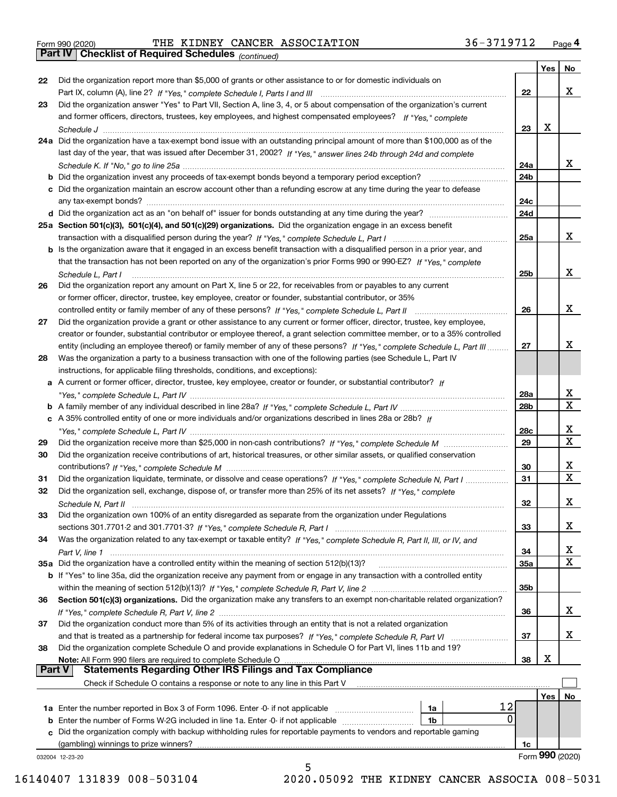|  | Form 990 (2020) |
|--|-----------------|
|  |                 |

Form 990 (2020) THE KIDNEY CANCER ASSOCIATION 36-3719712 <sub>Page</sub> 4<br>**Part IV | Checklist of Required Schedules** <sub>(continued)</sub>

*(continued)*

|          |                                                                                                                              |                 | Yes        | No              |
|----------|------------------------------------------------------------------------------------------------------------------------------|-----------------|------------|-----------------|
| 22       | Did the organization report more than \$5,000 of grants or other assistance to or for domestic individuals on                |                 |            |                 |
|          |                                                                                                                              | 22              |            | x               |
| 23       | Did the organization answer "Yes" to Part VII, Section A, line 3, 4, or 5 about compensation of the organization's current   |                 |            |                 |
|          | and former officers, directors, trustees, key employees, and highest compensated employees? If "Yes," complete               |                 |            |                 |
|          |                                                                                                                              | 23              | X          |                 |
|          | 24a Did the organization have a tax-exempt bond issue with an outstanding principal amount of more than \$100,000 as of the  |                 |            |                 |
|          | last day of the year, that was issued after December 31, 2002? If "Yes," answer lines 24b through 24d and complete           |                 |            |                 |
|          |                                                                                                                              | 24a             |            | x               |
|          | b Did the organization invest any proceeds of tax-exempt bonds beyond a temporary period exception?                          | 24b             |            |                 |
|          | c Did the organization maintain an escrow account other than a refunding escrow at any time during the year to defease       |                 |            |                 |
|          | any tax-exempt bonds?                                                                                                        | 24c             |            |                 |
|          | d Did the organization act as an "on behalf of" issuer for bonds outstanding at any time during the year?                    | 24d             |            |                 |
|          | 25a Section 501(c)(3), 501(c)(4), and 501(c)(29) organizations. Did the organization engage in an excess benefit             |                 |            |                 |
|          |                                                                                                                              | 25a             |            | x               |
|          |                                                                                                                              |                 |            |                 |
|          | b Is the organization aware that it engaged in an excess benefit transaction with a disqualified person in a prior year, and |                 |            |                 |
|          | that the transaction has not been reported on any of the organization's prior Forms 990 or 990-EZ? If "Yes," complete        |                 |            | x               |
|          | Schedule L, Part I                                                                                                           | 25b             |            |                 |
| 26       | Did the organization report any amount on Part X, line 5 or 22, for receivables from or payables to any current              |                 |            |                 |
|          | or former officer, director, trustee, key employee, creator or founder, substantial contributor, or 35%                      |                 |            |                 |
|          |                                                                                                                              | 26              |            | х               |
| 27       | Did the organization provide a grant or other assistance to any current or former officer, director, trustee, key employee,  |                 |            |                 |
|          | creator or founder, substantial contributor or employee thereof, a grant selection committee member, or to a 35% controlled  |                 |            |                 |
|          | entity (including an employee thereof) or family member of any of these persons? If "Yes," complete Schedule L, Part III     | 27              |            | х               |
| 28       | Was the organization a party to a business transaction with one of the following parties (see Schedule L, Part IV            |                 |            |                 |
|          | instructions, for applicable filing thresholds, conditions, and exceptions):                                                 |                 |            |                 |
|          | a A current or former officer, director, trustee, key employee, creator or founder, or substantial contributor? If           |                 |            |                 |
|          |                                                                                                                              | 28a             |            | x               |
|          |                                                                                                                              | 28 <sub>b</sub> |            | $\mathbf X$     |
|          | c A 35% controlled entity of one or more individuals and/or organizations described in lines 28a or 28b? If                  |                 |            |                 |
|          |                                                                                                                              | 28c             |            | х               |
| 29       |                                                                                                                              | 29              |            | $\mathbf X$     |
| 30       | Did the organization receive contributions of art, historical treasures, or other similar assets, or qualified conservation  |                 |            |                 |
|          |                                                                                                                              | 30              |            | x               |
| 31       | Did the organization liquidate, terminate, or dissolve and cease operations? If "Yes," complete Schedule N, Part I           | 31              |            | $\mathbf x$     |
| 32       | Did the organization sell, exchange, dispose of, or transfer more than 25% of its net assets? If "Yes," complete             |                 |            |                 |
|          |                                                                                                                              | 32              |            | х               |
| 33       | Did the organization own 100% of an entity disregarded as separate from the organization under Regulations                   |                 |            |                 |
|          |                                                                                                                              | 33              |            | х               |
| 34       | Was the organization related to any tax-exempt or taxable entity? If "Yes," complete Schedule R, Part II, III, or IV, and    |                 |            |                 |
|          |                                                                                                                              | 34              |            | X               |
|          | 35a Did the organization have a controlled entity within the meaning of section 512(b)(13)?                                  | 35a             |            | X               |
|          | b If "Yes" to line 35a, did the organization receive any payment from or engage in any transaction with a controlled entity  |                 |            |                 |
|          |                                                                                                                              | 35b             |            |                 |
| 36       | Section 501(c)(3) organizations. Did the organization make any transfers to an exempt non-charitable related organization?   |                 |            |                 |
|          |                                                                                                                              | 36              |            | x               |
| 37       | Did the organization conduct more than 5% of its activities through an entity that is not a related organization             |                 |            |                 |
|          | and that is treated as a partnership for federal income tax purposes? If "Yes," complete Schedule R, Part VI                 | 37              |            | x               |
| 38       | Did the organization complete Schedule O and provide explanations in Schedule O for Part VI, lines 11b and 19?               |                 |            |                 |
|          | Note: All Form 990 filers are required to complete Schedule O                                                                | 38              | X          |                 |
| ∣ Part V | <b>Statements Regarding Other IRS Filings and Tax Compliance</b>                                                             |                 |            |                 |
|          | Check if Schedule O contains a response or note to any line in this Part V                                                   |                 |            |                 |
|          |                                                                                                                              |                 | <b>Yes</b> | No              |
|          | 12<br><b>1a</b> Enter the number reported in Box 3 of Form 1096. Enter -0- if not applicable <i>mummumumum</i><br>1a         |                 |            |                 |
|          | 0<br><b>b</b> Enter the number of Forms W-2G included in line 1a. Enter -0- if not applicable<br>1b                          |                 |            |                 |
|          | Did the organization comply with backup withholding rules for reportable payments to vendors and reportable gaming           |                 |            |                 |
|          | (gambling) winnings to prize winners?                                                                                        | 1c              |            |                 |
|          | 032004 12-23-20                                                                                                              |                 |            | Form 990 (2020) |
|          | 5                                                                                                                            |                 |            |                 |

 <sup>16140407 131839 008-503104 2020.05092</sup> THE KIDNEY CANCER ASSOCIA 008-5031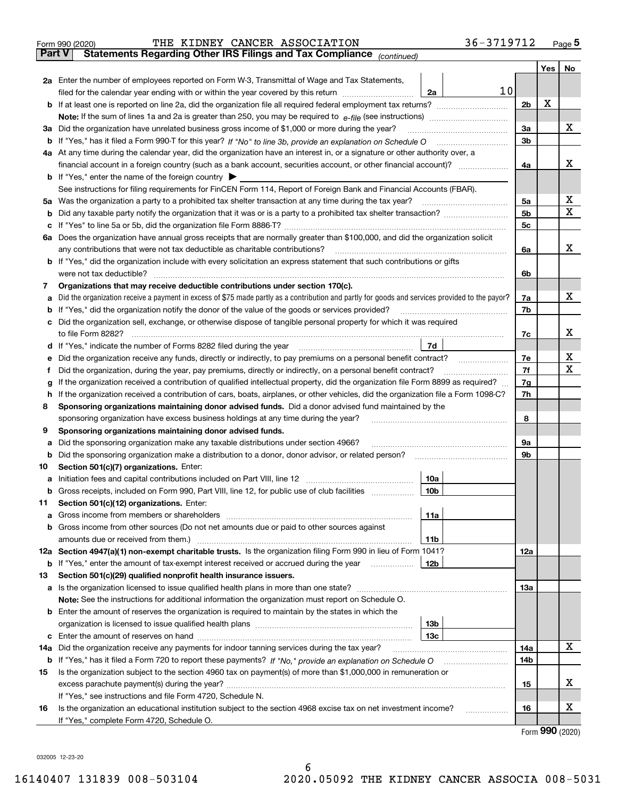|               | 36-3719712<br>THE KIDNEY CANCER ASSOCIATION<br>Form 990 (2020)                                                                                  |                |     | $_{\text{Page}}$ 5 |
|---------------|-------------------------------------------------------------------------------------------------------------------------------------------------|----------------|-----|--------------------|
| <b>Part V</b> | Statements Regarding Other IRS Filings and Tax Compliance (continued)                                                                           |                |     |                    |
|               |                                                                                                                                                 |                | Yes | No                 |
|               | 2a Enter the number of employees reported on Form W-3, Transmittal of Wage and Tax Statements,                                                  |                |     |                    |
|               | 10<br>filed for the calendar year ending with or within the year covered by this return <i>[[[[[[[[[[[[[[[]]]]</i> ]]<br>2a                     |                |     |                    |
|               |                                                                                                                                                 | 2 <sub>b</sub> | х   |                    |
|               |                                                                                                                                                 |                |     |                    |
|               | 3a Did the organization have unrelated business gross income of \$1,000 or more during the year?                                                | 3a             |     | х                  |
|               |                                                                                                                                                 | 3 <sub>b</sub> |     |                    |
|               | 4a At any time during the calendar year, did the organization have an interest in, or a signature or other authority over, a                    |                |     |                    |
|               |                                                                                                                                                 | 4a             |     | х                  |
|               | <b>b</b> If "Yes," enter the name of the foreign country $\blacktriangleright$                                                                  |                |     |                    |
|               | See instructions for filing requirements for FinCEN Form 114, Report of Foreign Bank and Financial Accounts (FBAR).                             |                |     |                    |
|               |                                                                                                                                                 | 5a             |     | х                  |
| b             |                                                                                                                                                 | 5 <sub>b</sub> |     | х                  |
| c             |                                                                                                                                                 | 5c             |     |                    |
|               | 6a Does the organization have annual gross receipts that are normally greater than \$100,000, and did the organization solicit                  |                |     |                    |
|               | any contributions that were not tax deductible as charitable contributions?                                                                     | 6a             |     | x                  |
|               | <b>b</b> If "Yes," did the organization include with every solicitation an express statement that such contributions or gifts                   |                |     |                    |
|               | were not tax deductible?                                                                                                                        | 6b             |     |                    |
| 7             | Organizations that may receive deductible contributions under section 170(c).                                                                   |                |     |                    |
| а             | Did the organization receive a payment in excess of \$75 made partly as a contribution and partly for goods and services provided to the payor? | 7a             |     | х                  |
|               | <b>b</b> If "Yes," did the organization notify the donor of the value of the goods or services provided?                                        | 7b             |     |                    |
|               | c Did the organization sell, exchange, or otherwise dispose of tangible personal property for which it was required                             |                |     |                    |
|               |                                                                                                                                                 | 7c             |     | х                  |
|               | 7d                                                                                                                                              |                |     |                    |
| е             | Did the organization receive any funds, directly or indirectly, to pay premiums on a personal benefit contract?                                 | 7e             |     | x                  |
| f             | Did the organization, during the year, pay premiums, directly or indirectly, on a personal benefit contract?                                    | 7f             |     | х                  |
| g             | If the organization received a contribution of qualified intellectual property, did the organization file Form 8899 as required?                | 7g             |     |                    |
| h.            | If the organization received a contribution of cars, boats, airplanes, or other vehicles, did the organization file a Form 1098-C?              | 7h             |     |                    |
| 8             | Sponsoring organizations maintaining donor advised funds. Did a donor advised fund maintained by the                                            |                |     |                    |
|               | sponsoring organization have excess business holdings at any time during the year?                                                              | 8              |     |                    |
| 9             | Sponsoring organizations maintaining donor advised funds.                                                                                       |                |     |                    |
| а             | Did the sponsoring organization make any taxable distributions under section 4966?                                                              | 9а             |     |                    |
| b             | Did the sponsoring organization make a distribution to a donor, donor advisor, or related person?                                               | 9b             |     |                    |
| 10            | Section 501(c)(7) organizations. Enter:                                                                                                         |                |     |                    |
|               | 10a                                                                                                                                             |                |     |                    |
|               | 10 <sub>b</sub>  <br>Gross receipts, included on Form 990, Part VIII, line 12, for public use of club facilities                                |                |     |                    |
| 11            | Section 501(c)(12) organizations. Enter:                                                                                                        |                |     |                    |
| a             | 11a                                                                                                                                             |                |     |                    |
|               | b Gross income from other sources (Do not net amounts due or paid to other sources against                                                      |                |     |                    |
|               | 11b                                                                                                                                             |                |     |                    |
|               | 12a Section 4947(a)(1) non-exempt charitable trusts. Is the organization filing Form 990 in lieu of Form 1041?                                  | <b>12a</b>     |     |                    |
|               | 12b<br><b>b</b> If "Yes," enter the amount of tax-exempt interest received or accrued during the year                                           |                |     |                    |
| 13            | Section 501(c)(29) qualified nonprofit health insurance issuers.                                                                                |                |     |                    |
|               | a Is the organization licensed to issue qualified health plans in more than one state?                                                          | <b>13a</b>     |     |                    |
|               | Note: See the instructions for additional information the organization must report on Schedule O.                                               |                |     |                    |
|               | <b>b</b> Enter the amount of reserves the organization is required to maintain by the states in which the                                       |                |     |                    |
|               | 13b                                                                                                                                             |                |     |                    |
|               | 13с                                                                                                                                             |                |     |                    |
| 14a           | Did the organization receive any payments for indoor tanning services during the tax year?                                                      | 14a            |     | x                  |
| b             | If "Yes," has it filed a Form 720 to report these payments? If "No," provide an explanation on Schedule O                                       | 14b            |     |                    |
| 15            | Is the organization subject to the section 4960 tax on payment(s) of more than \$1,000,000 in remuneration or                                   |                |     |                    |
|               |                                                                                                                                                 | 15             |     | x                  |
|               | If "Yes," see instructions and file Form 4720, Schedule N.                                                                                      |                |     | х                  |
| 16            | Is the organization an educational institution subject to the section 4968 excise tax on net investment income?                                 | 16             |     |                    |
|               | If "Yes," complete Form 4720, Schedule O.                                                                                                       |                |     |                    |

Form (2020) **990**

032005 12-23-20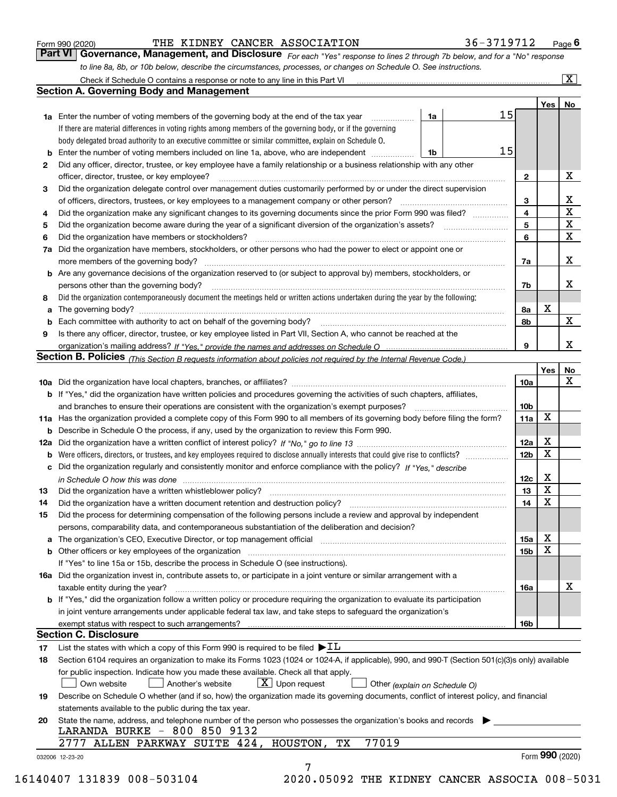|  | Form 990 (2020) |
|--|-----------------|
|  |                 |

*For each "Yes" response to lines 2 through 7b below, and for a "No" response to line 8a, 8b, or 10b below, describe the circumstances, processes, or changes on Schedule O. See instructions.* Form 990 (2020) **Form 990 (2020)** THE KIDNEY CANCER ASSOCIATION 36 – 3719712 Page 6<br>**Part VI Governance, Management, and Disclosure** For each "Yes" response to lines 2 through 7b below, and for a "No" response

|              |                                                                                                                                                                               |    |    |                         | Yes             | No                           |
|--------------|-------------------------------------------------------------------------------------------------------------------------------------------------------------------------------|----|----|-------------------------|-----------------|------------------------------|
|              | <b>1a</b> Enter the number of voting members of the governing body at the end of the tax year                                                                                 | 1a | 15 |                         |                 |                              |
|              | If there are material differences in voting rights among members of the governing body, or if the governing                                                                   |    |    |                         |                 |                              |
|              | body delegated broad authority to an executive committee or similar committee, explain on Schedule O.                                                                         |    | 15 |                         |                 |                              |
|              |                                                                                                                                                                               | 1b |    |                         |                 |                              |
| $\mathbf{2}$ | Did any officer, director, trustee, or key employee have a family relationship or a business relationship with any other                                                      |    |    |                         |                 |                              |
|              | officer, director, trustee, or key employee?                                                                                                                                  |    |    | $\mathbf{2}$            |                 | X                            |
| 3            | Did the organization delegate control over management duties customarily performed by or under the direct supervision                                                         |    |    |                         |                 |                              |
|              |                                                                                                                                                                               |    |    | 3                       |                 | X<br>$\overline{\mathbf{x}}$ |
| 4            | Did the organization make any significant changes to its governing documents since the prior Form 990 was filed?                                                              |    |    | $\overline{\mathbf{4}}$ |                 | $\mathbf X$                  |
| 5            |                                                                                                                                                                               |    |    | 5                       |                 | X                            |
| 6            | Did the organization have members or stockholders?                                                                                                                            |    |    | 6                       |                 |                              |
|              | 7a Did the organization have members, stockholders, or other persons who had the power to elect or appoint one or                                                             |    |    |                         |                 |                              |
|              |                                                                                                                                                                               |    |    | 7a                      |                 | x                            |
|              | <b>b</b> Are any governance decisions of the organization reserved to (or subject to approval by) members, stockholders, or                                                   |    |    |                         |                 |                              |
|              | persons other than the governing body?                                                                                                                                        |    |    | 7b                      |                 | х                            |
| 8            | Did the organization contemporaneously document the meetings held or written actions undertaken during the year by the following:                                             |    |    |                         |                 |                              |
| a            |                                                                                                                                                                               |    |    | 8a                      | X               |                              |
|              |                                                                                                                                                                               |    |    | 8b                      |                 | $\mathbf{X}$                 |
| 9            | Is there any officer, director, trustee, or key employee listed in Part VII, Section A, who cannot be reached at the                                                          |    |    |                         |                 |                              |
|              |                                                                                                                                                                               |    |    | 9                       |                 | x                            |
|              | Section B. Policies (This Section B requests information about policies not required by the Internal Revenue Code.)                                                           |    |    |                         |                 |                              |
|              |                                                                                                                                                                               |    |    |                         | Yes             | No                           |
|              |                                                                                                                                                                               |    |    | 10a                     |                 | X                            |
|              | <b>b</b> If "Yes," did the organization have written policies and procedures governing the activities of such chapters, affiliates,                                           |    |    |                         |                 |                              |
|              |                                                                                                                                                                               |    |    | 10 <sub>b</sub>         |                 |                              |
|              | 11a Has the organization provided a complete copy of this Form 990 to all members of its governing body before filing the form?                                               |    |    | 11a                     | X               |                              |
|              | <b>b</b> Describe in Schedule O the process, if any, used by the organization to review this Form 990.                                                                        |    |    |                         |                 |                              |
|              |                                                                                                                                                                               |    |    | 12a                     | X               |                              |
| b            |                                                                                                                                                                               |    |    | 12b                     | X               |                              |
|              | c Did the organization regularly and consistently monitor and enforce compliance with the policy? If "Yes," describe                                                          |    |    |                         |                 |                              |
|              | in Schedule O how this was done manufactured and continuum control of the Schedule O how this was done manufactured and continuum control of the Schedule O how this was done |    |    | 12c                     | х               |                              |
| 13           |                                                                                                                                                                               |    |    | 13                      | X               |                              |
| 14           | Did the organization have a written document retention and destruction policy? manufactured and the organization have a written document retention and destruction policy?    |    |    | 14                      | X               |                              |
| 15           | Did the process for determining compensation of the following persons include a review and approval by independent                                                            |    |    |                         |                 |                              |
|              | persons, comparability data, and contemporaneous substantiation of the deliberation and decision?                                                                             |    |    |                         |                 |                              |
|              |                                                                                                                                                                               |    |    | 15a                     | X               |                              |
|              |                                                                                                                                                                               |    |    | 15b                     | X               |                              |
|              | If "Yes" to line 15a or 15b, describe the process in Schedule O (see instructions).                                                                                           |    |    |                         |                 |                              |
|              | 16a Did the organization invest in, contribute assets to, or participate in a joint venture or similar arrangement with a                                                     |    |    |                         |                 |                              |
|              | taxable entity during the year?                                                                                                                                               |    |    | 16a                     |                 | X                            |
|              | b If "Yes," did the organization follow a written policy or procedure requiring the organization to evaluate its participation                                                |    |    |                         |                 |                              |
|              | in joint venture arrangements under applicable federal tax law, and take steps to safequard the organization's                                                                |    |    |                         |                 |                              |
|              | exempt status with respect to such arrangements?                                                                                                                              |    |    | 16b                     |                 |                              |
|              | <b>Section C. Disclosure</b>                                                                                                                                                  |    |    |                         |                 |                              |
| 17           | List the states with which a copy of this Form 990 is required to be filed $\blacktriangleright$ IL                                                                           |    |    |                         |                 |                              |
| 18           | Section 6104 requires an organization to make its Forms 1023 (1024 or 1024-A, if applicable), 990, and 990-T (Section 501(c)(3)s only) available                              |    |    |                         |                 |                              |
|              | for public inspection. Indicate how you made these available. Check all that apply.                                                                                           |    |    |                         |                 |                              |
|              | $X$ Upon request<br>Own website<br>Another's website<br>Other (explain on Schedule O)                                                                                         |    |    |                         |                 |                              |
| 19           | Describe on Schedule O whether (and if so, how) the organization made its governing documents, conflict of interest policy, and financial                                     |    |    |                         |                 |                              |
|              | statements available to the public during the tax year.                                                                                                                       |    |    |                         |                 |                              |
| 20           | State the name, address, and telephone number of the person who possesses the organization's books and records                                                                |    |    |                         |                 |                              |
|              | LARANDA BURKE - 800 850 9132                                                                                                                                                  |    |    |                         |                 |                              |
|              | 77019<br>2777 ALLEN PARKWAY SUITE 424, HOUSTON,<br>TХ                                                                                                                         |    |    |                         |                 |                              |
|              |                                                                                                                                                                               |    |    |                         | Form 990 (2020) |                              |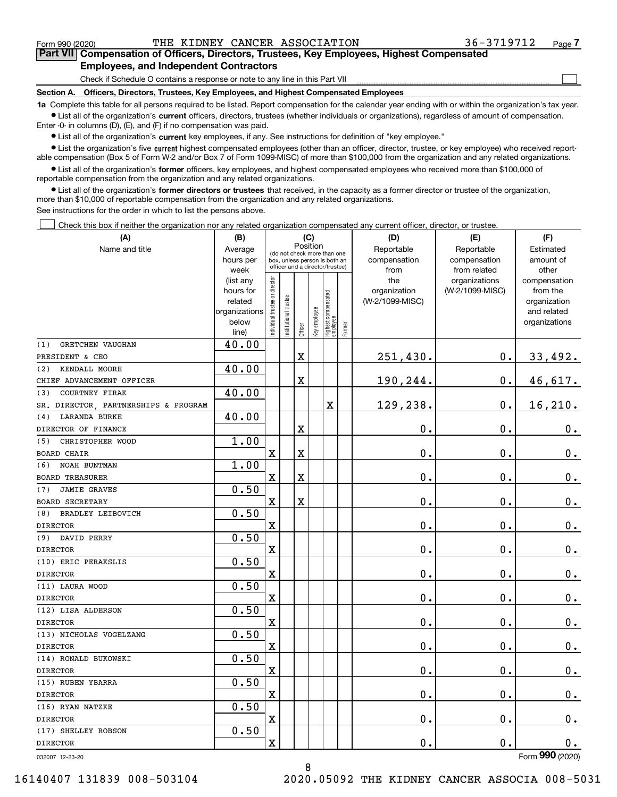$\mathcal{L}^{\text{max}}$ 

## **7Part VII Compensation of Officers, Directors, Trustees, Key Employees, Highest Compensated Employees, and Independent Contractors**

Check if Schedule O contains a response or note to any line in this Part VII

**Section A. Officers, Directors, Trustees, Key Employees, and Highest Compensated Employees**

**1a**  Complete this table for all persons required to be listed. Report compensation for the calendar year ending with or within the organization's tax year. **•** List all of the organization's current officers, directors, trustees (whether individuals or organizations), regardless of amount of compensation.

Enter -0- in columns (D), (E), and (F) if no compensation was paid.

 $\bullet$  List all of the organization's  $\,$ current key employees, if any. See instructions for definition of "key employee."

**•** List the organization's five current highest compensated employees (other than an officer, director, trustee, or key employee) who received reportable compensation (Box 5 of Form W-2 and/or Box 7 of Form 1099-MISC) of more than \$100,000 from the organization and any related organizations.

**•** List all of the organization's former officers, key employees, and highest compensated employees who received more than \$100,000 of reportable compensation from the organization and any related organizations.

**former directors or trustees**  ¥ List all of the organization's that received, in the capacity as a former director or trustee of the organization, more than \$10,000 of reportable compensation from the organization and any related organizations.

See instructions for the order in which to list the persons above.

Check this box if neither the organization nor any related organization compensated any current officer, director, or trustee.  $\mathcal{L}^{\text{max}}$ 

| (A)                                  | (B)                                                                                 | (C)                           |                                 |                         |              |                                  |        | (D)                 | (E)                              | (F)                      |
|--------------------------------------|-------------------------------------------------------------------------------------|-------------------------------|---------------------------------|-------------------------|--------------|----------------------------------|--------|---------------------|----------------------------------|--------------------------|
| Name and title                       | Position<br>Average<br>(do not check more than one<br>box, unless person is both an |                               |                                 |                         |              |                                  |        | Reportable          | Reportable                       | Estimated                |
|                                      | hours per                                                                           |                               | officer and a director/trustee) |                         |              |                                  |        | compensation        | compensation                     | amount of                |
|                                      | week                                                                                |                               |                                 |                         |              |                                  |        | from                | from related                     | other                    |
|                                      | (list any<br>hours for                                                              |                               |                                 |                         |              |                                  |        | the<br>organization | organizations<br>(W-2/1099-MISC) | compensation<br>from the |
|                                      | related                                                                             |                               |                                 |                         |              |                                  |        | (W-2/1099-MISC)     |                                  | organization             |
|                                      | organizations                                                                       |                               |                                 |                         |              |                                  |        |                     |                                  | and related              |
|                                      | below                                                                               | ndividual trustee or director | Institutional trustee           |                         | Key employee |                                  |        |                     |                                  | organizations            |
|                                      | line)                                                                               |                               |                                 | Officer                 |              | Highest compensated<br> employee | Former |                     |                                  |                          |
| <b>GRETCHEN VAUGHAN</b><br>(1)       | 40.00                                                                               |                               |                                 |                         |              |                                  |        |                     |                                  |                          |
| PRESIDENT & CEO                      |                                                                                     |                               |                                 | X                       |              |                                  |        | 251,430.            | 0.                               | 33,492.                  |
| (2)<br>KENDALL MOORE                 | 40.00                                                                               |                               |                                 |                         |              |                                  |        |                     |                                  |                          |
| CHIEF ADVANCEMENT OFFICER            |                                                                                     |                               |                                 | X                       |              |                                  |        | 190,244.            | 0.                               | 46,617.                  |
| <b>COURTNEY FIRAK</b><br>(3)         | 40.00                                                                               |                               |                                 |                         |              |                                  |        |                     |                                  |                          |
| SR. DIRECTOR, PARTNERSHIPS & PROGRAM |                                                                                     |                               |                                 |                         |              | X                                |        | 129,238.            | 0.                               | 16, 210.                 |
| <b>LARANDA BURKE</b><br>(4)          | 40.00                                                                               |                               |                                 |                         |              |                                  |        |                     |                                  |                          |
| DIRECTOR OF FINANCE                  |                                                                                     |                               |                                 | X                       |              |                                  |        | 0.                  | 0.                               | 0.                       |
| CHRISTOPHER WOOD<br>(5)              | 1.00                                                                                |                               |                                 |                         |              |                                  |        |                     |                                  |                          |
| <b>BOARD CHAIR</b>                   |                                                                                     | $\overline{\textbf{X}}$       |                                 | $\overline{\textbf{X}}$ |              |                                  |        | 0.                  | 0.                               | $0_{.}$                  |
| NOAH BUNTMAN<br>(6)                  | 1.00                                                                                |                               |                                 |                         |              |                                  |        |                     |                                  |                          |
| <b>BOARD TREASURER</b>               |                                                                                     | X                             |                                 | X                       |              |                                  |        | 0.                  | 0.                               | $\mathbf 0$ .            |
| <b>JAMIE GRAVES</b><br>(7)           | 0.50                                                                                |                               |                                 |                         |              |                                  |        |                     |                                  |                          |
| <b>BOARD SECRETARY</b>               |                                                                                     | X                             |                                 | X                       |              |                                  |        | 0.                  | 0.                               | $0_{.}$                  |
| BRADLEY LEIBOVICH<br>(8)             | 0.50                                                                                |                               |                                 |                         |              |                                  |        |                     |                                  |                          |
| <b>DIRECTOR</b>                      |                                                                                     | X                             |                                 |                         |              |                                  |        | 0.                  | 0.                               | $0_{.}$                  |
| (9) DAVID PERRY                      | 0.50                                                                                |                               |                                 |                         |              |                                  |        |                     |                                  |                          |
| <b>DIRECTOR</b>                      |                                                                                     | Χ                             |                                 |                         |              |                                  |        | 0.                  | 0.                               | $\mathbf 0$ .            |
| (10) ERIC PERAKSLIS                  | 0.50                                                                                |                               |                                 |                         |              |                                  |        |                     |                                  |                          |
| <b>DIRECTOR</b>                      |                                                                                     | X                             |                                 |                         |              |                                  |        | 0.                  | 0.                               | $\mathbf 0$ .            |
| (11) LAURA WOOD                      | 0.50                                                                                |                               |                                 |                         |              |                                  |        |                     |                                  |                          |
| <b>DIRECTOR</b>                      |                                                                                     | X                             |                                 |                         |              |                                  |        | 0.                  | 0.                               | $\mathbf 0$ .            |
| (12) LISA ALDERSON                   | 0.50                                                                                |                               |                                 |                         |              |                                  |        |                     |                                  |                          |
| <b>DIRECTOR</b>                      |                                                                                     | X                             |                                 |                         |              |                                  |        | 0.                  | 0.                               | $0_{.}$                  |
| (13) NICHOLAS VOGELZANG              | 0.50                                                                                |                               |                                 |                         |              |                                  |        |                     |                                  |                          |
| <b>DIRECTOR</b>                      |                                                                                     | X                             |                                 |                         |              |                                  |        | 0.                  | 0.                               | $\mathbf 0$ .            |
| (14) RONALD BUKOWSKI                 | 0.50                                                                                |                               |                                 |                         |              |                                  |        |                     |                                  |                          |
| <b>DIRECTOR</b>                      |                                                                                     | X                             |                                 |                         |              |                                  |        | 0.                  | 0.                               | 0.                       |
| (15) RUBEN YBARRA                    | 0.50                                                                                |                               |                                 |                         |              |                                  |        |                     |                                  |                          |
| <b>DIRECTOR</b>                      |                                                                                     | X                             |                                 |                         |              |                                  |        | 0.                  | 0.                               | $\mathbf 0$ .            |
| (16) RYAN NATZKE                     | 0.50                                                                                |                               |                                 |                         |              |                                  |        |                     |                                  |                          |
| <b>DIRECTOR</b>                      |                                                                                     | X                             |                                 |                         |              |                                  |        | 0.                  | 0.                               | 0.                       |
| (17) SHELLEY ROBSON                  | 0.50                                                                                |                               |                                 |                         |              |                                  |        |                     |                                  |                          |
| <b>DIRECTOR</b>                      |                                                                                     | $\overline{\textbf{X}}$       |                                 |                         |              |                                  |        | 0.                  | 0.                               | 0.                       |
|                                      |                                                                                     |                               |                                 |                         |              |                                  |        |                     |                                  | $\overline{2}$           |

8

032007 12-23-20

Form (2020) **990**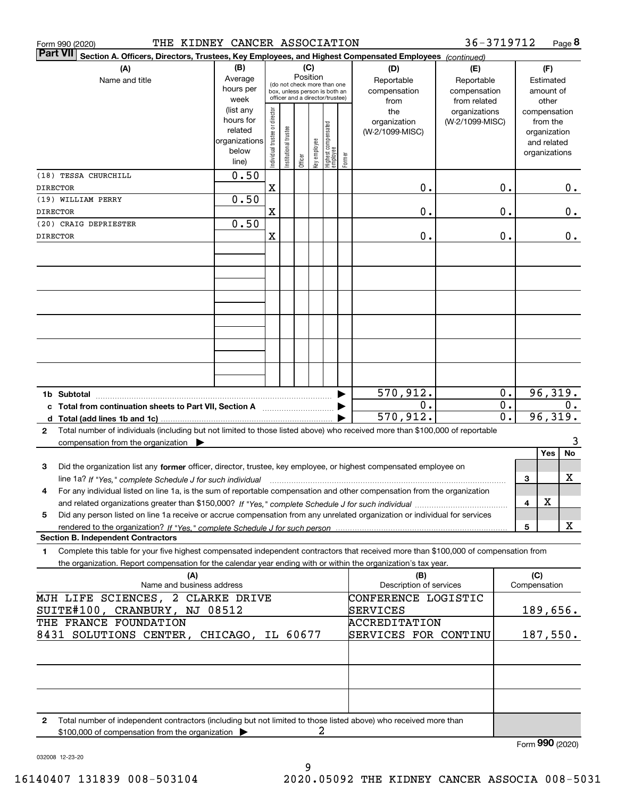|                 | THE KIDNEY CANCER ASSOCIATION<br>Form 990 (2020)                                                                                                  |                                                                              |                                |                       |         |                                                                                                                                    |                                 |        |                                                | 36-3719712                                       |                  |              | Page 8                                                                            |
|-----------------|---------------------------------------------------------------------------------------------------------------------------------------------------|------------------------------------------------------------------------------|--------------------------------|-----------------------|---------|------------------------------------------------------------------------------------------------------------------------------------|---------------------------------|--------|------------------------------------------------|--------------------------------------------------|------------------|--------------|-----------------------------------------------------------------------------------|
| <b>Part VII</b> | Section A. Officers, Directors, Trustees, Key Employees, and Highest Compensated Employees (continued)                                            |                                                                              |                                |                       |         |                                                                                                                                    |                                 |        |                                                |                                                  |                  |              |                                                                                   |
|                 | (B)<br>(A)<br>Average<br>Name and title<br>hours per                                                                                              |                                                                              |                                |                       |         | (C)<br>Position<br>(do not check more than one<br>compensation<br>box, unless person is both an<br>officer and a director/trustee) |                                 |        |                                                | (E)<br>Reportable<br>compensation                |                  |              | (F)<br>Estimated<br>amount of                                                     |
|                 |                                                                                                                                                   | week<br>(list any<br>hours for<br>related<br>organizations<br>below<br>line) | Individual trustee or director | Institutional trustee | Officer | key employee                                                                                                                       | Highest compensated<br>employee | Former | from<br>the<br>organization<br>(W-2/1099-MISC) | from related<br>organizations<br>(W-2/1099-MISC) |                  |              | other<br>compensation<br>from the<br>organization<br>and related<br>organizations |
|                 | (18) TESSA CHURCHILL                                                                                                                              | 0.50                                                                         |                                |                       |         |                                                                                                                                    |                                 |        |                                                |                                                  |                  |              |                                                                                   |
| DIRECTOR        | (19) WILLIAM PERRY                                                                                                                                | 0.50                                                                         | $\mathbf X$                    |                       |         |                                                                                                                                    |                                 |        | 0.                                             |                                                  | 0.               |              | 0.                                                                                |
| <b>DIRECTOR</b> |                                                                                                                                                   |                                                                              | $\mathbf X$                    |                       |         |                                                                                                                                    |                                 |        | 0.                                             |                                                  | 0.               |              | 0.                                                                                |
|                 | (20) CRAIG DEPRIESTER                                                                                                                             | 0.50                                                                         |                                |                       |         |                                                                                                                                    |                                 |        |                                                |                                                  |                  |              |                                                                                   |
| DIRECTOR        |                                                                                                                                                   |                                                                              | $\mathbf X$                    |                       |         |                                                                                                                                    |                                 |        | 0.                                             |                                                  | 0.               |              | 0.                                                                                |
|                 |                                                                                                                                                   |                                                                              |                                |                       |         |                                                                                                                                    |                                 |        |                                                |                                                  |                  |              |                                                                                   |
|                 |                                                                                                                                                   |                                                                              |                                |                       |         |                                                                                                                                    |                                 |        |                                                |                                                  |                  |              |                                                                                   |
|                 |                                                                                                                                                   |                                                                              |                                |                       |         |                                                                                                                                    |                                 |        |                                                |                                                  |                  |              |                                                                                   |
|                 |                                                                                                                                                   |                                                                              |                                |                       |         |                                                                                                                                    |                                 |        |                                                |                                                  |                  |              |                                                                                   |
|                 |                                                                                                                                                   |                                                                              |                                |                       |         |                                                                                                                                    |                                 |        |                                                |                                                  |                  |              |                                                                                   |
|                 |                                                                                                                                                   |                                                                              |                                |                       |         |                                                                                                                                    |                                 |        |                                                |                                                  |                  |              |                                                                                   |
|                 |                                                                                                                                                   |                                                                              |                                |                       |         |                                                                                                                                    |                                 |        |                                                |                                                  |                  |              |                                                                                   |
|                 |                                                                                                                                                   |                                                                              |                                |                       |         |                                                                                                                                    |                                 |        |                                                |                                                  |                  |              |                                                                                   |
|                 | 1b Subtotal                                                                                                                                       |                                                                              |                                |                       |         |                                                                                                                                    |                                 |        | 570,912.                                       |                                                  | 0.               |              | 96,319.                                                                           |
|                 | c Total from continuation sheets to Part VII, Section A manufactured in the Total from continuum                                                  |                                                                              |                                |                       |         |                                                                                                                                    |                                 |        | 0.                                             |                                                  | 0.               |              | 0.                                                                                |
|                 |                                                                                                                                                   |                                                                              |                                |                       |         |                                                                                                                                    |                                 |        | 570,912.                                       |                                                  | $\overline{0}$ . |              | 96,319.                                                                           |
| $\mathbf{2}$    | Total number of individuals (including but not limited to those listed above) who received more than \$100,000 of reportable                      |                                                                              |                                |                       |         |                                                                                                                                    |                                 |        |                                                |                                                  |                  |              | 3                                                                                 |
|                 | compensation from the organization $\blacktriangleright$                                                                                          |                                                                              |                                |                       |         |                                                                                                                                    |                                 |        |                                                |                                                  |                  |              | No<br>Yes                                                                         |
| 3               | Did the organization list any former officer, director, trustee, key employee, or highest compensated employee on                                 |                                                                              |                                |                       |         |                                                                                                                                    |                                 |        |                                                |                                                  |                  |              |                                                                                   |
|                 | line 1a? If "Yes," complete Schedule J for such individual material content content to the content of the complete Schedule J for such individual |                                                                              |                                |                       |         |                                                                                                                                    |                                 |        |                                                |                                                  |                  | З            | X                                                                                 |
| 4               | For any individual listed on line 1a, is the sum of reportable compensation and other compensation from the organization                          |                                                                              |                                |                       |         |                                                                                                                                    |                                 |        |                                                |                                                  |                  |              | х                                                                                 |
| 5               | Did any person listed on line 1a receive or accrue compensation from any unrelated organization or individual for services                        |                                                                              |                                |                       |         |                                                                                                                                    |                                 |        |                                                |                                                  |                  | 4            |                                                                                   |
|                 |                                                                                                                                                   |                                                                              |                                |                       |         |                                                                                                                                    |                                 |        |                                                |                                                  |                  | 5            | X                                                                                 |
|                 | <b>Section B. Independent Contractors</b>                                                                                                         |                                                                              |                                |                       |         |                                                                                                                                    |                                 |        |                                                |                                                  |                  |              |                                                                                   |
| 1               | Complete this table for your five highest compensated independent contractors that received more than \$100,000 of compensation from              |                                                                              |                                |                       |         |                                                                                                                                    |                                 |        |                                                |                                                  |                  |              |                                                                                   |
|                 | the organization. Report compensation for the calendar year ending with or within the organization's tax year.<br>(A)                             |                                                                              |                                |                       |         |                                                                                                                                    |                                 |        | (B)                                            |                                                  |                  | (C)          |                                                                                   |
|                 | Name and business address                                                                                                                         |                                                                              |                                |                       |         |                                                                                                                                    |                                 |        | Description of services                        |                                                  |                  | Compensation |                                                                                   |
|                 | MJH LIFE SCIENCES, 2 CLARKE DRIVE                                                                                                                 |                                                                              |                                |                       |         |                                                                                                                                    |                                 |        | CONFERENCE LOGISTIC                            |                                                  |                  |              |                                                                                   |
|                 | SUITE#100, CRANBURY, NJ 08512                                                                                                                     |                                                                              |                                |                       |         |                                                                                                                                    |                                 |        | SERVICES                                       |                                                  |                  |              | 189,656.                                                                          |
|                 | THE FRANCE FOUNDATION<br>8431 SOLUTIONS CENTER, CHICAGO, IL 60677                                                                                 |                                                                              |                                |                       |         |                                                                                                                                    |                                 |        | <b>ACCREDITATION</b><br>SERVICES FOR CONTINU   |                                                  |                  |              | 187,550.                                                                          |
|                 |                                                                                                                                                   |                                                                              |                                |                       |         |                                                                                                                                    |                                 |        |                                                |                                                  |                  |              |                                                                                   |
|                 |                                                                                                                                                   |                                                                              |                                |                       |         |                                                                                                                                    |                                 |        |                                                |                                                  |                  |              |                                                                                   |
|                 |                                                                                                                                                   |                                                                              |                                |                       |         |                                                                                                                                    |                                 |        |                                                |                                                  |                  |              |                                                                                   |
|                 |                                                                                                                                                   |                                                                              |                                |                       |         |                                                                                                                                    |                                 |        |                                                |                                                  |                  |              |                                                                                   |
| $\mathbf{2}$    | Total number of independent contractors (including but not limited to those listed above) who received more than                                  |                                                                              |                                |                       |         |                                                                                                                                    |                                 |        |                                                |                                                  |                  |              |                                                                                   |
|                 | \$100,000 of compensation from the organization                                                                                                   |                                                                              |                                |                       |         | 2                                                                                                                                  |                                 |        |                                                |                                                  |                  |              |                                                                                   |
|                 |                                                                                                                                                   |                                                                              |                                |                       |         |                                                                                                                                    |                                 |        |                                                |                                                  |                  |              | Form 990 (2020)                                                                   |

032008 12-23-20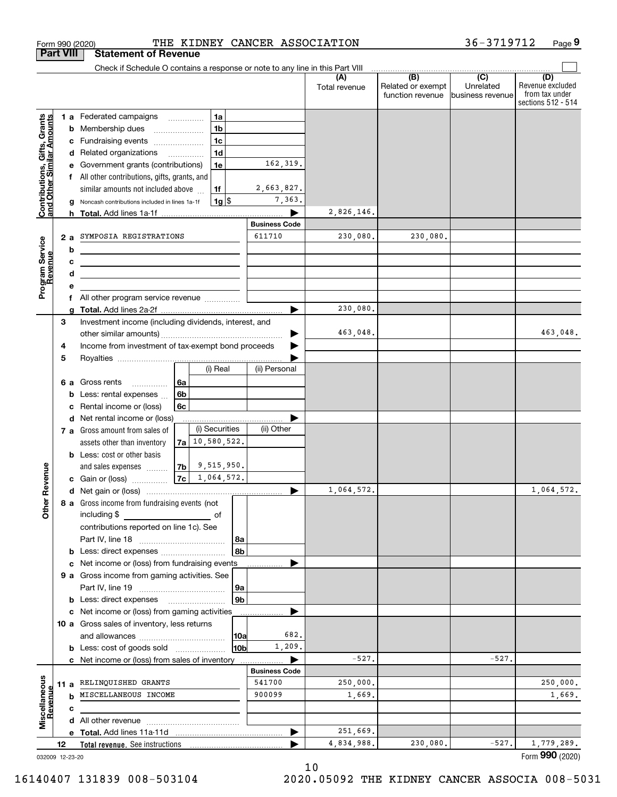|                                                           | <b>Part VIII</b> | <b>Statement of Revenue</b>                                                                                           |                |                    |          |                      |                      |                                                           |                                                   |                                                                 |
|-----------------------------------------------------------|------------------|-----------------------------------------------------------------------------------------------------------------------|----------------|--------------------|----------|----------------------|----------------------|-----------------------------------------------------------|---------------------------------------------------|-----------------------------------------------------------------|
|                                                           |                  | Check if Schedule O contains a response or note to any line in this Part VIII                                         |                |                    |          |                      |                      |                                                           |                                                   |                                                                 |
|                                                           |                  |                                                                                                                       |                |                    |          |                      | (A)<br>Total revenue | $\overline{(B)}$<br>Related or exempt<br>function revenue | $\overline{(C)}$<br>Unrelated<br>business revenue | (D)<br>Revenue excluded<br>from tax under<br>sections 512 - 514 |
|                                                           |                  | 1 a Federated campaigns                                                                                               |                | 1a                 |          |                      |                      |                                                           |                                                   |                                                                 |
| Contributions, Gifts, Grants<br>and Other Similar Amounts |                  | <b>b</b> Membership dues                                                                                              |                | 1 <sub>b</sub>     |          |                      |                      |                                                           |                                                   |                                                                 |
|                                                           | с                | Fundraising events                                                                                                    |                | 1 <sub>c</sub>     |          |                      |                      |                                                           |                                                   |                                                                 |
|                                                           |                  | d Related organizations                                                                                               |                | 1 <sub>d</sub>     |          |                      |                      |                                                           |                                                   |                                                                 |
|                                                           | е                | Government grants (contributions)                                                                                     |                | 1e                 |          | 162,319.             |                      |                                                           |                                                   |                                                                 |
|                                                           |                  | f All other contributions, gifts, grants, and                                                                         |                |                    |          |                      |                      |                                                           |                                                   |                                                                 |
|                                                           |                  | similar amounts not included above                                                                                    |                | 1f                 |          | 2,663,827.           |                      |                                                           |                                                   |                                                                 |
|                                                           |                  | Noncash contributions included in lines 1a-1f                                                                         |                | $1g$ \$            |          | 7,363.               |                      |                                                           |                                                   |                                                                 |
|                                                           | h                |                                                                                                                       |                |                    |          |                      | 2,826,146.           |                                                           |                                                   |                                                                 |
|                                                           |                  |                                                                                                                       |                |                    |          | <b>Business Code</b> |                      |                                                           |                                                   |                                                                 |
|                                                           | 2a               | SYMPOSIA REGISTRATIONS                                                                                                |                |                    |          | 611710               | 230,080.             | 230,080.                                                  |                                                   |                                                                 |
|                                                           | b                | <u> 1980 - Johann Barn, mars ann an t-Amhain Aonaich an t-Aonaich an t-Aonaich ann an t-Aonaich ann an t-Aonaich</u>  |                |                    |          |                      |                      |                                                           |                                                   |                                                                 |
|                                                           | с                | <u> 1989 - Johann Barbara, martin amerikan basar dan berasal dan berasal dalam basar dalam basar dalam basar dala</u> |                |                    |          |                      |                      |                                                           |                                                   |                                                                 |
|                                                           | d                | the contract of the contract of the contract of the contract of the contract of                                       |                |                    |          |                      |                      |                                                           |                                                   |                                                                 |
| Program Service<br>Revenue                                | e                |                                                                                                                       |                |                    |          |                      |                      |                                                           |                                                   |                                                                 |
|                                                           | f                |                                                                                                                       |                |                    |          |                      | 230,080.             |                                                           |                                                   |                                                                 |
|                                                           | 3                | Investment income (including dividends, interest, and                                                                 |                |                    |          |                      |                      |                                                           |                                                   |                                                                 |
|                                                           |                  |                                                                                                                       |                |                    |          |                      | 463,048.             |                                                           |                                                   | 463,048.                                                        |
|                                                           | 4                | Income from investment of tax-exempt bond proceeds                                                                    |                |                    |          |                      |                      |                                                           |                                                   |                                                                 |
|                                                           | 5                |                                                                                                                       |                |                    |          |                      |                      |                                                           |                                                   |                                                                 |
|                                                           |                  |                                                                                                                       |                | (i) Real           |          | (ii) Personal        |                      |                                                           |                                                   |                                                                 |
|                                                           | 6а               | Gross rents<br>.                                                                                                      | 6a             |                    |          |                      |                      |                                                           |                                                   |                                                                 |
|                                                           | b                | Less: rental expenses                                                                                                 | 6 <sub>b</sub> |                    |          |                      |                      |                                                           |                                                   |                                                                 |
|                                                           | c                | Rental income or (loss)                                                                                               | 6с             |                    |          |                      |                      |                                                           |                                                   |                                                                 |
|                                                           |                  | d Net rental income or (loss)                                                                                         |                |                    |          |                      |                      |                                                           |                                                   |                                                                 |
|                                                           |                  | 7 a Gross amount from sales of                                                                                        |                | (i) Securities     |          | (ii) Other           |                      |                                                           |                                                   |                                                                 |
|                                                           |                  | assets other than inventory                                                                                           |                | $7a$ 10, 580, 522. |          |                      |                      |                                                           |                                                   |                                                                 |
|                                                           |                  | <b>b</b> Less: cost or other basis                                                                                    |                |                    |          |                      |                      |                                                           |                                                   |                                                                 |
|                                                           |                  | and sales expenses                                                                                                    |                | $ 7b $ 9,515,950.  |          |                      |                      |                                                           |                                                   |                                                                 |
| Revenue                                                   |                  | <b>c</b> Gain or (loss) $\ldots$                                                                                      |                | $ 7c $ 1,064,572.  |          |                      |                      |                                                           |                                                   |                                                                 |
|                                                           |                  |                                                                                                                       |                |                    |          | ▶                    | 1,064,572.           |                                                           |                                                   | 1,064,572.                                                      |
| Othe                                                      |                  | 8 a Gross income from fundraising events (not                                                                         |                |                    |          |                      |                      |                                                           |                                                   |                                                                 |
|                                                           |                  | including \$                                                                                                          |                | of                 |          |                      |                      |                                                           |                                                   |                                                                 |
|                                                           |                  | contributions reported on line 1c). See                                                                               |                |                    |          |                      |                      |                                                           |                                                   |                                                                 |
|                                                           |                  |                                                                                                                       |                |                    | 8a       |                      |                      |                                                           |                                                   |                                                                 |
|                                                           |                  |                                                                                                                       |                |                    | 8b       |                      |                      |                                                           |                                                   |                                                                 |
|                                                           |                  | c Net income or (loss) from fundraising events                                                                        |                |                    |          |                      |                      |                                                           |                                                   |                                                                 |
|                                                           |                  | 9 a Gross income from gaming activities. See                                                                          |                |                    |          |                      |                      |                                                           |                                                   |                                                                 |
|                                                           |                  | <b>b</b> Less: direct expenses                                                                                        |                |                    | 9a<br>9b |                      |                      |                                                           |                                                   |                                                                 |
|                                                           |                  | c Net income or (loss) from gaming activities                                                                         |                |                    |          |                      |                      |                                                           |                                                   |                                                                 |
|                                                           |                  | 10 a Gross sales of inventory, less returns                                                                           |                |                    |          |                      |                      |                                                           |                                                   |                                                                 |
|                                                           |                  |                                                                                                                       |                |                    | 10a      | 682.                 |                      |                                                           |                                                   |                                                                 |
|                                                           |                  | <b>b</b> Less: cost of goods sold                                                                                     |                |                    | 10bl     | 1,209.               |                      |                                                           |                                                   |                                                                 |
|                                                           |                  | c Net income or (loss) from sales of inventory                                                                        |                |                    |          |                      | $-527.$              |                                                           | $-527.$                                           |                                                                 |
|                                                           |                  |                                                                                                                       |                |                    |          | <b>Business Code</b> |                      |                                                           |                                                   |                                                                 |
|                                                           |                  | 11 a RELINQUISHED GRANTS                                                                                              |                |                    |          | 541700               | 250,000.             |                                                           |                                                   | 250,000.                                                        |
| Revenue                                                   |                  | <b>b</b> MISCELLANEOUS INCOME                                                                                         |                |                    |          | 900099               | 1,669.               |                                                           |                                                   | 1,669.                                                          |
|                                                           | c                |                                                                                                                       |                |                    |          |                      |                      |                                                           |                                                   |                                                                 |
| Miscellaneous                                             |                  |                                                                                                                       |                |                    |          |                      |                      |                                                           |                                                   |                                                                 |
|                                                           |                  |                                                                                                                       |                |                    |          |                      | 251,669.             |                                                           |                                                   |                                                                 |
|                                                           | 12               |                                                                                                                       |                |                    |          |                      | 4,834,988.           | 230,080.                                                  | $-527.$                                           | 1,779,289.                                                      |
|                                                           | 032009 12-23-20  |                                                                                                                       |                |                    |          |                      |                      |                                                           |                                                   | Form 990 (2020)                                                 |

10

Form 990 (2020) THE KIDNEY CANCER ASSOCIATION 36-3719712 Page

**9**

36-3719712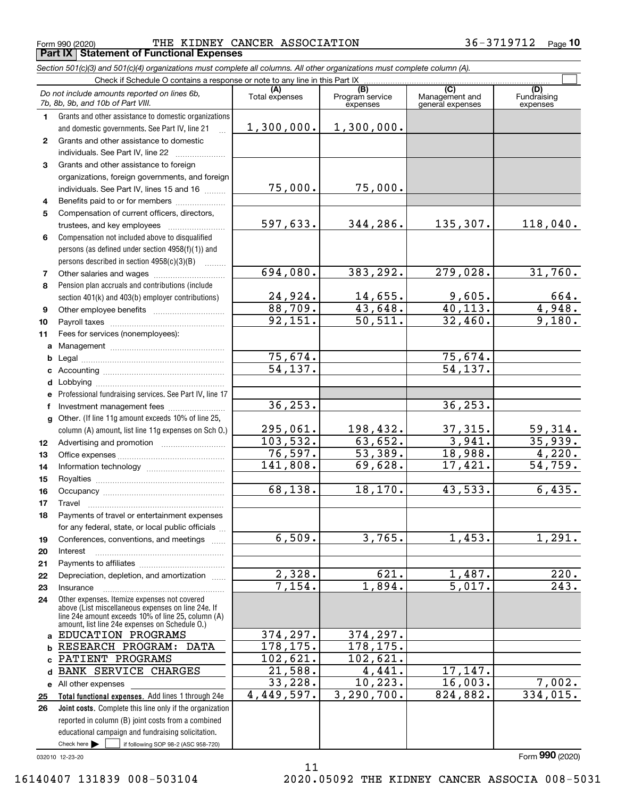Form 990 (2020) THE KIDNEY CANCER ASSOCIATION 36-3719712 Page **Part IX Statement of Functional Expenses**

*Section 501(c)(3) and 501(c)(4) organizations must complete all columns. All other organizations must complete column (A).*

|              | Do not include amounts reported on lines 6b,<br>7b, 8b, 9b, and 10b of Part VIII.                                                                        | (A)<br>Total expenses | (B)<br>Program service<br>expenses | $\overline{C}$<br>Management and<br>general expenses | (D)<br>Fundraising<br>expenses |
|--------------|----------------------------------------------------------------------------------------------------------------------------------------------------------|-----------------------|------------------------------------|------------------------------------------------------|--------------------------------|
| 1.           | Grants and other assistance to domestic organizations                                                                                                    |                       |                                    |                                                      |                                |
|              | and domestic governments. See Part IV, line 21                                                                                                           | 1,300,000.            | 1,300,000.                         |                                                      |                                |
| $\mathbf{2}$ | Grants and other assistance to domestic                                                                                                                  |                       |                                    |                                                      |                                |
|              | individuals. See Part IV, line 22                                                                                                                        |                       |                                    |                                                      |                                |
| 3            | Grants and other assistance to foreign                                                                                                                   |                       |                                    |                                                      |                                |
|              | organizations, foreign governments, and foreign                                                                                                          |                       |                                    |                                                      |                                |
|              | individuals. See Part IV, lines 15 and 16                                                                                                                | 75,000.               | 75,000.                            |                                                      |                                |
| 4            | Benefits paid to or for members                                                                                                                          |                       |                                    |                                                      |                                |
| 5            | Compensation of current officers, directors,                                                                                                             |                       |                                    |                                                      |                                |
|              | trustees, and key employees                                                                                                                              | 597,633.              | 344,286.                           | 135,307.                                             | 118,040.                       |
| 6            | Compensation not included above to disqualified                                                                                                          |                       |                                    |                                                      |                                |
|              | persons (as defined under section 4958(f)(1)) and                                                                                                        |                       |                                    |                                                      |                                |
|              | persons described in section 4958(c)(3)(B)                                                                                                               |                       |                                    |                                                      |                                |
| 7            |                                                                                                                                                          | 694,080.              | 383,292.                           | 279,028.                                             | 31,760.                        |
| 8            | Pension plan accruals and contributions (include                                                                                                         |                       |                                    |                                                      |                                |
|              | section 401(k) and 403(b) employer contributions)                                                                                                        | 24,924.               | 14,655.                            | 9,605.                                               | $\frac{664}{4,948}$            |
| 9            |                                                                                                                                                          | 88,709.               | 43,648.                            | 40, 113.                                             |                                |
| 10           |                                                                                                                                                          | 92,151.               | $\overline{50,511}$ .              | 32,460.                                              | 9,180.                         |
| 11           | Fees for services (nonemployees):                                                                                                                        |                       |                                    |                                                      |                                |
|              |                                                                                                                                                          |                       |                                    |                                                      |                                |
|              |                                                                                                                                                          | 75,674.               |                                    | 75,674.                                              |                                |
|              |                                                                                                                                                          | 54, 137.              |                                    | 54, 137.                                             |                                |
|              |                                                                                                                                                          |                       |                                    |                                                      |                                |
|              | e Professional fundraising services. See Part IV, line 17                                                                                                |                       |                                    |                                                      |                                |
| f            | Investment management fees                                                                                                                               | 36, 253.              |                                    | 36, 253.                                             |                                |
|              | g Other. (If line 11g amount exceeds 10% of line 25,                                                                                                     |                       |                                    |                                                      |                                |
|              | column (A) amount, list line 11g expenses on Sch 0.)                                                                                                     | 295,061.              | 198,432.                           | 37,315.                                              | 59,314.                        |
| 12           |                                                                                                                                                          | 103, 532.             | 63,652.                            | 3,941.                                               | 35,939.                        |
| 13           |                                                                                                                                                          | 76,597.               | 53,389.                            | 18,988.                                              | 4,220.                         |
| 14           |                                                                                                                                                          | 141,808.              | 69,628.                            | 17,421.                                              | 54, 759.                       |
| 15           |                                                                                                                                                          |                       |                                    |                                                      |                                |
| 16           |                                                                                                                                                          | 68,138.               | 18, 170.                           | 43,533.                                              | 6,435.                         |
| 17           |                                                                                                                                                          |                       |                                    |                                                      |                                |
| 18           | Payments of travel or entertainment expenses                                                                                                             |                       |                                    |                                                      |                                |
|              | for any federal, state, or local public officials                                                                                                        |                       |                                    |                                                      |                                |
| 19           | Conferences, conventions, and meetings                                                                                                                   | 6,509.                | 3,765.                             | 1,453.                                               | 1,291.                         |
| 20           | Interest                                                                                                                                                 |                       |                                    |                                                      |                                |
| 21           |                                                                                                                                                          |                       |                                    |                                                      |                                |
| 22           | Depreciation, depletion, and amortization                                                                                                                | 2,328.                | 621.                               | 1,487.                                               | 220.                           |
| 23           | Insurance                                                                                                                                                | 7,154.                | 1,894.                             | 5,017.                                               | $\overline{243}$ .             |
| 24           | Other expenses. Itemize expenses not covered<br>above (List miscellaneous expenses on line 24e. If<br>line 24e amount exceeds 10% of line 25, column (A) |                       |                                    |                                                      |                                |
|              | amount, list line 24e expenses on Schedule 0.)<br>a EDUCATION PROGRAMS                                                                                   | 374,297.              | 374,297.                           |                                                      |                                |
|              | <b>b RESEARCH PROGRAM: DATA</b>                                                                                                                          | 178,175.              | 178,175.                           |                                                      |                                |
| c.           | PATIENT PROGRAMS                                                                                                                                         | 102,621.              | 102,621.                           |                                                      |                                |
| d            | <b>BANK SERVICE CHARGES</b>                                                                                                                              | 21,588.               | 4,441.                             | 17,147.                                              |                                |
|              | e All other expenses                                                                                                                                     | 33,228.               | 10, 223.                           | 16,003.                                              | 7,002.                         |
| 25           | Total functional expenses. Add lines 1 through 24e                                                                                                       | 4,449,597.            | 3, 290, 700.                       | 824,882.                                             | 334,015.                       |
| 26           | Joint costs. Complete this line only if the organization                                                                                                 |                       |                                    |                                                      |                                |
|              | reported in column (B) joint costs from a combined                                                                                                       |                       |                                    |                                                      |                                |
|              | educational campaign and fundraising solicitation.                                                                                                       |                       |                                    |                                                      |                                |
|              | Check here $\blacktriangleright$<br>if following SOP 98-2 (ASC 958-720)                                                                                  |                       |                                    |                                                      |                                |

11

032010 12-23-20

Form (2020) **990**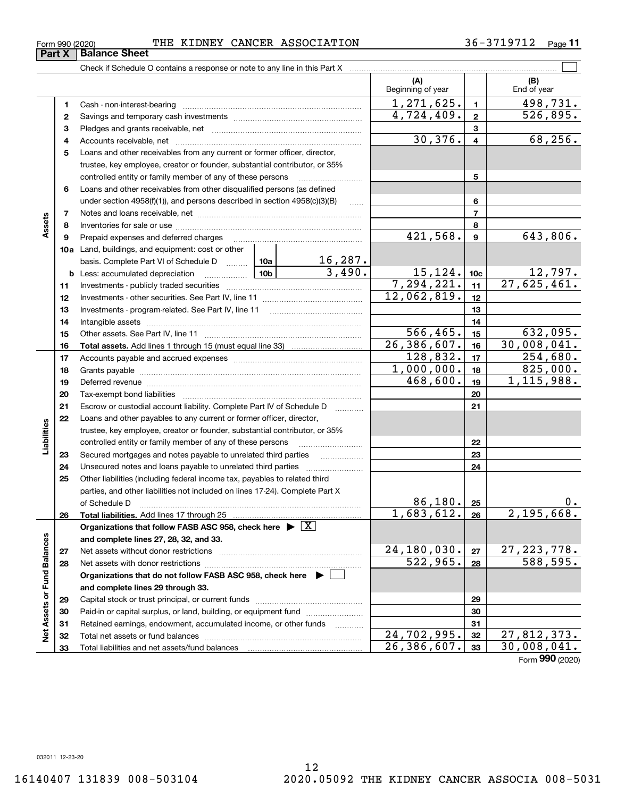| Form 990 (2020) | THE |  |  | KIDNEY CANCER ASSOCIATION | 3719712 | Page |
|-----------------|-----|--|--|---------------------------|---------|------|
|-----------------|-----|--|--|---------------------------|---------|------|

Check if Schedule O contains a response or note to any line in this Part X

|                             |    |                                                                                                                     |                 |                                 | (A)<br>Beginning of year    |                 | (B)<br>End of year          |
|-----------------------------|----|---------------------------------------------------------------------------------------------------------------------|-----------------|---------------------------------|-----------------------------|-----------------|-----------------------------|
|                             | 1  | Cash - non-interest-bearing                                                                                         |                 |                                 | $\overline{1,271,625}$ .    | $\mathbf{1}$    | 498,731.                    |
|                             | 2  |                                                                                                                     |                 |                                 | 4,724,409.                  | $\mathbf{2}$    | 526,895.                    |
|                             | з  |                                                                                                                     |                 | 3                               |                             |                 |                             |
|                             | 4  |                                                                                                                     |                 |                                 | 30,376.                     | 4               | 68, 256.                    |
|                             | 5  | Loans and other receivables from any current or former officer, director,                                           |                 |                                 |                             |                 |                             |
|                             |    | trustee, key employee, creator or founder, substantial contributor, or 35%                                          |                 |                                 |                             |                 |                             |
|                             |    | controlled entity or family member of any of these persons                                                          |                 |                                 |                             | 5               |                             |
|                             | 6  | Loans and other receivables from other disqualified persons (as defined                                             |                 |                                 |                             |                 |                             |
|                             |    | under section $4958(f)(1)$ , and persons described in section $4958(c)(3)(B)$                                       |                 | .                               |                             | 6               |                             |
|                             | 7  |                                                                                                                     |                 |                                 |                             | $\overline{7}$  |                             |
| Assets                      | 8  |                                                                                                                     |                 |                                 |                             | 8               |                             |
|                             | 9  | Prepaid expenses and deferred charges                                                                               |                 |                                 | 421,568.                    | 9               | 643,806.                    |
|                             |    | 10a Land, buildings, and equipment: cost or other                                                                   |                 |                                 |                             |                 |                             |
|                             |    | basis. Complete Part VI of Schedule D                                                                               |                 | $\frac{16,287.}{3,490.}$<br>10a |                             |                 |                             |
|                             | b  | Less: accumulated depreciation                                                                                      | 10 <sub>b</sub> |                                 | $\frac{15,124}{7,294,221}.$ | 10 <sub>c</sub> | $\frac{12,797}{27,625,461}$ |
|                             | 11 |                                                                                                                     |                 |                                 |                             | 11              |                             |
|                             | 12 |                                                                                                                     | 12,062,819.     | 12                              |                             |                 |                             |
|                             | 13 | Investments - program-related. See Part IV, line 11                                                                 |                 | 13                              |                             |                 |                             |
|                             | 14 | Intangible assets [111] married assets [11] matter and matter and matter and matter and matter and matter and m     |                 | 14                              |                             |                 |                             |
|                             | 15 |                                                                                                                     |                 |                                 | 566, 465.                   | 15              | 632,095.                    |
|                             | 16 |                                                                                                                     |                 |                                 | 26,386,607.                 | 16              | 30,008,041.                 |
|                             | 17 |                                                                                                                     |                 |                                 | 128,832.                    | 17              | 254,680.                    |
|                             | 18 |                                                                                                                     | 1,000,000.      | 18                              | 825,000.                    |                 |                             |
|                             | 19 | Deferred revenue manual contracts and contracts are all the manual contracts and contracts are all the contracts of | 468,600.        | 19                              | 1, 115, 988.                |                 |                             |
|                             | 20 |                                                                                                                     |                 | 20                              |                             |                 |                             |
|                             | 21 | Escrow or custodial account liability. Complete Part IV of Schedule D                                               |                 | 21                              |                             |                 |                             |
|                             | 22 | Loans and other payables to any current or former officer, director,                                                |                 |                                 |                             |                 |                             |
| Liabilities                 |    | trustee, key employee, creator or founder, substantial contributor, or 35%                                          |                 |                                 |                             |                 |                             |
|                             |    | controlled entity or family member of any of these persons                                                          |                 |                                 |                             | 22              |                             |
|                             | 23 | Secured mortgages and notes payable to unrelated third parties                                                      |                 | .                               |                             | 23              |                             |
|                             | 24 | Unsecured notes and loans payable to unrelated third parties                                                        |                 |                                 |                             | 24              |                             |
|                             | 25 | Other liabilities (including federal income tax, payables to related third                                          |                 |                                 |                             |                 |                             |
|                             |    | parties, and other liabilities not included on lines 17-24). Complete Part X                                        |                 | 86,180.                         |                             | 0.              |                             |
|                             |    | of Schedule D                                                                                                       |                 |                                 | 1,683,612.                  | 25<br>26        | 2,195,668.                  |
|                             | 26 | Organizations that follow FASB ASC 958, check here $\blacktriangleright \boxed{X}$                                  |                 |                                 |                             |                 |                             |
|                             |    | and complete lines 27, 28, 32, and 33.                                                                              |                 |                                 |                             |                 |                             |
|                             | 27 | Net assets without donor restrictions                                                                               |                 |                                 | 24,180,030.                 | 27              |                             |
|                             | 28 | Net assets with donor restrictions                                                                                  |                 |                                 | 522,965.                    | 28              | 27, 223, 778.<br>588, 595.  |
|                             |    | Organizations that do not follow FASB ASC 958, check here $\blacktriangleright$                                     |                 |                                 |                             |                 |                             |
|                             |    | and complete lines 29 through 33.                                                                                   |                 |                                 |                             |                 |                             |
|                             | 29 |                                                                                                                     |                 |                                 |                             | 29              |                             |
|                             | 30 | Paid-in or capital surplus, or land, building, or equipment fund                                                    |                 |                                 |                             | 30              |                             |
|                             | 31 | Retained earnings, endowment, accumulated income, or other funds                                                    |                 | .                               |                             | 31              |                             |
| Net Assets or Fund Balances | 32 | Total net assets or fund balances                                                                                   |                 |                                 | 24,702,995.                 | 32              | 27,812,373.                 |
|                             | 33 | Total liabilities and net assets/fund balances                                                                      |                 |                                 | $\overline{26,386,607}$ .   | 33              | 30,008,041.                 |
|                             |    |                                                                                                                     |                 |                                 |                             |                 |                             |

Form (2020) **990**

 $\mathcal{L}^{\text{max}}$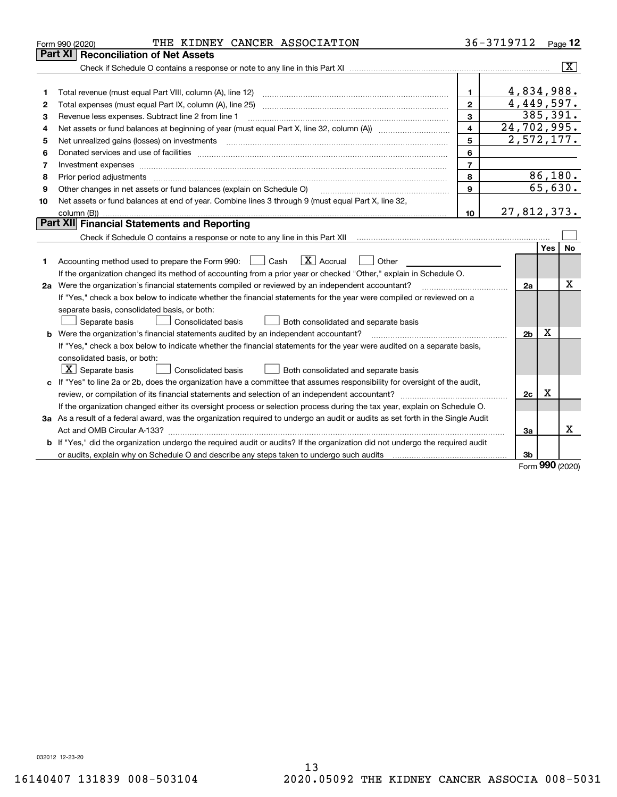| Part XI<br><b>Reconciliation of Net Assets</b><br>4,834,988.<br>$\mathbf{1}$<br>1<br>4,449,597.<br>$\overline{2}$<br>Total expenses (must equal Part IX, column (A), line 25)<br>2<br>385,391.<br>3<br>Revenue less expenses. Subtract line 2 from line 1<br>з<br>24,702,995.<br>$\overline{4}$<br>Net assets or fund balances at beginning of year (must equal Part X, line 32, column (A)) <i></i><br>4<br>$\overline{2,572,177}$ .<br>5<br>5<br>6<br>6<br>$\overline{7}$<br>Investment expenses<br>7<br>86,180.<br>8<br>8<br>65,630.<br>9<br>Other changes in net assets or fund balances (explain on Schedule O)<br>9<br>Net assets or fund balances at end of year. Combine lines 3 through 9 (must equal Part X, line 32,<br>10 | Page $12$               |
|---------------------------------------------------------------------------------------------------------------------------------------------------------------------------------------------------------------------------------------------------------------------------------------------------------------------------------------------------------------------------------------------------------------------------------------------------------------------------------------------------------------------------------------------------------------------------------------------------------------------------------------------------------------------------------------------------------------------------------------|-------------------------|
|                                                                                                                                                                                                                                                                                                                                                                                                                                                                                                                                                                                                                                                                                                                                       |                         |
|                                                                                                                                                                                                                                                                                                                                                                                                                                                                                                                                                                                                                                                                                                                                       | $\overline{\mathbf{X}}$ |
|                                                                                                                                                                                                                                                                                                                                                                                                                                                                                                                                                                                                                                                                                                                                       |                         |
|                                                                                                                                                                                                                                                                                                                                                                                                                                                                                                                                                                                                                                                                                                                                       |                         |
|                                                                                                                                                                                                                                                                                                                                                                                                                                                                                                                                                                                                                                                                                                                                       |                         |
|                                                                                                                                                                                                                                                                                                                                                                                                                                                                                                                                                                                                                                                                                                                                       |                         |
|                                                                                                                                                                                                                                                                                                                                                                                                                                                                                                                                                                                                                                                                                                                                       |                         |
|                                                                                                                                                                                                                                                                                                                                                                                                                                                                                                                                                                                                                                                                                                                                       |                         |
|                                                                                                                                                                                                                                                                                                                                                                                                                                                                                                                                                                                                                                                                                                                                       |                         |
|                                                                                                                                                                                                                                                                                                                                                                                                                                                                                                                                                                                                                                                                                                                                       |                         |
|                                                                                                                                                                                                                                                                                                                                                                                                                                                                                                                                                                                                                                                                                                                                       |                         |
|                                                                                                                                                                                                                                                                                                                                                                                                                                                                                                                                                                                                                                                                                                                                       |                         |
|                                                                                                                                                                                                                                                                                                                                                                                                                                                                                                                                                                                                                                                                                                                                       |                         |
| 27,812,373.<br>10                                                                                                                                                                                                                                                                                                                                                                                                                                                                                                                                                                                                                                                                                                                     |                         |
| Part XII Financial Statements and Reporting                                                                                                                                                                                                                                                                                                                                                                                                                                                                                                                                                                                                                                                                                           |                         |
|                                                                                                                                                                                                                                                                                                                                                                                                                                                                                                                                                                                                                                                                                                                                       |                         |
| <b>Yes</b>                                                                                                                                                                                                                                                                                                                                                                                                                                                                                                                                                                                                                                                                                                                            | <b>No</b>               |
| $\boxed{\text{X}}$ Accrual<br>Accounting method used to prepare the Form 990: <u>[</u> Cash<br>Other<br>1.                                                                                                                                                                                                                                                                                                                                                                                                                                                                                                                                                                                                                            |                         |
| If the organization changed its method of accounting from a prior year or checked "Other," explain in Schedule O.                                                                                                                                                                                                                                                                                                                                                                                                                                                                                                                                                                                                                     |                         |
| 2a Were the organization's financial statements compiled or reviewed by an independent accountant?<br>2a                                                                                                                                                                                                                                                                                                                                                                                                                                                                                                                                                                                                                              | х                       |
| If "Yes," check a box below to indicate whether the financial statements for the year were compiled or reviewed on a                                                                                                                                                                                                                                                                                                                                                                                                                                                                                                                                                                                                                  |                         |
| separate basis, consolidated basis, or both:                                                                                                                                                                                                                                                                                                                                                                                                                                                                                                                                                                                                                                                                                          |                         |
| Both consolidated and separate basis<br>Separate basis<br>Consolidated basis                                                                                                                                                                                                                                                                                                                                                                                                                                                                                                                                                                                                                                                          |                         |
| Χ<br><b>b</b> Were the organization's financial statements audited by an independent accountant?<br>2 <sub>b</sub>                                                                                                                                                                                                                                                                                                                                                                                                                                                                                                                                                                                                                    |                         |
| If "Yes," check a box below to indicate whether the financial statements for the year were audited on a separate basis,                                                                                                                                                                                                                                                                                                                                                                                                                                                                                                                                                                                                               |                         |
| consolidated basis, or both:                                                                                                                                                                                                                                                                                                                                                                                                                                                                                                                                                                                                                                                                                                          |                         |
| $X$ Separate basis<br><b>Consolidated basis</b><br>Both consolidated and separate basis                                                                                                                                                                                                                                                                                                                                                                                                                                                                                                                                                                                                                                               |                         |
| c If "Yes" to line 2a or 2b, does the organization have a committee that assumes responsibility for oversight of the audit,                                                                                                                                                                                                                                                                                                                                                                                                                                                                                                                                                                                                           |                         |
| Χ<br>2c                                                                                                                                                                                                                                                                                                                                                                                                                                                                                                                                                                                                                                                                                                                               |                         |
| If the organization changed either its oversight process or selection process during the tax year, explain on Schedule O.                                                                                                                                                                                                                                                                                                                                                                                                                                                                                                                                                                                                             |                         |
| 3a As a result of a federal award, was the organization required to undergo an audit or audits as set forth in the Single Audit                                                                                                                                                                                                                                                                                                                                                                                                                                                                                                                                                                                                       |                         |
| За                                                                                                                                                                                                                                                                                                                                                                                                                                                                                                                                                                                                                                                                                                                                    | X                       |
| <b>b</b> If "Yes," did the organization undergo the required audit or audits? If the organization did not undergo the required audit                                                                                                                                                                                                                                                                                                                                                                                                                                                                                                                                                                                                  |                         |
| or audits, explain why on Schedule O and describe any steps taken to undergo such audits [11] outcome manuscrimon<br>3b                                                                                                                                                                                                                                                                                                                                                                                                                                                                                                                                                                                                               |                         |

Form (2020) **990**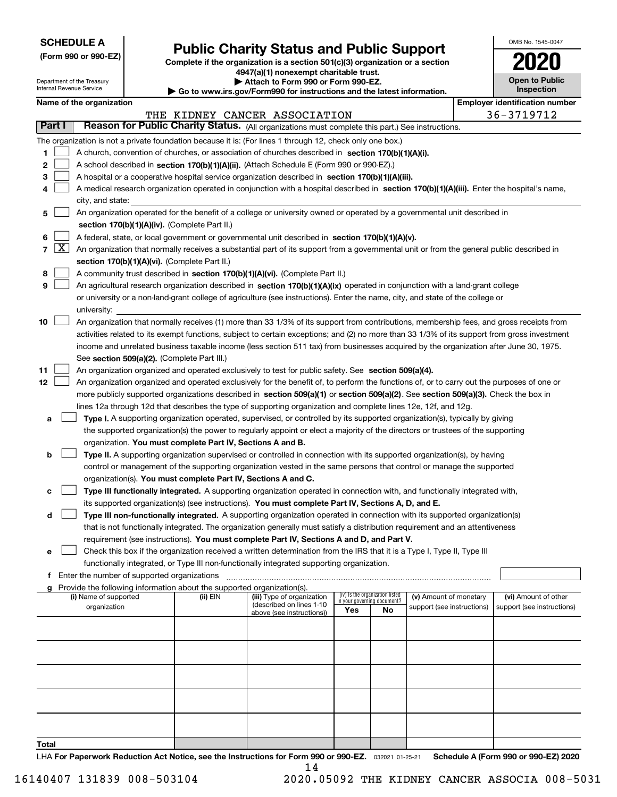| <b>SCHEDULE A</b> |
|-------------------|
|-------------------|

Department of the Treasury Internal Revenue Service

**(Form 990 or 990-EZ)**

# **Public Charity Status and Public Support**

**Complete if the organization is a section 501(c)(3) organization or a section 4947(a)(1) nonexempt charitable trust.**

| Attach to Form 990 or Form 990-EZ.                           |
|--------------------------------------------------------------|
| unu iyo may/Eayya000 fay iyahuyatigan gu dika labaat iyfayya |

**| Go to www.irs.gov/Form990 for instructions and the latest information.**

| OMB No. 1545-0047                   |
|-------------------------------------|
| 2020                                |
| <b>Open to Public</b><br>Inspection |

|  | Name of the organization |
|--|--------------------------|
|--|--------------------------|

|       |                                                                                                                             | Name of the organization                                                                                                                     |          |                               |                             |                                 |                                                      |  | <b>Employer identification number</b>              |  |  |  |
|-------|-----------------------------------------------------------------------------------------------------------------------------|----------------------------------------------------------------------------------------------------------------------------------------------|----------|-------------------------------|-----------------------------|---------------------------------|------------------------------------------------------|--|----------------------------------------------------|--|--|--|
|       | Part I                                                                                                                      |                                                                                                                                              |          | THE KIDNEY CANCER ASSOCIATION |                             |                                 |                                                      |  | $36 - 3719712$                                     |  |  |  |
|       |                                                                                                                             | Reason for Public Charity Status. (All organizations must complete this part.) See instructions.                                             |          |                               |                             |                                 |                                                      |  |                                                    |  |  |  |
|       |                                                                                                                             | The organization is not a private foundation because it is: (For lines 1 through 12, check only one box.)                                    |          |                               |                             |                                 |                                                      |  |                                                    |  |  |  |
| 1     |                                                                                                                             | A church, convention of churches, or association of churches described in section 170(b)(1)(A)(i).                                           |          |                               |                             |                                 |                                                      |  |                                                    |  |  |  |
| 2     |                                                                                                                             | A school described in section 170(b)(1)(A)(ii). (Attach Schedule E (Form 990 or 990-EZ).)                                                    |          |                               |                             |                                 |                                                      |  |                                                    |  |  |  |
| 3     |                                                                                                                             | A hospital or a cooperative hospital service organization described in section $170(b)(1)(A)(iii)$ .                                         |          |                               |                             |                                 |                                                      |  |                                                    |  |  |  |
| 4     |                                                                                                                             | A medical research organization operated in conjunction with a hospital described in section 170(b)(1)(A)(iii). Enter the hospital's name,   |          |                               |                             |                                 |                                                      |  |                                                    |  |  |  |
|       |                                                                                                                             | city, and state:                                                                                                                             |          |                               |                             |                                 |                                                      |  |                                                    |  |  |  |
| 5     |                                                                                                                             | An organization operated for the benefit of a college or university owned or operated by a governmental unit described in                    |          |                               |                             |                                 |                                                      |  |                                                    |  |  |  |
|       |                                                                                                                             | section 170(b)(1)(A)(iv). (Complete Part II.)                                                                                                |          |                               |                             |                                 |                                                      |  |                                                    |  |  |  |
| 6     |                                                                                                                             | A federal, state, or local government or governmental unit described in section 170(b)(1)(A)(v).                                             |          |                               |                             |                                 |                                                      |  |                                                    |  |  |  |
|       | 7 $ X $                                                                                                                     | An organization that normally receives a substantial part of its support from a governmental unit or from the general public described in    |          |                               |                             |                                 |                                                      |  |                                                    |  |  |  |
|       |                                                                                                                             | section 170(b)(1)(A)(vi). (Complete Part II.)                                                                                                |          |                               |                             |                                 |                                                      |  |                                                    |  |  |  |
| 8     |                                                                                                                             | A community trust described in section 170(b)(1)(A)(vi). (Complete Part II.)                                                                 |          |                               |                             |                                 |                                                      |  |                                                    |  |  |  |
| 9     |                                                                                                                             | An agricultural research organization described in section 170(b)(1)(A)(ix) operated in conjunction with a land-grant college                |          |                               |                             |                                 |                                                      |  |                                                    |  |  |  |
|       |                                                                                                                             | or university or a non-land-grant college of agriculture (see instructions). Enter the name, city, and state of the college or               |          |                               |                             |                                 |                                                      |  |                                                    |  |  |  |
|       |                                                                                                                             | university:                                                                                                                                  |          |                               |                             |                                 |                                                      |  |                                                    |  |  |  |
| 10    |                                                                                                                             | An organization that normally receives (1) more than 33 1/3% of its support from contributions, membership fees, and gross receipts from     |          |                               |                             |                                 |                                                      |  |                                                    |  |  |  |
|       |                                                                                                                             | activities related to its exempt functions, subject to certain exceptions; and (2) no more than 33 1/3% of its support from gross investment |          |                               |                             |                                 |                                                      |  |                                                    |  |  |  |
|       |                                                                                                                             | income and unrelated business taxable income (less section 511 tax) from businesses acquired by the organization after June 30, 1975.        |          |                               |                             |                                 |                                                      |  |                                                    |  |  |  |
|       |                                                                                                                             | See section 509(a)(2). (Complete Part III.)                                                                                                  |          |                               |                             |                                 |                                                      |  |                                                    |  |  |  |
| 11    |                                                                                                                             | An organization organized and operated exclusively to test for public safety. See section 509(a)(4).                                         |          |                               |                             |                                 |                                                      |  |                                                    |  |  |  |
| 12    |                                                                                                                             | An organization organized and operated exclusively for the benefit of, to perform the functions of, or to carry out the purposes of one or   |          |                               |                             |                                 |                                                      |  |                                                    |  |  |  |
|       |                                                                                                                             | more publicly supported organizations described in section 509(a)(1) or section 509(a)(2). See section 509(a)(3). Check the box in           |          |                               |                             |                                 |                                                      |  |                                                    |  |  |  |
|       |                                                                                                                             | lines 12a through 12d that describes the type of supporting organization and complete lines 12e, 12f, and 12g.                               |          |                               |                             |                                 |                                                      |  |                                                    |  |  |  |
| а     | Type I. A supporting organization operated, supervised, or controlled by its supported organization(s), typically by giving |                                                                                                                                              |          |                               |                             |                                 |                                                      |  |                                                    |  |  |  |
|       |                                                                                                                             | the supported organization(s) the power to regularly appoint or elect a majority of the directors or trustees of the supporting              |          |                               |                             |                                 |                                                      |  |                                                    |  |  |  |
|       |                                                                                                                             | organization. You must complete Part IV, Sections A and B.                                                                                   |          |                               |                             |                                 |                                                      |  |                                                    |  |  |  |
| b     |                                                                                                                             | Type II. A supporting organization supervised or controlled in connection with its supported organization(s), by having                      |          |                               |                             |                                 |                                                      |  |                                                    |  |  |  |
|       |                                                                                                                             | control or management of the supporting organization vested in the same persons that control or manage the supported                         |          |                               |                             |                                 |                                                      |  |                                                    |  |  |  |
|       |                                                                                                                             | organization(s). You must complete Part IV, Sections A and C.                                                                                |          |                               |                             |                                 |                                                      |  |                                                    |  |  |  |
| с     |                                                                                                                             | Type III functionally integrated. A supporting organization operated in connection with, and functionally integrated with,                   |          |                               |                             |                                 |                                                      |  |                                                    |  |  |  |
|       |                                                                                                                             | its supported organization(s) (see instructions). You must complete Part IV, Sections A, D, and E.                                           |          |                               |                             |                                 |                                                      |  |                                                    |  |  |  |
| d     |                                                                                                                             | Type III non-functionally integrated. A supporting organization operated in connection with its supported organization(s)                    |          |                               |                             |                                 |                                                      |  |                                                    |  |  |  |
|       |                                                                                                                             | that is not functionally integrated. The organization generally must satisfy a distribution requirement and an attentiveness                 |          |                               |                             |                                 |                                                      |  |                                                    |  |  |  |
|       |                                                                                                                             | requirement (see instructions). You must complete Part IV, Sections A and D, and Part V.                                                     |          |                               |                             |                                 |                                                      |  |                                                    |  |  |  |
|       |                                                                                                                             | Check this box if the organization received a written determination from the IRS that it is a Type I, Type II, Type III                      |          |                               |                             |                                 |                                                      |  |                                                    |  |  |  |
|       |                                                                                                                             | functionally integrated, or Type III non-functionally integrated supporting organization.                                                    |          |                               |                             |                                 |                                                      |  |                                                    |  |  |  |
| f     |                                                                                                                             | Enter the number of supported organizations                                                                                                  |          |                               |                             |                                 |                                                      |  |                                                    |  |  |  |
|       |                                                                                                                             | g Provide the following information about the supported organization(s).<br>(i) Name of supported                                            |          | (iii) Type of organization    |                             | (iv) Is the organization listed |                                                      |  |                                                    |  |  |  |
|       |                                                                                                                             | organization                                                                                                                                 | (ii) EIN | (described on lines 1-10      | in your governing document? |                                 | (v) Amount of monetary<br>support (see instructions) |  | (vi) Amount of other<br>support (see instructions) |  |  |  |
|       |                                                                                                                             |                                                                                                                                              |          | above (see instructions))     | Yes                         | No                              |                                                      |  |                                                    |  |  |  |
|       |                                                                                                                             |                                                                                                                                              |          |                               |                             |                                 |                                                      |  |                                                    |  |  |  |
|       |                                                                                                                             |                                                                                                                                              |          |                               |                             |                                 |                                                      |  |                                                    |  |  |  |
|       |                                                                                                                             |                                                                                                                                              |          |                               |                             |                                 |                                                      |  |                                                    |  |  |  |
|       |                                                                                                                             |                                                                                                                                              |          |                               |                             |                                 |                                                      |  |                                                    |  |  |  |
|       |                                                                                                                             |                                                                                                                                              |          |                               |                             |                                 |                                                      |  |                                                    |  |  |  |
|       |                                                                                                                             |                                                                                                                                              |          |                               |                             |                                 |                                                      |  |                                                    |  |  |  |
|       |                                                                                                                             |                                                                                                                                              |          |                               |                             |                                 |                                                      |  |                                                    |  |  |  |
|       |                                                                                                                             |                                                                                                                                              |          |                               |                             |                                 |                                                      |  |                                                    |  |  |  |
|       |                                                                                                                             |                                                                                                                                              |          |                               |                             |                                 |                                                      |  |                                                    |  |  |  |
| Total |                                                                                                                             |                                                                                                                                              |          |                               |                             |                                 |                                                      |  |                                                    |  |  |  |

LHA For Paperwork Reduction Act Notice, see the Instructions for Form 990 or 990-EZ. <sub>032021</sub> o1-25-21 Schedule A (Form 990 or 990-EZ) 2020 14

16140407 131839 008-503104 2020.05092 THE KIDNEY CANCER ASSOCIA 008-5031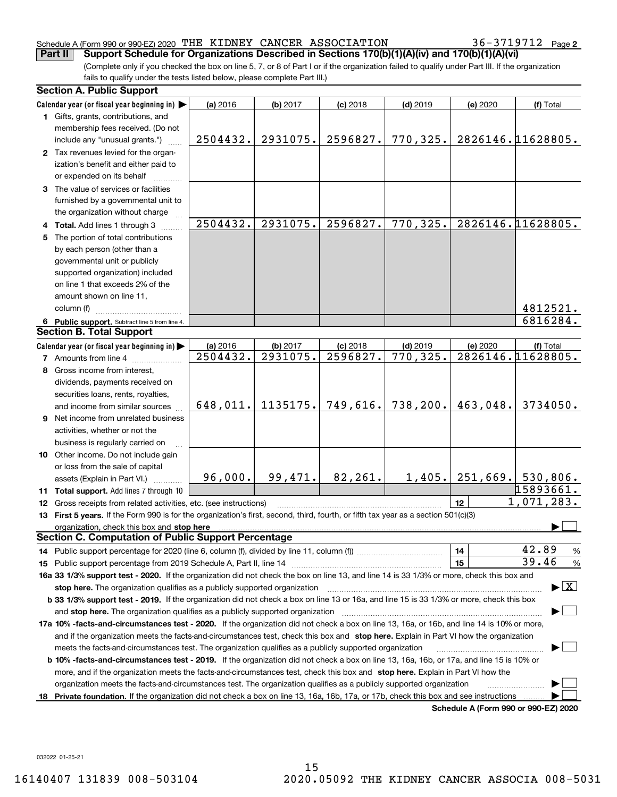## Schedule A (Form 990 or 990-EZ) 2020 「THE KIDNEY CANCER ASSOCIATION  $36-3719712$  Page **Part II Support Schedule for Organizations Described in Sections 170(b)(1)(A)(iv) and 170(b)(1)(A)(vi)**

36-3719712 Page 2

(Complete only if you checked the box on line 5, 7, or 8 of Part I or if the organization failed to qualify under Part III. If the organization fails to qualify under the tests listed below, please complete Part III.)

|    | <b>Section A. Public Support</b>                                                                                                                                                                                               |          |          |            |            |          |                                         |
|----|--------------------------------------------------------------------------------------------------------------------------------------------------------------------------------------------------------------------------------|----------|----------|------------|------------|----------|-----------------------------------------|
|    | Calendar year (or fiscal year beginning in)                                                                                                                                                                                    | (a) 2016 | (b) 2017 | $(c)$ 2018 | $(d)$ 2019 | (e) 2020 | (f) Total                               |
|    | 1 Gifts, grants, contributions, and                                                                                                                                                                                            |          |          |            |            |          |                                         |
|    | membership fees received. (Do not                                                                                                                                                                                              |          |          |            |            |          |                                         |
|    | include any "unusual grants.")                                                                                                                                                                                                 | 2504432. | 2931075. | 2596827.   | 770,325.   |          | 2826146.11628805.                       |
|    | 2 Tax revenues levied for the organ-                                                                                                                                                                                           |          |          |            |            |          |                                         |
|    | ization's benefit and either paid to                                                                                                                                                                                           |          |          |            |            |          |                                         |
|    | or expended on its behalf                                                                                                                                                                                                      |          |          |            |            |          |                                         |
|    | 3 The value of services or facilities                                                                                                                                                                                          |          |          |            |            |          |                                         |
|    | furnished by a governmental unit to                                                                                                                                                                                            |          |          |            |            |          |                                         |
|    | the organization without charge                                                                                                                                                                                                |          |          |            |            |          |                                         |
|    | 4 Total. Add lines 1 through 3                                                                                                                                                                                                 | 2504432. | 2931075. | 2596827.   | 770,325.   |          | 2826146.11628805.                       |
|    | 5 The portion of total contributions                                                                                                                                                                                           |          |          |            |            |          |                                         |
|    | by each person (other than a                                                                                                                                                                                                   |          |          |            |            |          |                                         |
|    | governmental unit or publicly                                                                                                                                                                                                  |          |          |            |            |          |                                         |
|    | supported organization) included                                                                                                                                                                                               |          |          |            |            |          |                                         |
|    | on line 1 that exceeds 2% of the                                                                                                                                                                                               |          |          |            |            |          |                                         |
|    | amount shown on line 11,                                                                                                                                                                                                       |          |          |            |            |          |                                         |
|    | column (f)                                                                                                                                                                                                                     |          |          |            |            |          | 4812521.                                |
|    | 6 Public support. Subtract line 5 from line 4.                                                                                                                                                                                 |          |          |            |            |          | 6816284.                                |
|    | <b>Section B. Total Support</b>                                                                                                                                                                                                |          |          |            |            |          |                                         |
|    | Calendar year (or fiscal year beginning in)                                                                                                                                                                                    | (a) 2016 | (b) 2017 | $(c)$ 2018 | $(d)$ 2019 | (e) 2020 | (f) Total                               |
|    | <b>7</b> Amounts from line 4                                                                                                                                                                                                   | 2504432. | 2931075. | 2596827.   | 770, 325.  |          | 2826146.11628805.                       |
| 8  | Gross income from interest,                                                                                                                                                                                                    |          |          |            |            |          |                                         |
|    | dividends, payments received on                                                                                                                                                                                                |          |          |            |            |          |                                         |
|    | securities loans, rents, royalties,                                                                                                                                                                                            |          |          |            |            |          |                                         |
|    | and income from similar sources                                                                                                                                                                                                | 648,011. | 1135175. | 749,616.   | 738, 200.  | 463,048. | 3734050.                                |
|    | 9 Net income from unrelated business                                                                                                                                                                                           |          |          |            |            |          |                                         |
|    | activities, whether or not the                                                                                                                                                                                                 |          |          |            |            |          |                                         |
|    | business is regularly carried on                                                                                                                                                                                               |          |          |            |            |          |                                         |
|    | 10 Other income. Do not include gain                                                                                                                                                                                           |          |          |            |            |          |                                         |
|    | or loss from the sale of capital                                                                                                                                                                                               |          |          |            |            |          |                                         |
|    | assets (Explain in Part VI.)                                                                                                                                                                                                   | 96,000.  | 99,471.  | 82,261.    | 1,405.     |          | $251,669.$ 530,806.                     |
|    | 11 Total support. Add lines 7 through 10                                                                                                                                                                                       |          |          |            |            |          | 15893661.                               |
|    | 12 Gross receipts from related activities, etc. (see instructions)                                                                                                                                                             |          |          |            |            | 12       | 1,071,283.                              |
|    | 13 First 5 years. If the Form 990 is for the organization's first, second, third, fourth, or fifth tax year as a section 501(c)(3)                                                                                             |          |          |            |            |          |                                         |
|    | organization, check this box and stop here manufactured and stop here are all the contractions of the state of the state of the state of the state of the state of the state of the state of the state of the state of the sta |          |          |            |            |          |                                         |
|    | <b>Section C. Computation of Public Support Percentage</b>                                                                                                                                                                     |          |          |            |            |          |                                         |
|    |                                                                                                                                                                                                                                |          |          |            |            | 14       | 42.89<br>$\frac{9}{6}$                  |
|    |                                                                                                                                                                                                                                |          |          |            |            | 15       | 39.46<br>%                              |
|    | 16a 33 1/3% support test - 2020. If the organization did not check the box on line 13, and line 14 is 33 1/3% or more, check this box and                                                                                      |          |          |            |            |          |                                         |
|    | stop here. The organization qualifies as a publicly supported organization                                                                                                                                                     |          |          |            |            |          | $\blacktriangleright$ $\vert$ X $\vert$ |
|    | b 33 1/3% support test - 2019. If the organization did not check a box on line 13 or 16a, and line 15 is 33 1/3% or more, check this box                                                                                       |          |          |            |            |          |                                         |
|    | and stop here. The organization qualifies as a publicly supported organization                                                                                                                                                 |          |          |            |            |          |                                         |
|    | 17a 10% -facts-and-circumstances test - 2020. If the organization did not check a box on line 13, 16a, or 16b, and line 14 is 10% or more,                                                                                     |          |          |            |            |          |                                         |
|    | and if the organization meets the facts-and-circumstances test, check this box and stop here. Explain in Part VI how the organization                                                                                          |          |          |            |            |          |                                         |
|    | meets the facts-and-circumstances test. The organization qualifies as a publicly supported organization                                                                                                                        |          |          |            |            |          |                                         |
|    | <b>b 10% -facts-and-circumstances test - 2019.</b> If the organization did not check a box on line 13, 16a, 16b, or 17a, and line 15 is 10% or                                                                                 |          |          |            |            |          |                                         |
|    | more, and if the organization meets the facts-and-circumstances test, check this box and stop here. Explain in Part VI how the                                                                                                 |          |          |            |            |          |                                         |
|    | organization meets the facts-and-circumstances test. The organization qualifies as a publicly supported organization                                                                                                           |          |          |            |            |          |                                         |
| 18 | Private foundation. If the organization did not check a box on line 13, 16a, 16b, 17a, or 17b, check this box and see instructions                                                                                             |          |          |            |            |          |                                         |
|    |                                                                                                                                                                                                                                |          |          |            |            |          | Schedule A (Form 990 or 990-EZ) 2020    |

**Schedule A (Form 990 or 990-EZ) 2020**

032022 01-25-21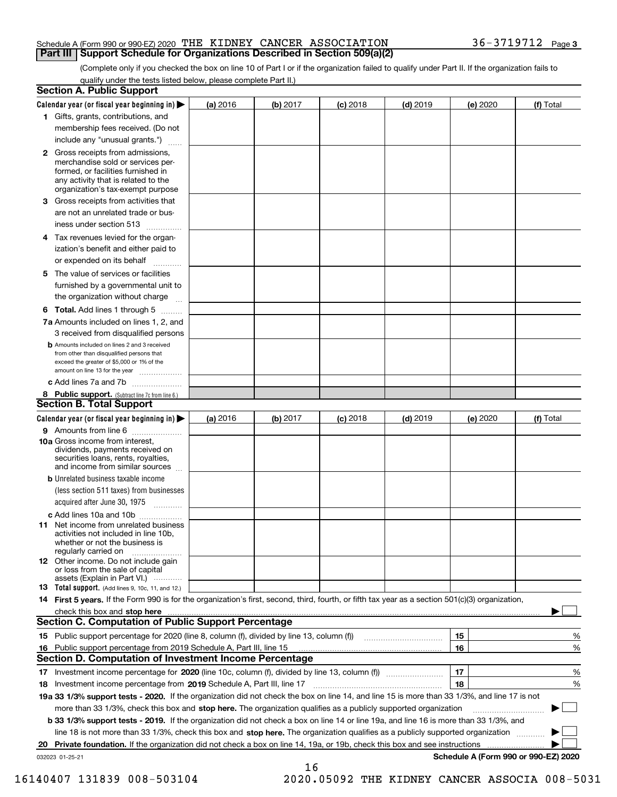## Schedule A (Form 990 or 990-EZ) 2020 「THE KIDNEY CANCER ASSOCIATION  $36-3719712$  Page **Part III Support Schedule for Organizations Described in Section 509(a)(2)**

(Complete only if you checked the box on line 10 of Part I or if the organization failed to qualify under Part II. If the organization fails to qualify under the tests listed below, please complete Part II.)

|    | <b>Section A. Public Support</b>                                                                                                                                                                                              |          |          |            |            |          |                                      |
|----|-------------------------------------------------------------------------------------------------------------------------------------------------------------------------------------------------------------------------------|----------|----------|------------|------------|----------|--------------------------------------|
|    | Calendar year (or fiscal year beginning in) $\blacktriangleright$                                                                                                                                                             | (a) 2016 | (b) 2017 | $(c)$ 2018 | $(d)$ 2019 | (e) 2020 | (f) Total                            |
|    | 1 Gifts, grants, contributions, and                                                                                                                                                                                           |          |          |            |            |          |                                      |
|    | membership fees received. (Do not                                                                                                                                                                                             |          |          |            |            |          |                                      |
|    | include any "unusual grants.")                                                                                                                                                                                                |          |          |            |            |          |                                      |
|    | 2 Gross receipts from admissions,<br>merchandise sold or services per-<br>formed, or facilities furnished in<br>any activity that is related to the<br>organization's tax-exempt purpose                                      |          |          |            |            |          |                                      |
|    | 3 Gross receipts from activities that<br>are not an unrelated trade or bus-                                                                                                                                                   |          |          |            |            |          |                                      |
|    | iness under section 513                                                                                                                                                                                                       |          |          |            |            |          |                                      |
|    | 4 Tax revenues levied for the organ-                                                                                                                                                                                          |          |          |            |            |          |                                      |
|    | ization's benefit and either paid to<br>or expended on its behalf<br>.                                                                                                                                                        |          |          |            |            |          |                                      |
|    | 5 The value of services or facilities                                                                                                                                                                                         |          |          |            |            |          |                                      |
|    | furnished by a governmental unit to                                                                                                                                                                                           |          |          |            |            |          |                                      |
|    | the organization without charge                                                                                                                                                                                               |          |          |            |            |          |                                      |
|    | <b>6 Total.</b> Add lines 1 through 5                                                                                                                                                                                         |          |          |            |            |          |                                      |
|    | 7a Amounts included on lines 1, 2, and                                                                                                                                                                                        |          |          |            |            |          |                                      |
|    | 3 received from disqualified persons                                                                                                                                                                                          |          |          |            |            |          |                                      |
|    | <b>b</b> Amounts included on lines 2 and 3 received<br>from other than disqualified persons that<br>exceed the greater of \$5,000 or 1% of the<br>amount on line 13 for the year                                              |          |          |            |            |          |                                      |
|    | c Add lines 7a and 7b                                                                                                                                                                                                         |          |          |            |            |          |                                      |
|    | 8 Public support. (Subtract line 7c from line 6.)                                                                                                                                                                             |          |          |            |            |          |                                      |
|    | <b>Section B. Total Support</b>                                                                                                                                                                                               |          |          |            |            |          |                                      |
|    | Calendar year (or fiscal year beginning in) $\blacktriangleright$                                                                                                                                                             | (a) 2016 | (b) 2017 | $(c)$ 2018 | $(d)$ 2019 | (e) 2020 | (f) Total                            |
|    | 9 Amounts from line 6                                                                                                                                                                                                         |          |          |            |            |          |                                      |
|    | 10a Gross income from interest,<br>dividends, payments received on<br>securities loans, rents, royalties,<br>and income from similar sources                                                                                  |          |          |            |            |          |                                      |
|    | <b>b</b> Unrelated business taxable income<br>(less section 511 taxes) from businesses                                                                                                                                        |          |          |            |            |          |                                      |
|    | acquired after June 30, 1975                                                                                                                                                                                                  |          |          |            |            |          |                                      |
|    | c Add lines 10a and 10b<br>11 Net income from unrelated business<br>activities not included in line 10b,<br>whether or not the business is<br>regularly carried on                                                            |          |          |            |            |          |                                      |
|    | 12 Other income. Do not include gain<br>or loss from the sale of capital<br>assets (Explain in Part VI.)                                                                                                                      |          |          |            |            |          |                                      |
|    | <b>13</b> Total support. (Add lines 9, 10c, 11, and 12.)                                                                                                                                                                      |          |          |            |            |          |                                      |
|    | 14 First 5 years. If the Form 990 is for the organization's first, second, third, fourth, or fifth tax year as a section 501(c)(3) organization,                                                                              |          |          |            |            |          |                                      |
|    | check this box and stop here with the continuum control to the change of the state of the state of the change of the change of the change of the change of the change of the change of the change of the change of the change |          |          |            |            |          |                                      |
|    | Section C. Computation of Public Support Percentage                                                                                                                                                                           |          |          |            |            |          |                                      |
|    | 15 Public support percentage for 2020 (line 8, column (f), divided by line 13, column (f))                                                                                                                                    |          |          |            |            | 15       | %                                    |
|    | 16 Public support percentage from 2019 Schedule A, Part III, line 15                                                                                                                                                          |          |          |            |            | 16       | %                                    |
|    | <b>Section D. Computation of Investment Income Percentage</b>                                                                                                                                                                 |          |          |            |            |          |                                      |
|    | 17 Investment income percentage for 2020 (line 10c, column (f), divided by line 13, column (f))                                                                                                                               |          |          |            |            | 17       | %                                    |
|    | <b>18</b> Investment income percentage from <b>2019</b> Schedule A, Part III, line 17                                                                                                                                         |          |          |            |            | 18       | %                                    |
|    | 19a 33 1/3% support tests - 2020. If the organization did not check the box on line 14, and line 15 is more than 33 1/3%, and line 17 is not                                                                                  |          |          |            |            |          |                                      |
|    | more than 33 1/3%, check this box and stop here. The organization qualifies as a publicly supported organization                                                                                                              |          |          |            |            |          | ▶                                    |
|    | b 33 1/3% support tests - 2019. If the organization did not check a box on line 14 or line 19a, and line 16 is more than 33 1/3%, and                                                                                         |          |          |            |            |          |                                      |
|    | line 18 is not more than 33 1/3%, check this box and stop here. The organization qualifies as a publicly supported organization                                                                                               |          |          |            |            |          |                                      |
| 20 | <b>Private foundation.</b> If the organization did not check a box on line 14, 19a, or 19b, check this box and see instructions                                                                                               |          |          |            |            |          |                                      |
|    | 032023 01-25-21                                                                                                                                                                                                               |          | 16       |            |            |          | Schedule A (Form 990 or 990-EZ) 2020 |

 <sup>16140407 131839 008-503104 2020.05092</sup> THE KIDNEY CANCER ASSOCIA 008-5031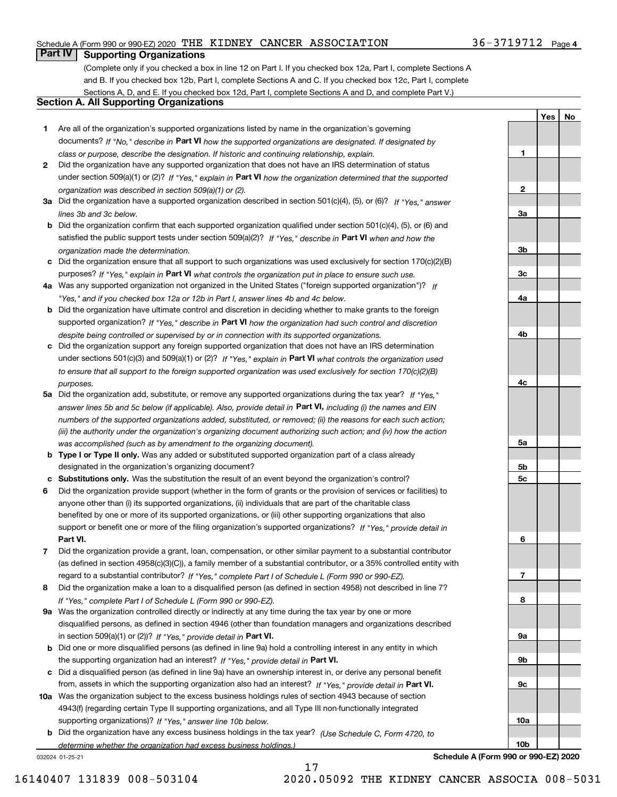## Schedule A (Form 990 or 990-EZ) 2020 「THE KIDNEY CANCER ASSOCIATION  $36-3719712$  Page

## **Part IV Supporting Organizations**

(Complete only if you checked a box in line 12 on Part I. If you checked box 12a, Part I, complete Sections A and B. If you checked box 12b, Part I, complete Sections A and C. If you checked box 12c, Part I, complete Sections A, D, and E. If you checked box 12d, Part I, complete Sections A and D, and complete Part V.)

## **Section A. All Supporting Organizations**

- **1** Are all of the organization's supported organizations listed by name in the organization's governing documents? If "No," describe in **Part VI** how the supported organizations are designated. If designated by *class or purpose, describe the designation. If historic and continuing relationship, explain.*
- **2** Did the organization have any supported organization that does not have an IRS determination of status under section 509(a)(1) or (2)? If "Yes," explain in Part VI how the organization determined that the supported *organization was described in section 509(a)(1) or (2).*
- **3a** Did the organization have a supported organization described in section 501(c)(4), (5), or (6)? If "Yes," answer *lines 3b and 3c below.*
- **b** Did the organization confirm that each supported organization qualified under section 501(c)(4), (5), or (6) and satisfied the public support tests under section 509(a)(2)? If "Yes," describe in **Part VI** when and how the *organization made the determination.*
- **c**Did the organization ensure that all support to such organizations was used exclusively for section 170(c)(2)(B) purposes? If "Yes," explain in **Part VI** what controls the organization put in place to ensure such use.
- **4a***If* Was any supported organization not organized in the United States ("foreign supported organization")? *"Yes," and if you checked box 12a or 12b in Part I, answer lines 4b and 4c below.*
- **b** Did the organization have ultimate control and discretion in deciding whether to make grants to the foreign supported organization? If "Yes," describe in **Part VI** how the organization had such control and discretion *despite being controlled or supervised by or in connection with its supported organizations.*
- **c** Did the organization support any foreign supported organization that does not have an IRS determination under sections 501(c)(3) and 509(a)(1) or (2)? If "Yes," explain in **Part VI** what controls the organization used *to ensure that all support to the foreign supported organization was used exclusively for section 170(c)(2)(B) purposes.*
- **5a** Did the organization add, substitute, or remove any supported organizations during the tax year? If "Yes," answer lines 5b and 5c below (if applicable). Also, provide detail in **Part VI,** including (i) the names and EIN *numbers of the supported organizations added, substituted, or removed; (ii) the reasons for each such action; (iii) the authority under the organization's organizing document authorizing such action; and (iv) how the action was accomplished (such as by amendment to the organizing document).*
- **b** Type I or Type II only. Was any added or substituted supported organization part of a class already designated in the organization's organizing document?
- **cSubstitutions only.**  Was the substitution the result of an event beyond the organization's control?
- **6** Did the organization provide support (whether in the form of grants or the provision of services or facilities) to **Part VI.** *If "Yes," provide detail in* support or benefit one or more of the filing organization's supported organizations? anyone other than (i) its supported organizations, (ii) individuals that are part of the charitable class benefited by one or more of its supported organizations, or (iii) other supporting organizations that also
- **7**Did the organization provide a grant, loan, compensation, or other similar payment to a substantial contributor *If "Yes," complete Part I of Schedule L (Form 990 or 990-EZ).* regard to a substantial contributor? (as defined in section 4958(c)(3)(C)), a family member of a substantial contributor, or a 35% controlled entity with
- **8** Did the organization make a loan to a disqualified person (as defined in section 4958) not described in line 7? *If "Yes," complete Part I of Schedule L (Form 990 or 990-EZ).*
- **9a** Was the organization controlled directly or indirectly at any time during the tax year by one or more in section 509(a)(1) or (2))? If "Yes," *provide detail in* <code>Part VI.</code> disqualified persons, as defined in section 4946 (other than foundation managers and organizations described
- **b** Did one or more disqualified persons (as defined in line 9a) hold a controlling interest in any entity in which the supporting organization had an interest? If "Yes," provide detail in P**art VI**.
- **c**Did a disqualified person (as defined in line 9a) have an ownership interest in, or derive any personal benefit from, assets in which the supporting organization also had an interest? If "Yes," provide detail in P**art VI.**
- **10a** Was the organization subject to the excess business holdings rules of section 4943 because of section supporting organizations)? If "Yes," answer line 10b below. 4943(f) (regarding certain Type II supporting organizations, and all Type III non-functionally integrated
- **b** Did the organization have any excess business holdings in the tax year? (Use Schedule C, Form 4720, to *determine whether the organization had excess business holdings.)*

032024 01-25-21

**Schedule A (Form 990 or 990-EZ) 2020**

**1**

**2**

**3a**

**3b**

**3c**

**4a**

**4b**

**4c**

**5a**

**5b5c**

**6**

**7**

**8**

**9a**

**9b**

**9c**

**10a**

**10b**

**YesNo**

17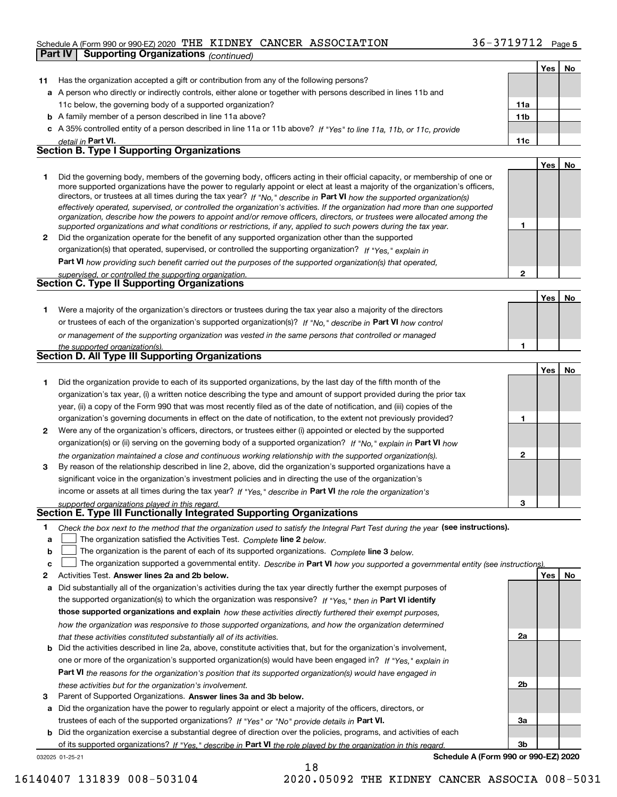## Schedule A (Form 990 or 990-EZ) 2020 「THE KIDNEY CANCER ASSOCIATION  $36-3719712$  Page **Part IV Supporting Organizations** *(continued)*

|    |                                                                                                                                                                                                                                                            |                | Yes | No |
|----|------------------------------------------------------------------------------------------------------------------------------------------------------------------------------------------------------------------------------------------------------------|----------------|-----|----|
| 11 | Has the organization accepted a gift or contribution from any of the following persons?                                                                                                                                                                    |                |     |    |
|    | a A person who directly or indirectly controls, either alone or together with persons described in lines 11b and                                                                                                                                           |                |     |    |
|    | 11c below, the governing body of a supported organization?                                                                                                                                                                                                 | 11a            |     |    |
|    | <b>b</b> A family member of a person described in line 11a above?                                                                                                                                                                                          | 11b            |     |    |
|    | c A 35% controlled entity of a person described in line 11a or 11b above? If "Yes" to line 11a, 11b, or 11c, provide                                                                                                                                       |                |     |    |
|    | detail in Part VI.                                                                                                                                                                                                                                         | 11c            |     |    |
|    | <b>Section B. Type I Supporting Organizations</b>                                                                                                                                                                                                          |                |     |    |
|    |                                                                                                                                                                                                                                                            |                | Yes | No |
| 1  | Did the governing body, members of the governing body, officers acting in their official capacity, or membership of one or                                                                                                                                 |                |     |    |
|    | more supported organizations have the power to regularly appoint or elect at least a majority of the organization's officers,                                                                                                                              |                |     |    |
|    | directors, or trustees at all times during the tax year? If "No," describe in Part VI how the supported organization(s)                                                                                                                                    |                |     |    |
|    | effectively operated, supervised, or controlled the organization's activities. If the organization had more than one supported<br>organization, describe how the powers to appoint and/or remove officers, directors, or trustees were allocated among the |                |     |    |
|    | supported organizations and what conditions or restrictions, if any, applied to such powers during the tax year.                                                                                                                                           | 1              |     |    |
| 2  | Did the organization operate for the benefit of any supported organization other than the supported                                                                                                                                                        |                |     |    |
|    | organization(s) that operated, supervised, or controlled the supporting organization? If "Yes," explain in                                                                                                                                                 |                |     |    |
|    | Part VI how providing such benefit carried out the purposes of the supported organization(s) that operated,                                                                                                                                                |                |     |    |
|    | supervised, or controlled the supporting organization.                                                                                                                                                                                                     | $\mathbf{2}$   |     |    |
|    | <b>Section C. Type II Supporting Organizations</b>                                                                                                                                                                                                         |                |     |    |
|    |                                                                                                                                                                                                                                                            |                | Yes | No |
| 1  | Were a majority of the organization's directors or trustees during the tax year also a majority of the directors                                                                                                                                           |                |     |    |
|    | or trustees of each of the organization's supported organization(s)? If "No." describe in Part VI how control                                                                                                                                              |                |     |    |
|    | or management of the supporting organization was vested in the same persons that controlled or managed                                                                                                                                                     |                |     |    |
|    | the supported organization(s).                                                                                                                                                                                                                             | 1              |     |    |
|    | <b>Section D. All Type III Supporting Organizations</b>                                                                                                                                                                                                    |                |     |    |
|    |                                                                                                                                                                                                                                                            |                | Yes | No |
| 1  | Did the organization provide to each of its supported organizations, by the last day of the fifth month of the                                                                                                                                             |                |     |    |
|    | organization's tax year, (i) a written notice describing the type and amount of support provided during the prior tax                                                                                                                                      |                |     |    |
|    | year, (ii) a copy of the Form 990 that was most recently filed as of the date of notification, and (iii) copies of the                                                                                                                                     |                |     |    |
|    | organization's governing documents in effect on the date of notification, to the extent not previously provided?                                                                                                                                           | 1              |     |    |
| 2  | Were any of the organization's officers, directors, or trustees either (i) appointed or elected by the supported                                                                                                                                           |                |     |    |
|    | organization(s) or (ii) serving on the governing body of a supported organization? If "No," explain in Part VI how                                                                                                                                         |                |     |    |
|    | the organization maintained a close and continuous working relationship with the supported organization(s).                                                                                                                                                | $\mathbf{2}$   |     |    |
| 3  | By reason of the relationship described in line 2, above, did the organization's supported organizations have a                                                                                                                                            |                |     |    |
|    | significant voice in the organization's investment policies and in directing the use of the organization's                                                                                                                                                 |                |     |    |
|    | income or assets at all times during the tax year? If "Yes," describe in Part VI the role the organization's                                                                                                                                               |                |     |    |
|    | supported organizations played in this regard.                                                                                                                                                                                                             | 3              |     |    |
|    | Section E. Type III Functionally Integrated Supporting Organizations                                                                                                                                                                                       |                |     |    |
| 1  | Check the box next to the method that the organization used to satisfy the Integral Part Test during the year (see instructions).                                                                                                                          |                |     |    |
| a  | The organization satisfied the Activities Test. Complete line 2 below.                                                                                                                                                                                     |                |     |    |
| b  | The organization is the parent of each of its supported organizations. Complete line 3 below.                                                                                                                                                              |                |     |    |
| c  | The organization supported a governmental entity. Describe in Part VI how you supported a governmental entity (see instructions)                                                                                                                           |                |     |    |
| 2  | Activities Test. Answer lines 2a and 2b below.                                                                                                                                                                                                             |                | Yes | No |
| а  | Did substantially all of the organization's activities during the tax year directly further the exempt purposes of                                                                                                                                         |                |     |    |
|    | the supported organization(s) to which the organization was responsive? If "Yes," then in Part VI identify                                                                                                                                                 |                |     |    |
|    | those supported organizations and explain how these activities directly furthered their exempt purposes,                                                                                                                                                   |                |     |    |
|    | how the organization was responsive to those supported organizations, and how the organization determined                                                                                                                                                  |                |     |    |
|    | that these activities constituted substantially all of its activities.                                                                                                                                                                                     | 2a             |     |    |
| b  | Did the activities described in line 2a, above, constitute activities that, but for the organization's involvement,                                                                                                                                        |                |     |    |
|    | one or more of the organization's supported organization(s) would have been engaged in? If "Yes," explain in                                                                                                                                               |                |     |    |
|    | Part VI the reasons for the organization's position that its supported organization(s) would have engaged in                                                                                                                                               |                |     |    |
|    | these activities but for the organization's involvement.                                                                                                                                                                                                   | 2 <sub>b</sub> |     |    |
| з  | Parent of Supported Organizations. Answer lines 3a and 3b below.                                                                                                                                                                                           |                |     |    |
| а  | Did the organization have the power to regularly appoint or elect a majority of the officers, directors, or                                                                                                                                                |                |     |    |
|    | trustees of each of the supported organizations? If "Yes" or "No" provide details in Part VI.                                                                                                                                                              | За             |     |    |
|    |                                                                                                                                                                                                                                                            |                |     |    |

**b** Did the organization exercise a substantial degree of direction over the policies, programs, and activities of each of its supported organizations? If "Yes," describe in Part VI the role played by the organization in this regard.

18

**Schedule A (Form 990 or 990-EZ) 2020**

**3b**

032025 01-25-21

16140407 131839 008-503104 2020.05092 THE KIDNEY CANCER ASSOCIA 008-5031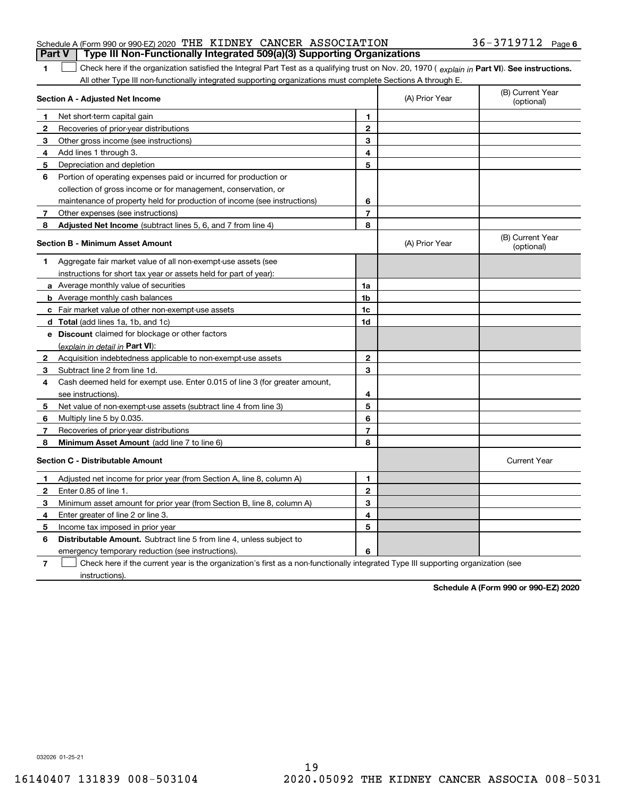|  | Schedule A (Form 990 or 990-EZ) 2020 THE KIDNEY CANCER ASSOCIATION |  |                                                                                       | $36 - 3719712$ Page 6 |  |
|--|--------------------------------------------------------------------|--|---------------------------------------------------------------------------------------|-----------------------|--|
|  |                                                                    |  | <b>Part V</b> Type III Non-Functionally Integrated 509(a)(3) Supporting Organizations |                       |  |

1 Check here if the organization satisfied the Integral Part Test as a qualifying trust on Nov. 20, 1970 (explain in Part VI). See instructions. All other Type III non-functionally integrated supporting organizations must complete Sections A through E.

|              | Section A - Adjusted Net Income                                                                                                   | (A) Prior Year | (B) Current Year<br>(optional) |                                |
|--------------|-----------------------------------------------------------------------------------------------------------------------------------|----------------|--------------------------------|--------------------------------|
| 1            | Net short-term capital gain                                                                                                       | 1              |                                |                                |
| 2            | Recoveries of prior-year distributions                                                                                            | $\mathbf{2}$   |                                |                                |
| 3            | Other gross income (see instructions)                                                                                             | 3              |                                |                                |
| 4            | Add lines 1 through 3.                                                                                                            | 4              |                                |                                |
| 5            | Depreciation and depletion                                                                                                        | 5              |                                |                                |
| 6            | Portion of operating expenses paid or incurred for production or                                                                  |                |                                |                                |
|              | collection of gross income or for management, conservation, or                                                                    |                |                                |                                |
|              | maintenance of property held for production of income (see instructions)                                                          | 6              |                                |                                |
| 7            | Other expenses (see instructions)                                                                                                 | $\overline{7}$ |                                |                                |
| 8            | Adjusted Net Income (subtract lines 5, 6, and 7 from line 4)                                                                      | 8              |                                |                                |
|              | <b>Section B - Minimum Asset Amount</b>                                                                                           |                | (A) Prior Year                 | (B) Current Year<br>(optional) |
| 1.           | Aggregate fair market value of all non-exempt-use assets (see                                                                     |                |                                |                                |
|              | instructions for short tax year or assets held for part of year):                                                                 |                |                                |                                |
|              | a Average monthly value of securities                                                                                             | 1a             |                                |                                |
|              | <b>b</b> Average monthly cash balances                                                                                            | 1 <sub>b</sub> |                                |                                |
|              | c Fair market value of other non-exempt-use assets                                                                                | 1c             |                                |                                |
|              | d Total (add lines 1a, 1b, and 1c)                                                                                                | 1d             |                                |                                |
|              | e Discount claimed for blockage or other factors                                                                                  |                |                                |                                |
|              | (explain in detail in Part VI):                                                                                                   |                |                                |                                |
| $\mathbf{2}$ | Acquisition indebtedness applicable to non-exempt-use assets                                                                      | $\mathbf{2}$   |                                |                                |
| 3            | Subtract line 2 from line 1d.                                                                                                     | 3              |                                |                                |
| 4            | Cash deemed held for exempt use. Enter 0.015 of line 3 (for greater amount,                                                       |                |                                |                                |
|              | see instructions).                                                                                                                | 4              |                                |                                |
| 5            | Net value of non-exempt-use assets (subtract line 4 from line 3)                                                                  | 5              |                                |                                |
| 6            | Multiply line 5 by 0.035.                                                                                                         | 6              |                                |                                |
| 7            | Recoveries of prior-year distributions                                                                                            | $\overline{7}$ |                                |                                |
| 8            | Minimum Asset Amount (add line 7 to line 6)                                                                                       | 8              |                                |                                |
|              | <b>Section C - Distributable Amount</b>                                                                                           |                |                                | <b>Current Year</b>            |
| 1            | Adjusted net income for prior year (from Section A, line 8, column A)                                                             | 1              |                                |                                |
| 2            | Enter 0.85 of line 1.                                                                                                             | $\mathbf{2}$   |                                |                                |
| 3            | Minimum asset amount for prior year (from Section B, line 8, column A)                                                            | 3              |                                |                                |
| 4            | Enter greater of line 2 or line 3.                                                                                                | 4              |                                |                                |
| 5            | Income tax imposed in prior year                                                                                                  | 5              |                                |                                |
| 6            | <b>Distributable Amount.</b> Subtract line 5 from line 4, unless subject to                                                       |                |                                |                                |
|              | emergency temporary reduction (see instructions).                                                                                 | 6              |                                |                                |
| 7            | Check here if the current year is the organization's first as a non-functionally integrated Type III supporting organization (see |                |                                |                                |

instructions).

**1**

**Schedule A (Form 990 or 990-EZ) 2020**

032026 01-25-21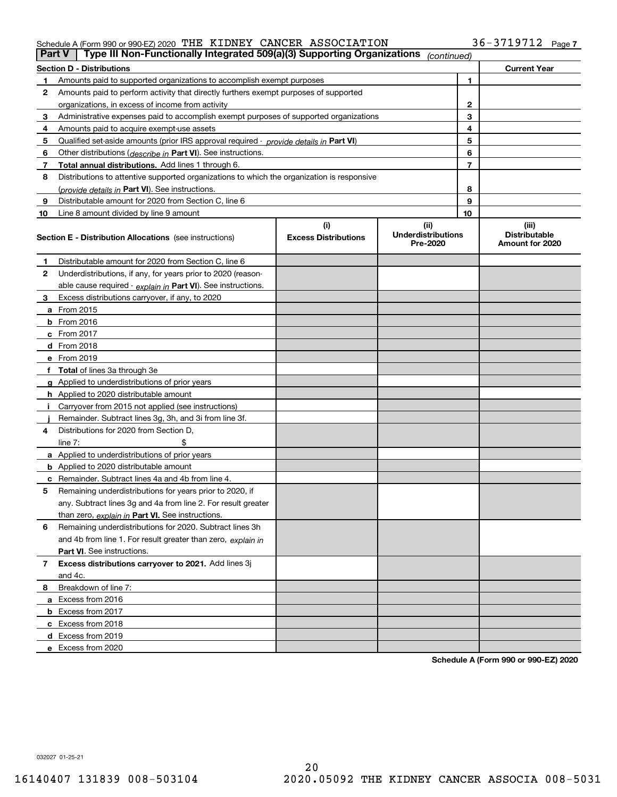### Schedule A (Form 990 or 990-EZ) 2020 Page THE KIDNEY CANCER ASSOCIATION 36-3719712

| Part V         | Type III Non-Functionally Integrated 509(a)(3) Supporting Organizations                    |                                    | (continued)                                   |    |                                                  |
|----------------|--------------------------------------------------------------------------------------------|------------------------------------|-----------------------------------------------|----|--------------------------------------------------|
|                | <b>Section D - Distributions</b>                                                           |                                    |                                               |    | <b>Current Year</b>                              |
| 1.             | Amounts paid to supported organizations to accomplish exempt purposes                      |                                    |                                               | 1  |                                                  |
| 2              | Amounts paid to perform activity that directly furthers exempt purposes of supported       |                                    |                                               |    |                                                  |
|                | organizations, in excess of income from activity                                           |                                    | 2                                             |    |                                                  |
| 3              | Administrative expenses paid to accomplish exempt purposes of supported organizations      |                                    | 3                                             |    |                                                  |
| 4              | Amounts paid to acquire exempt-use assets                                                  |                                    |                                               | 4  |                                                  |
| 5              | Qualified set-aside amounts (prior IRS approval required - provide details in Part VI)     |                                    |                                               | 5  |                                                  |
| 6              | Other distributions ( <i>describe in</i> Part VI). See instructions.                       |                                    |                                               | 6  |                                                  |
| 7              | Total annual distributions. Add lines 1 through 6.                                         |                                    |                                               | 7  |                                                  |
| 8              | Distributions to attentive supported organizations to which the organization is responsive |                                    |                                               |    |                                                  |
|                | (provide details in Part VI). See instructions.                                            |                                    |                                               | 8  |                                                  |
| 9              | Distributable amount for 2020 from Section C, line 6                                       |                                    |                                               | 9  |                                                  |
| 10             | Line 8 amount divided by line 9 amount                                                     |                                    |                                               | 10 |                                                  |
|                | <b>Section E - Distribution Allocations</b> (see instructions)                             | (i)<br><b>Excess Distributions</b> | (ii)<br><b>Underdistributions</b><br>Pre-2020 |    | (iii)<br><b>Distributable</b><br>Amount for 2020 |
| 1              | Distributable amount for 2020 from Section C, line 6                                       |                                    |                                               |    |                                                  |
| 2              | Underdistributions, if any, for years prior to 2020 (reason-                               |                                    |                                               |    |                                                  |
|                | able cause required - explain in Part VI). See instructions.                               |                                    |                                               |    |                                                  |
| 3              | Excess distributions carryover, if any, to 2020                                            |                                    |                                               |    |                                                  |
|                | a From 2015                                                                                |                                    |                                               |    |                                                  |
|                | <b>b</b> From 2016                                                                         |                                    |                                               |    |                                                  |
|                | $c$ From 2017                                                                              |                                    |                                               |    |                                                  |
|                | <b>d</b> From 2018                                                                         |                                    |                                               |    |                                                  |
|                | e From 2019                                                                                |                                    |                                               |    |                                                  |
|                | f Total of lines 3a through 3e                                                             |                                    |                                               |    |                                                  |
|                | g Applied to underdistributions of prior years                                             |                                    |                                               |    |                                                  |
|                | <b>h</b> Applied to 2020 distributable amount                                              |                                    |                                               |    |                                                  |
|                | Carryover from 2015 not applied (see instructions)                                         |                                    |                                               |    |                                                  |
|                | Remainder. Subtract lines 3g, 3h, and 3i from line 3f.                                     |                                    |                                               |    |                                                  |
| 4              | Distributions for 2020 from Section D,                                                     |                                    |                                               |    |                                                  |
|                | line $7:$                                                                                  |                                    |                                               |    |                                                  |
|                | a Applied to underdistributions of prior years                                             |                                    |                                               |    |                                                  |
|                | <b>b</b> Applied to 2020 distributable amount                                              |                                    |                                               |    |                                                  |
|                | c Remainder. Subtract lines 4a and 4b from line 4.                                         |                                    |                                               |    |                                                  |
| 5              | Remaining underdistributions for years prior to 2020, if                                   |                                    |                                               |    |                                                  |
|                | any. Subtract lines 3g and 4a from line 2. For result greater                              |                                    |                                               |    |                                                  |
|                | than zero, explain in Part VI. See instructions.                                           |                                    |                                               |    |                                                  |
| 6              | Remaining underdistributions for 2020. Subtract lines 3h                                   |                                    |                                               |    |                                                  |
|                | and 4b from line 1. For result greater than zero, explain in                               |                                    |                                               |    |                                                  |
|                | Part VI. See instructions.                                                                 |                                    |                                               |    |                                                  |
| $\overline{7}$ | Excess distributions carryover to 2021. Add lines 3j                                       |                                    |                                               |    |                                                  |
|                | and 4c.                                                                                    |                                    |                                               |    |                                                  |
| 8              | Breakdown of line 7:                                                                       |                                    |                                               |    |                                                  |
|                | a Excess from 2016                                                                         |                                    |                                               |    |                                                  |
|                | <b>b</b> Excess from 2017                                                                  |                                    |                                               |    |                                                  |
|                | c Excess from 2018                                                                         |                                    |                                               |    |                                                  |
|                | d Excess from 2019                                                                         |                                    |                                               |    |                                                  |
|                | e Excess from 2020                                                                         |                                    |                                               |    |                                                  |

**Schedule A (Form 990 or 990-EZ) 2020**

032027 01-25-21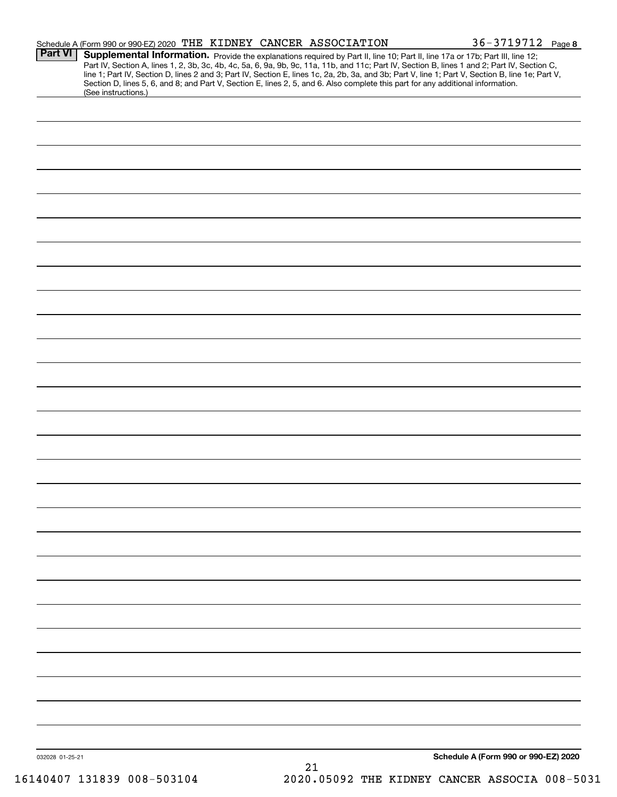|                | Schedule A (Form 990 or 990-EZ) 2020 THE KIDNEY CANCER ASSOCIATION |  |                                                                                                                                                                                                                                                                                                                                                                                                                                                                                                                                                                      | $36 - 3719712$ Page 8 |
|----------------|--------------------------------------------------------------------|--|----------------------------------------------------------------------------------------------------------------------------------------------------------------------------------------------------------------------------------------------------------------------------------------------------------------------------------------------------------------------------------------------------------------------------------------------------------------------------------------------------------------------------------------------------------------------|-----------------------|
| <b>Part VI</b> |                                                                    |  | Supplemental Information. Provide the explanations required by Part II, line 10; Part II, line 17a or 17b; Part III, line 12;<br>Part IV, Section A, lines 1, 2, 3b, 3c, 4b, 4c, 5a, 6, 9a, 9b, 9c, 11a, 11b, and 11c; Part IV, Section B, lines 1 and 2; Part IV, Section C,<br>line 1; Part IV, Section D, lines 2 and 3; Part IV, Section E, lines 1c, 2a, 2b, 3a, and 3b; Part V, line 1; Part V, Section B, line 1e; Part V,<br>Section D, lines 5, 6, and 8; and Part V, Section E, lines 2, 5, and 6. Also complete this part for any additional information. |                       |
|                | (See instructions.)                                                |  |                                                                                                                                                                                                                                                                                                                                                                                                                                                                                                                                                                      |                       |
|                |                                                                    |  |                                                                                                                                                                                                                                                                                                                                                                                                                                                                                                                                                                      |                       |
|                |                                                                    |  |                                                                                                                                                                                                                                                                                                                                                                                                                                                                                                                                                                      |                       |
|                |                                                                    |  |                                                                                                                                                                                                                                                                                                                                                                                                                                                                                                                                                                      |                       |
|                |                                                                    |  |                                                                                                                                                                                                                                                                                                                                                                                                                                                                                                                                                                      |                       |
|                |                                                                    |  |                                                                                                                                                                                                                                                                                                                                                                                                                                                                                                                                                                      |                       |
|                |                                                                    |  |                                                                                                                                                                                                                                                                                                                                                                                                                                                                                                                                                                      |                       |
|                |                                                                    |  |                                                                                                                                                                                                                                                                                                                                                                                                                                                                                                                                                                      |                       |
|                |                                                                    |  |                                                                                                                                                                                                                                                                                                                                                                                                                                                                                                                                                                      |                       |
|                |                                                                    |  |                                                                                                                                                                                                                                                                                                                                                                                                                                                                                                                                                                      |                       |
|                |                                                                    |  |                                                                                                                                                                                                                                                                                                                                                                                                                                                                                                                                                                      |                       |
|                |                                                                    |  |                                                                                                                                                                                                                                                                                                                                                                                                                                                                                                                                                                      |                       |
|                |                                                                    |  |                                                                                                                                                                                                                                                                                                                                                                                                                                                                                                                                                                      |                       |
|                |                                                                    |  |                                                                                                                                                                                                                                                                                                                                                                                                                                                                                                                                                                      |                       |
|                |                                                                    |  |                                                                                                                                                                                                                                                                                                                                                                                                                                                                                                                                                                      |                       |
|                |                                                                    |  |                                                                                                                                                                                                                                                                                                                                                                                                                                                                                                                                                                      |                       |
|                |                                                                    |  |                                                                                                                                                                                                                                                                                                                                                                                                                                                                                                                                                                      |                       |
|                |                                                                    |  |                                                                                                                                                                                                                                                                                                                                                                                                                                                                                                                                                                      |                       |
|                |                                                                    |  |                                                                                                                                                                                                                                                                                                                                                                                                                                                                                                                                                                      |                       |
|                |                                                                    |  |                                                                                                                                                                                                                                                                                                                                                                                                                                                                                                                                                                      |                       |
|                |                                                                    |  |                                                                                                                                                                                                                                                                                                                                                                                                                                                                                                                                                                      |                       |
|                |                                                                    |  |                                                                                                                                                                                                                                                                                                                                                                                                                                                                                                                                                                      |                       |
|                |                                                                    |  |                                                                                                                                                                                                                                                                                                                                                                                                                                                                                                                                                                      |                       |
|                |                                                                    |  |                                                                                                                                                                                                                                                                                                                                                                                                                                                                                                                                                                      |                       |
|                |                                                                    |  |                                                                                                                                                                                                                                                                                                                                                                                                                                                                                                                                                                      |                       |
|                |                                                                    |  |                                                                                                                                                                                                                                                                                                                                                                                                                                                                                                                                                                      |                       |
|                |                                                                    |  |                                                                                                                                                                                                                                                                                                                                                                                                                                                                                                                                                                      |                       |
|                |                                                                    |  |                                                                                                                                                                                                                                                                                                                                                                                                                                                                                                                                                                      |                       |
|                |                                                                    |  |                                                                                                                                                                                                                                                                                                                                                                                                                                                                                                                                                                      |                       |
|                |                                                                    |  |                                                                                                                                                                                                                                                                                                                                                                                                                                                                                                                                                                      |                       |
|                |                                                                    |  |                                                                                                                                                                                                                                                                                                                                                                                                                                                                                                                                                                      |                       |
|                |                                                                    |  |                                                                                                                                                                                                                                                                                                                                                                                                                                                                                                                                                                      |                       |
|                |                                                                    |  |                                                                                                                                                                                                                                                                                                                                                                                                                                                                                                                                                                      |                       |
|                |                                                                    |  |                                                                                                                                                                                                                                                                                                                                                                                                                                                                                                                                                                      |                       |
|                |                                                                    |  |                                                                                                                                                                                                                                                                                                                                                                                                                                                                                                                                                                      |                       |
|                |                                                                    |  |                                                                                                                                                                                                                                                                                                                                                                                                                                                                                                                                                                      |                       |
|                |                                                                    |  |                                                                                                                                                                                                                                                                                                                                                                                                                                                                                                                                                                      |                       |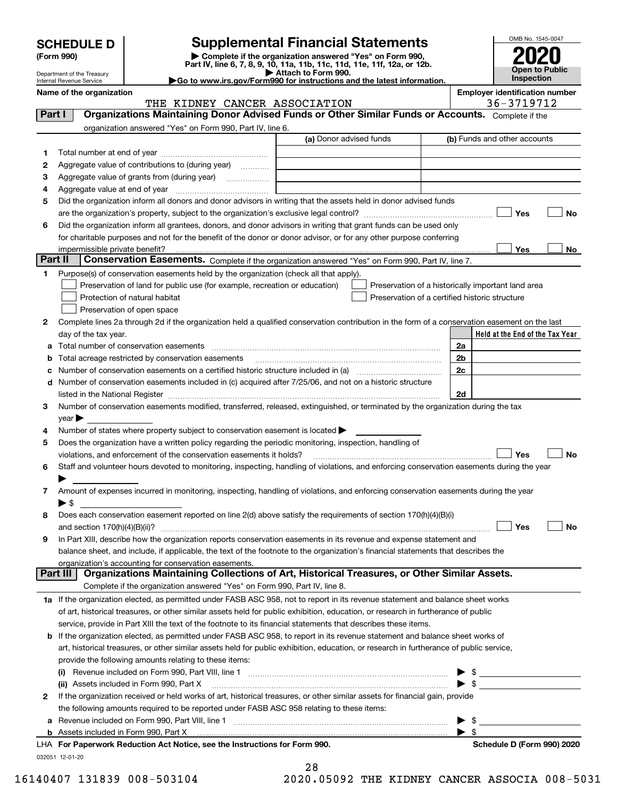|  | <b>SCHEDULE D</b> |  |  |  |
|--|-------------------|--|--|--|
|--|-------------------|--|--|--|

## **Supplemental Financial Statements**

(Form 990)<br>
Pepartment of the Treasury<br>
Department of the Treasury<br>
Department of the Treasury<br>
Department of the Treasury<br> **Co to www.irs.gov/Form990 for instructions and the latest information.**<br> **Co to www.irs.gov/Form9** 



Department of the Treasury Internal Revenue Service

**Name of the organization Employer identification number**

|         | THE KIDNEY CANCER ASSOCIATION                                                                                                                                                                                                                                          |                         | 36-3719712                                         |
|---------|------------------------------------------------------------------------------------------------------------------------------------------------------------------------------------------------------------------------------------------------------------------------|-------------------------|----------------------------------------------------|
| Part I  | Organizations Maintaining Donor Advised Funds or Other Similar Funds or Accounts. Complete if the                                                                                                                                                                      |                         |                                                    |
|         | organization answered "Yes" on Form 990, Part IV, line 6.                                                                                                                                                                                                              |                         |                                                    |
|         |                                                                                                                                                                                                                                                                        | (a) Donor advised funds | (b) Funds and other accounts                       |
| 1       |                                                                                                                                                                                                                                                                        |                         |                                                    |
| 2       | Aggregate value of contributions to (during year)                                                                                                                                                                                                                      |                         |                                                    |
| з       |                                                                                                                                                                                                                                                                        |                         |                                                    |
| 4       |                                                                                                                                                                                                                                                                        |                         |                                                    |
| 5       | Did the organization inform all donors and donor advisors in writing that the assets held in donor advised funds                                                                                                                                                       |                         |                                                    |
|         |                                                                                                                                                                                                                                                                        |                         | Yes<br>No                                          |
| 6       | Did the organization inform all grantees, donors, and donor advisors in writing that grant funds can be used only                                                                                                                                                      |                         |                                                    |
|         | for charitable purposes and not for the benefit of the donor or donor advisor, or for any other purpose conferring                                                                                                                                                     |                         |                                                    |
|         | impermissible private benefit?                                                                                                                                                                                                                                         |                         | Yes<br>No                                          |
| Part II | Conservation Easements. Complete if the organization answered "Yes" on Form 990, Part IV, line 7.                                                                                                                                                                      |                         |                                                    |
| 1       | Purpose(s) of conservation easements held by the organization (check all that apply).                                                                                                                                                                                  |                         |                                                    |
|         | Preservation of land for public use (for example, recreation or education)                                                                                                                                                                                             |                         | Preservation of a historically important land area |
|         | Protection of natural habitat                                                                                                                                                                                                                                          |                         | Preservation of a certified historic structure     |
|         | Preservation of open space                                                                                                                                                                                                                                             |                         |                                                    |
| 2       | Complete lines 2a through 2d if the organization held a qualified conservation contribution in the form of a conservation easement on the last                                                                                                                         |                         |                                                    |
|         | day of the tax year.                                                                                                                                                                                                                                                   |                         | Held at the End of the Tax Year                    |
| а       |                                                                                                                                                                                                                                                                        |                         | 2a                                                 |
| b       | Total acreage restricted by conservation easements                                                                                                                                                                                                                     |                         | 2b                                                 |
| с       |                                                                                                                                                                                                                                                                        |                         | 2c                                                 |
|         | d Number of conservation easements included in (c) acquired after 7/25/06, and not on a historic structure                                                                                                                                                             |                         |                                                    |
|         | listed in the National Register [111] Marshall Register [11] Marshall Register [11] Marshall Register [11] Marshall Register [11] Marshall Register [11] Marshall Register [11] Marshall Register [11] Marshall Register [11]                                          |                         | 2d                                                 |
| з       | Number of conservation easements modified, transferred, released, extinguished, or terminated by the organization during the tax                                                                                                                                       |                         |                                                    |
|         | $year \blacktriangleright$                                                                                                                                                                                                                                             |                         |                                                    |
| 4       | Number of states where property subject to conservation easement is located >                                                                                                                                                                                          |                         |                                                    |
| 5       | Does the organization have a written policy regarding the periodic monitoring, inspection, handling of                                                                                                                                                                 |                         |                                                    |
|         | violations, and enforcement of the conservation easements it holds?                                                                                                                                                                                                    |                         | Yes<br>No                                          |
| 6       | Staff and volunteer hours devoted to monitoring, inspecting, handling of violations, and enforcing conservation easements during the year                                                                                                                              |                         |                                                    |
|         |                                                                                                                                                                                                                                                                        |                         |                                                    |
| 7       | Amount of expenses incurred in monitoring, inspecting, handling of violations, and enforcing conservation easements during the year                                                                                                                                    |                         |                                                    |
|         | $\blacktriangleright$ \$                                                                                                                                                                                                                                               |                         |                                                    |
| 8       | Does each conservation easement reported on line 2(d) above satisfy the requirements of section 170(h)(4)(B)(i)                                                                                                                                                        |                         |                                                    |
|         |                                                                                                                                                                                                                                                                        |                         | Yes<br>No                                          |
| 9       | In Part XIII, describe how the organization reports conservation easements in its revenue and expense statement and                                                                                                                                                    |                         |                                                    |
|         | balance sheet, and include, if applicable, the text of the footnote to the organization's financial statements that describes the                                                                                                                                      |                         |                                                    |
|         |                                                                                                                                                                                                                                                                        |                         |                                                    |
|         | organization's accounting for conservation easements.<br>Organizations Maintaining Collections of Art, Historical Treasures, or Other Similar Assets.<br>Part III                                                                                                      |                         |                                                    |
|         | Complete if the organization answered "Yes" on Form 990, Part IV, line 8.                                                                                                                                                                                              |                         |                                                    |
|         | 1a If the organization elected, as permitted under FASB ASC 958, not to report in its revenue statement and balance sheet works                                                                                                                                        |                         |                                                    |
|         | of art, historical treasures, or other similar assets held for public exhibition, education, or research in furtherance of public                                                                                                                                      |                         |                                                    |
|         | service, provide in Part XIII the text of the footnote to its financial statements that describes these items.                                                                                                                                                         |                         |                                                    |
|         |                                                                                                                                                                                                                                                                        |                         |                                                    |
| b       | If the organization elected, as permitted under FASB ASC 958, to report in its revenue statement and balance sheet works of<br>art, historical treasures, or other similar assets held for public exhibition, education, or research in furtherance of public service, |                         |                                                    |
|         |                                                                                                                                                                                                                                                                        |                         |                                                    |
|         | provide the following amounts relating to these items:                                                                                                                                                                                                                 |                         |                                                    |
|         |                                                                                                                                                                                                                                                                        |                         | $\frac{1}{2}$                                      |
|         | (ii) Assets included in Form 990, Part X                                                                                                                                                                                                                               |                         | $\triangleright$ \$                                |
| 2       | If the organization received or held works of art, historical treasures, or other similar assets for financial gain, provide                                                                                                                                           |                         |                                                    |
|         | the following amounts required to be reported under FASB ASC 958 relating to these items:                                                                                                                                                                              |                         |                                                    |
| а       |                                                                                                                                                                                                                                                                        |                         | -\$<br>▶                                           |
|         |                                                                                                                                                                                                                                                                        |                         | $\blacktriangleright$ s                            |
|         | LHA For Paperwork Reduction Act Notice, see the Instructions for Form 990.                                                                                                                                                                                             |                         | Schedule D (Form 990) 2020                         |
|         | 032051 12-01-20                                                                                                                                                                                                                                                        |                         |                                                    |

| 28 |  |           |  |  |
|----|--|-----------|--|--|
| ົດ |  | n = n n n |  |  |

16140407 131839 008-503104 2020.05092 THE KIDNEY CANCER ASSOCIA 008-5031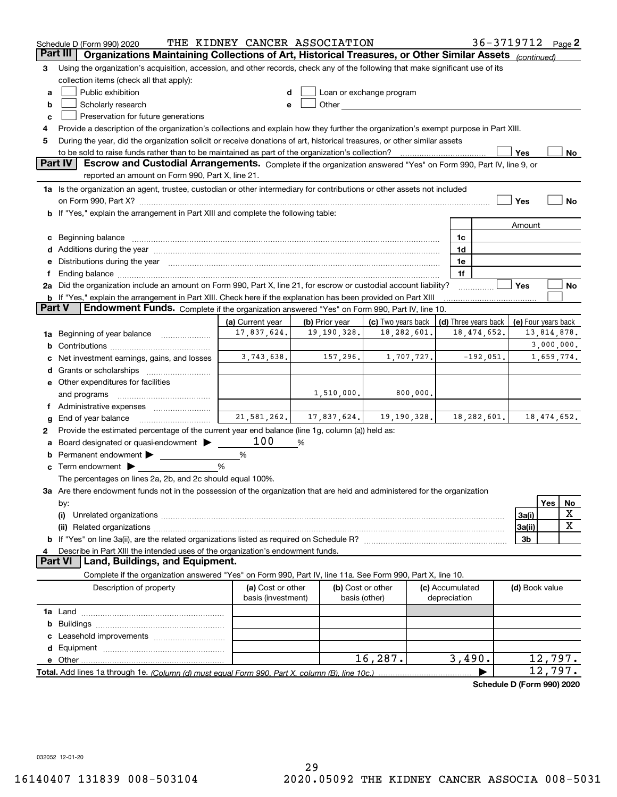|          | Schedule D (Form 990) 2020                                                                                                                                                                                                     | THE KIDNEY CANCER ASSOCIATION           |                |                                                                                                                                                                                                                               |                                 | 36-3719712 Page 2    |                          |         |    |
|----------|--------------------------------------------------------------------------------------------------------------------------------------------------------------------------------------------------------------------------------|-----------------------------------------|----------------|-------------------------------------------------------------------------------------------------------------------------------------------------------------------------------------------------------------------------------|---------------------------------|----------------------|--------------------------|---------|----|
| Part III | Organizations Maintaining Collections of Art, Historical Treasures, or Other Similar Assets (continued)                                                                                                                        |                                         |                |                                                                                                                                                                                                                               |                                 |                      |                          |         |    |
| 3        | Using the organization's acquisition, accession, and other records, check any of the following that make significant use of its                                                                                                |                                         |                |                                                                                                                                                                                                                               |                                 |                      |                          |         |    |
|          | collection items (check all that apply):                                                                                                                                                                                       |                                         |                |                                                                                                                                                                                                                               |                                 |                      |                          |         |    |
| a        | Public exhibition                                                                                                                                                                                                              |                                         |                | Loan or exchange program                                                                                                                                                                                                      |                                 |                      |                          |         |    |
| b        | Scholarly research                                                                                                                                                                                                             | e                                       |                | Other and the contract of the contract of the contract of the contract of the contract of the contract of the contract of the contract of the contract of the contract of the contract of the contract of the contract of the |                                 |                      |                          |         |    |
| c        | Preservation for future generations                                                                                                                                                                                            |                                         |                |                                                                                                                                                                                                                               |                                 |                      |                          |         |    |
| 4        | Provide a description of the organization's collections and explain how they further the organization's exempt purpose in Part XIII.                                                                                           |                                         |                |                                                                                                                                                                                                                               |                                 |                      |                          |         |    |
| 5        | During the year, did the organization solicit or receive donations of art, historical treasures, or other similar assets                                                                                                       |                                         |                |                                                                                                                                                                                                                               |                                 |                      |                          |         |    |
|          | to be sold to raise funds rather than to be maintained as part of the organization's collection?                                                                                                                               |                                         |                |                                                                                                                                                                                                                               |                                 |                      | Yes                      |         | No |
|          | <b>Part IV</b><br>Escrow and Custodial Arrangements. Complete if the organization answered "Yes" on Form 990, Part IV, line 9, or<br>reported an amount on Form 990, Part X, line 21.                                          |                                         |                |                                                                                                                                                                                                                               |                                 |                      |                          |         |    |
|          | 1a Is the organization an agent, trustee, custodian or other intermediary for contributions or other assets not included                                                                                                       |                                         |                |                                                                                                                                                                                                                               |                                 |                      |                          |         |    |
|          |                                                                                                                                                                                                                                |                                         |                |                                                                                                                                                                                                                               |                                 |                      | Yes                      |         | No |
|          | <b>b</b> If "Yes," explain the arrangement in Part XIII and complete the following table:                                                                                                                                      |                                         |                |                                                                                                                                                                                                                               |                                 |                      |                          |         |    |
|          |                                                                                                                                                                                                                                |                                         |                |                                                                                                                                                                                                                               |                                 |                      | Amount                   |         |    |
| c        | Beginning balance <b>contract to the contract of the contract of the contract of the contract of the contract of t</b>                                                                                                         |                                         |                |                                                                                                                                                                                                                               | 1c                              |                      |                          |         |    |
|          | d Additions during the year measurement contains and a state of the year.                                                                                                                                                      |                                         |                |                                                                                                                                                                                                                               | 1d                              |                      |                          |         |    |
|          | Distributions during the year manufactured and an account of the state of the state of the state of the state of the state of the state of the state of the state of the state of the state of the state of the state of the s |                                         |                |                                                                                                                                                                                                                               | 1e                              |                      |                          |         |    |
|          | Ending balance manufactured and contract and contract of the manufactured and contract and contract and contract and contract and contract and contract and contract and contract and contract and contract and contract and c |                                         |                |                                                                                                                                                                                                                               | 1f                              |                      |                          |         |    |
|          | 2a Did the organization include an amount on Form 990, Part X, line 21, for escrow or custodial account liability?                                                                                                             |                                         |                |                                                                                                                                                                                                                               |                                 |                      | Yes                      |         | No |
|          | <b>b</b> If "Yes," explain the arrangement in Part XIII. Check here if the explanation has been provided on Part XIII                                                                                                          |                                         |                |                                                                                                                                                                                                                               |                                 |                      |                          |         |    |
| Part V   | Endowment Funds. Complete if the organization answered "Yes" on Form 990, Part IV, line 10.                                                                                                                                    |                                         |                |                                                                                                                                                                                                                               |                                 |                      |                          |         |    |
|          |                                                                                                                                                                                                                                | (a) Current year                        | (b) Prior year | (c) Two years back                                                                                                                                                                                                            |                                 | (d) Three years back | (e) Four years back      |         |    |
| 1a       | Beginning of year balance                                                                                                                                                                                                      | 17,837,624.                             | 19, 190, 328.  | 18, 282, 601.                                                                                                                                                                                                                 |                                 | 18, 474, 652.        | 13,814,878.              |         |    |
| b        |                                                                                                                                                                                                                                |                                         |                |                                                                                                                                                                                                                               |                                 |                      | 3,000,000.<br>1,659,774. |         |    |
|          | Net investment earnings, gains, and losses                                                                                                                                                                                     | 3,743,638.                              | 157,296.       | 1,707,727.                                                                                                                                                                                                                    |                                 | $-192,051.$          |                          |         |    |
| d        |                                                                                                                                                                                                                                |                                         |                |                                                                                                                                                                                                                               |                                 |                      |                          |         |    |
|          | e Other expenditures for facilities                                                                                                                                                                                            |                                         |                |                                                                                                                                                                                                                               |                                 |                      |                          |         |    |
|          | and programs                                                                                                                                                                                                                   |                                         | 1,510,000.     | 800,000.                                                                                                                                                                                                                      |                                 |                      |                          |         |    |
|          |                                                                                                                                                                                                                                |                                         |                | $21,581,262$ , $17,837,624$ , $19,190,328$                                                                                                                                                                                    |                                 |                      |                          |         |    |
| g        | End of year balance                                                                                                                                                                                                            |                                         |                |                                                                                                                                                                                                                               |                                 | 18,282,601.          | 18,474,652.              |         |    |
| 2        | Provide the estimated percentage of the current year end balance (line 1g, column (a)) held as:                                                                                                                                | 100                                     |                |                                                                                                                                                                                                                               |                                 |                      |                          |         |    |
|          | Board designated or quasi-endowment >                                                                                                                                                                                          |                                         | %              |                                                                                                                                                                                                                               |                                 |                      |                          |         |    |
| b        | Permanent endowment > ______________                                                                                                                                                                                           | %<br>%                                  |                |                                                                                                                                                                                                                               |                                 |                      |                          |         |    |
| c        | Term endowment $\blacktriangleright$<br>The percentages on lines 2a, 2b, and 2c should equal 100%.                                                                                                                             |                                         |                |                                                                                                                                                                                                                               |                                 |                      |                          |         |    |
|          | 3a Are there endowment funds not in the possession of the organization that are held and administered for the organization                                                                                                     |                                         |                |                                                                                                                                                                                                                               |                                 |                      |                          |         |    |
|          |                                                                                                                                                                                                                                |                                         |                |                                                                                                                                                                                                                               |                                 |                      |                          | Yes     | No |
|          | by:<br>(i)                                                                                                                                                                                                                     |                                         |                |                                                                                                                                                                                                                               |                                 |                      | 3a(i)                    |         | х  |
|          |                                                                                                                                                                                                                                |                                         |                |                                                                                                                                                                                                                               |                                 |                      | 3a(ii)                   |         | X  |
| b        |                                                                                                                                                                                                                                |                                         |                |                                                                                                                                                                                                                               |                                 |                      | 3b                       |         |    |
|          | Describe in Part XIII the intended uses of the organization's endowment funds.                                                                                                                                                 |                                         |                |                                                                                                                                                                                                                               |                                 |                      |                          |         |    |
|          | Land, Buildings, and Equipment.<br><b>Part VI</b>                                                                                                                                                                              |                                         |                |                                                                                                                                                                                                                               |                                 |                      |                          |         |    |
|          | Complete if the organization answered "Yes" on Form 990, Part IV, line 11a. See Form 990, Part X, line 10.                                                                                                                     |                                         |                |                                                                                                                                                                                                                               |                                 |                      |                          |         |    |
|          | Description of property                                                                                                                                                                                                        | (a) Cost or other<br>basis (investment) |                | (b) Cost or other<br>basis (other)                                                                                                                                                                                            | (c) Accumulated<br>depreciation |                      | (d) Book value           |         |    |
|          |                                                                                                                                                                                                                                |                                         |                |                                                                                                                                                                                                                               |                                 |                      |                          |         |    |
| b        |                                                                                                                                                                                                                                |                                         |                |                                                                                                                                                                                                                               |                                 |                      |                          |         |    |
|          |                                                                                                                                                                                                                                |                                         |                |                                                                                                                                                                                                                               |                                 |                      |                          |         |    |
| d        |                                                                                                                                                                                                                                |                                         |                |                                                                                                                                                                                                                               |                                 |                      |                          |         |    |
|          | e Other                                                                                                                                                                                                                        |                                         |                | 16, 287.                                                                                                                                                                                                                      | 3,490.                          |                      |                          | 12,797. |    |
|          |                                                                                                                                                                                                                                |                                         |                |                                                                                                                                                                                                                               |                                 |                      |                          | 12,797. |    |
|          |                                                                                                                                                                                                                                |                                         |                |                                                                                                                                                                                                                               |                                 |                      |                          |         |    |

**Schedule D (Form 990) 2020**

032052 12-01-20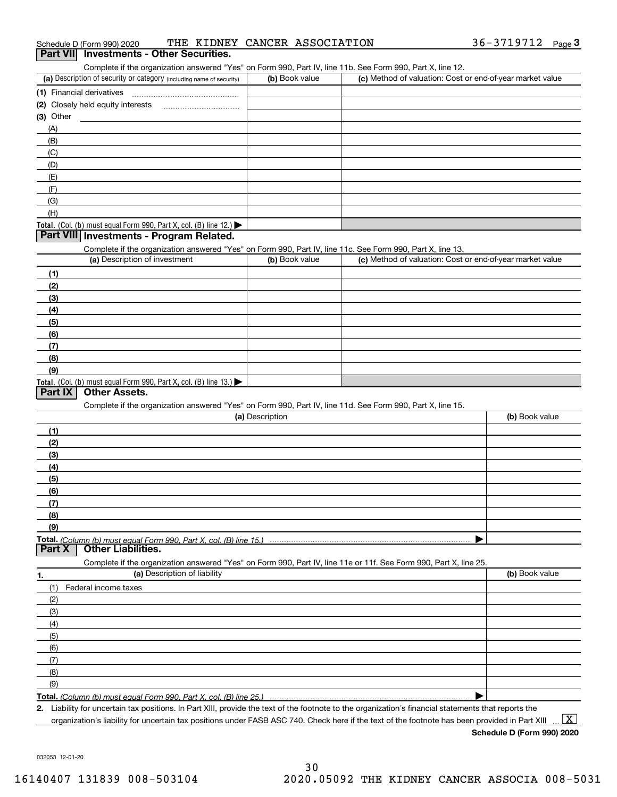| 36-3719712<br>THE KIDNEY CANCER ASSOCIATION<br>Schedule D (Form 990) 2020 | Page |  |
|---------------------------------------------------------------------------|------|--|
|---------------------------------------------------------------------------|------|--|

## **Part VII Investments - Other Securities.**

Complete if the organization answered "Yes" on Form 990, Part IV, line 11b. See Form 990, Part X, line 12.

| (a) Description of security or category (including name of security)                   | (b) Book value | (c) Method of valuation: Cost or end-of-year market value |
|----------------------------------------------------------------------------------------|----------------|-----------------------------------------------------------|
| (1) Financial derivatives                                                              |                |                                                           |
| (2) Closely held equity interests                                                      |                |                                                           |
| $(3)$ Other                                                                            |                |                                                           |
| (A)                                                                                    |                |                                                           |
| (B)                                                                                    |                |                                                           |
| (C)                                                                                    |                |                                                           |
| (D)                                                                                    |                |                                                           |
| (E)                                                                                    |                |                                                           |
| (F)                                                                                    |                |                                                           |
| (G)                                                                                    |                |                                                           |
| (H)                                                                                    |                |                                                           |
| Total. (Col. (b) must equal Form 990, Part X, col. (B) line 12.) $\blacktriangleright$ |                |                                                           |

## **Part VIII Investments - Program Related.**

Complete if the organization answered "Yes" on Form 990, Part IV, line 11c. See Form 990, Part X, line 13.

| (a) Description of investment                                                          | (b) Book value | (c) Method of valuation: Cost or end-of-year market value |
|----------------------------------------------------------------------------------------|----------------|-----------------------------------------------------------|
| (1)                                                                                    |                |                                                           |
| (2)                                                                                    |                |                                                           |
| $\frac{1}{2}$                                                                          |                |                                                           |
| (4)                                                                                    |                |                                                           |
| (5)                                                                                    |                |                                                           |
| (6)                                                                                    |                |                                                           |
| (7)                                                                                    |                |                                                           |
| (8)                                                                                    |                |                                                           |
| (9)                                                                                    |                |                                                           |
| Total. (Col. (b) must equal Form 990, Part X, col. (B) line 13.) $\blacktriangleright$ |                |                                                           |

### **Part IX Other Assets.**

Complete if the organization answered "Yes" on Form 990, Part IV, line 11d. See Form 990, Part X, line 15.

| (a) Description                                                                                                   | (b) Book value |
|-------------------------------------------------------------------------------------------------------------------|----------------|
| (1)                                                                                                               |                |
| (2)                                                                                                               |                |
| $\frac{1}{2}$                                                                                                     |                |
| (4)                                                                                                               |                |
| (5)                                                                                                               |                |
| (6)                                                                                                               |                |
|                                                                                                                   |                |
| (8)                                                                                                               |                |
| (9)                                                                                                               |                |
|                                                                                                                   |                |
| <b>Part X</b><br><b>Other Liabilities.</b>                                                                        |                |
| Complete if the organization answered "Yes" on Form 990, Part IV, line 11e or 11f. See Form 990, Part X, line 25. |                |

| 1.                  | (a) Description of liability | (b) Book value |
|---------------------|------------------------------|----------------|
|                     | (1) Federal income taxes     |                |
| (2)                 |                              |                |
| $\qquad \qquad (3)$ |                              |                |
| (4)                 |                              |                |
| $\frac{1}{2}$ (5)   |                              |                |
| (6)                 |                              |                |
| (7)                 |                              |                |
| (8)                 |                              |                |
| (9)                 |                              |                |
|                     |                              |                |

*(Column (b) must equal Form 990, Part X, col. (B) line 25.)* 

**2.**Liability for uncertain tax positions. In Part XIII, provide the text of the footnote to the organization's financial statements that reports the organization's liability for uncertain tax positions under FASB ASC 740. Check here if the text of the footnote has been provided in Part XIII  $\boxed{\text{X}}$ 

**Schedule D (Form 990) 2020**

032053 12-01-20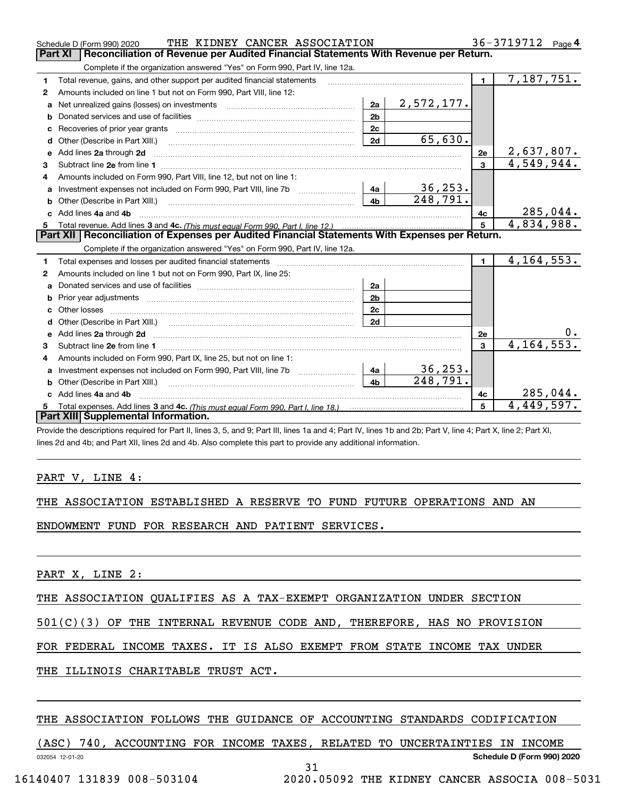|    | THE KIDNEY CANCER ASSOCIATION<br>Schedule D (Form 990) 2020                                                                                                                                                                          |                |                         |                | 36-3719712<br>Page 4    |
|----|--------------------------------------------------------------------------------------------------------------------------------------------------------------------------------------------------------------------------------------|----------------|-------------------------|----------------|-------------------------|
|    | Part XI<br>Reconciliation of Revenue per Audited Financial Statements With Revenue per Return.                                                                                                                                       |                |                         |                |                         |
|    | Complete if the organization answered "Yes" on Form 990, Part IV, line 12a.                                                                                                                                                          |                |                         |                |                         |
| 1  | Total revenue, gains, and other support per audited financial statements                                                                                                                                                             |                |                         | $\blacksquare$ | $\overline{7,187,751.}$ |
| 2  | Amounts included on line 1 but not on Form 990, Part VIII, line 12:                                                                                                                                                                  |                |                         |                |                         |
| a  |                                                                                                                                                                                                                                      | 2a             | 2,572,177.              |                |                         |
|    |                                                                                                                                                                                                                                      | 2 <sub>b</sub> |                         |                |                         |
|    |                                                                                                                                                                                                                                      | 2c             |                         |                |                         |
| d  | Other (Describe in Part XIII.) <b>Construction Contract Construction</b> Chemistry Chemistry Chemistry Chemistry Chemistry                                                                                                           | 2d             | 65,630.                 |                |                         |
| е  | Add lines 2a through 2d                                                                                                                                                                                                              |                |                         | 2e             | 2,637,807.              |
| 3  |                                                                                                                                                                                                                                      |                |                         | $\overline{3}$ | 4,549,944.              |
| 4  | Amounts included on Form 990, Part VIII, line 12, but not on line 1:                                                                                                                                                                 |                |                         |                |                         |
|    |                                                                                                                                                                                                                                      | ∣ 4a l         | 36, 253.                |                |                         |
|    |                                                                                                                                                                                                                                      | 4 <sub>h</sub> | $\overline{248}$ , 791. |                |                         |
| c. | Add lines 4a and 4b                                                                                                                                                                                                                  |                |                         | 4с             | 285,044.                |
|    |                                                                                                                                                                                                                                      | 5              | 4,834,988.              |                |                         |
|    |                                                                                                                                                                                                                                      |                |                         |                |                         |
|    | Part XII   Reconciliation of Expenses per Audited Financial Statements With Expenses per Return.                                                                                                                                     |                |                         |                |                         |
|    | Complete if the organization answered "Yes" on Form 990, Part IV, line 12a.                                                                                                                                                          |                |                         |                |                         |
| 1. | Total expenses and losses per audited financial statements [11] [12] manuscription and contract the statements [13] manuscription and the statements [13] manuscription and the statements and the statements and the statemen       |                |                         | $\mathbf{1}$   | 4, 164, 553.            |
| 2  | Amounts included on line 1 but not on Form 990, Part IX, line 25:                                                                                                                                                                    |                |                         |                |                         |
| a  |                                                                                                                                                                                                                                      | 2a             |                         |                |                         |
|    |                                                                                                                                                                                                                                      | 2 <sub>b</sub> |                         |                |                         |
| c. | Other losses <b>with a contract the contract of the contract of the contract of the contract of the contract of the contract of the contract of the contract of the contract of the contract of the contract of the contract of </b> | 2 <sub>c</sub> |                         |                |                         |
|    |                                                                                                                                                                                                                                      | 2d             |                         |                |                         |
|    |                                                                                                                                                                                                                                      |                |                         | 2e             | 0.                      |
| 3  |                                                                                                                                                                                                                                      |                |                         | 3              | 4, 164, 553.            |
| 4  | Amounts included on Form 990, Part IX, line 25, but not on line 1:                                                                                                                                                                   |                |                         |                |                         |
| a  |                                                                                                                                                                                                                                      | 4a             | 36, 253.                |                |                         |
| b  |                                                                                                                                                                                                                                      | 4 <sub>h</sub> | 248,791.                |                |                         |
|    | Add lines 4a and 4b                                                                                                                                                                                                                  |                |                         | 4с             | 285,044.                |
|    | Part XIII Supplemental Information.                                                                                                                                                                                                  |                |                         | 5              | 4,449,597.              |

Provide the descriptions required for Part II, lines 3, 5, and 9; Part III, lines 1a and 4; Part IV, lines 1b and 2b; Part V, line 4; Part X, line 2; Part XI, lines 2d and 4b; and Part XII, lines 2d and 4b. Also complete this part to provide any additional information.

## PART V, LINE 4:

|  | THE ASSOCIATION ESTABLISHED A RESERVE TO FUND FUTURE OPERATIONS AND AN |  |  |  |  |  |  |  |  |  |
|--|------------------------------------------------------------------------|--|--|--|--|--|--|--|--|--|
|--|------------------------------------------------------------------------|--|--|--|--|--|--|--|--|--|

ENDOWMENT FUND FOR RESEARCH AND PATIENT SERVICES.

PART X, LINE 2:

THE ASSOCIATION QUALIFIES AS A TAX-EXEMPT ORGANIZATION UNDER SECTION

501(C)(3) OF THE INTERNAL REVENUE CODE AND, THEREFORE, HAS NO PROVISION

FOR FEDERAL INCOME TAXES. IT IS ALSO EXEMPT FROM STATE INCOME TAX UNDER

THE ILLINOIS CHARITABLE TRUST ACT.

## THE ASSOCIATION FOLLOWS THE GUIDANCE OF ACCOUNTING STANDARDS CODIFICATION

032054 12-01-20 **Schedule D (Form 990) 2020** (ASC) 740, ACCOUNTING FOR INCOME TAXES, RELATED TO UNCERTAINTIES IN INCOME 31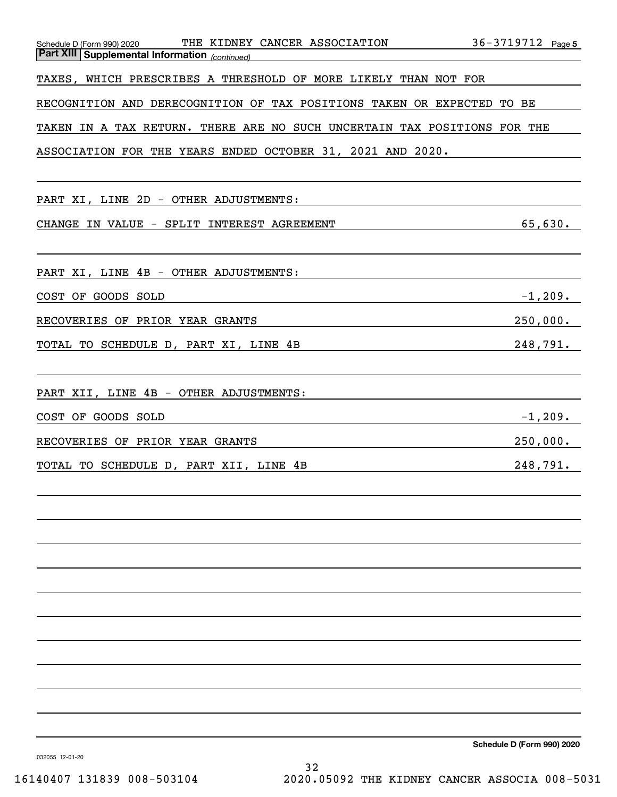| THE KIDNEY CANCER ASSOCIATION<br>Schedule D (Form 990) 2020<br><b>Part XIII Supplemental Information</b> (continued) | 36-3719712 Page 5 |
|----------------------------------------------------------------------------------------------------------------------|-------------------|
| TAXES, WHICH PRESCRIBES A THRESHOLD OF MORE LIKELY THAN NOT FOR                                                      |                   |
| RECOGNITION AND DERECOGNITION OF TAX POSITIONS TAKEN OR EXPECTED                                                     | TO BE             |
| TAKEN IN A TAX RETURN. THERE ARE NO SUCH UNCERTAIN TAX POSITIONS FOR THE                                             |                   |
| ASSOCIATION FOR THE YEARS ENDED OCTOBER 31, 2021 AND 2020.                                                           |                   |
|                                                                                                                      |                   |
| PART XI, LINE 2D - OTHER ADJUSTMENTS:                                                                                |                   |
| IN VALUE - SPLIT INTEREST AGREEMENT<br>CHANGE                                                                        | 65,630.           |
|                                                                                                                      |                   |
| PART XI, LINE 4B - OTHER ADJUSTMENTS:                                                                                |                   |
| COST OF GOODS SOLD                                                                                                   | $-1, 209.$        |
| RECOVERIES OF PRIOR YEAR GRANTS                                                                                      | 250,000.          |
| TOTAL TO SCHEDULE D, PART XI, LINE 4B                                                                                | 248,791.          |
|                                                                                                                      |                   |
| PART XII, LINE 4B - OTHER ADJUSTMENTS:                                                                               |                   |
| COST OF GOODS SOLD                                                                                                   | $-1, 209.$        |
| RECOVERIES OF PRIOR YEAR GRANTS                                                                                      | 250,000.          |
| TOTAL TO SCHEDULE D, PART XII, LINE 4B                                                                               | 248,791.          |
|                                                                                                                      |                   |
|                                                                                                                      |                   |
|                                                                                                                      |                   |
|                                                                                                                      |                   |
|                                                                                                                      |                   |
|                                                                                                                      |                   |
|                                                                                                                      |                   |
|                                                                                                                      |                   |
|                                                                                                                      |                   |
|                                                                                                                      |                   |

**Schedule D (Form 990) 2020**

032055 12-01-20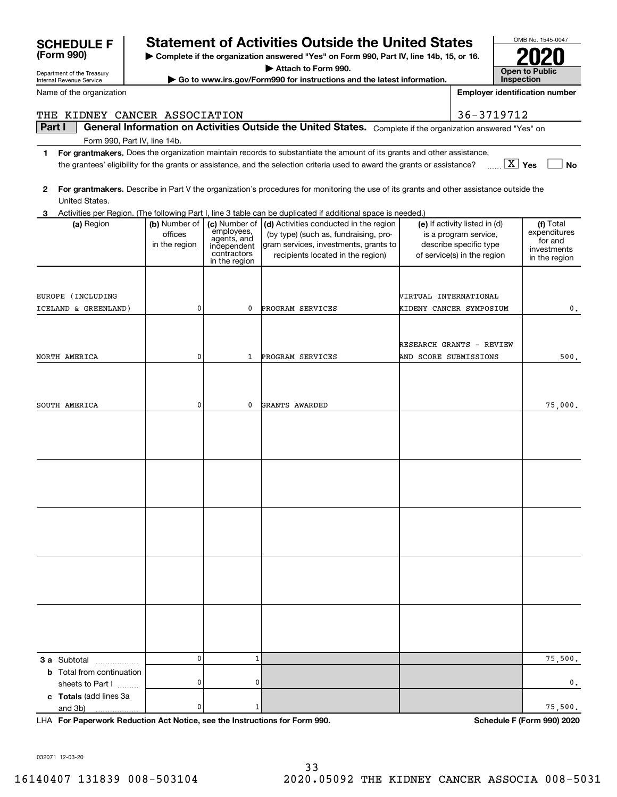| Name of the organization              |                                           |                                                                          |                                                                                                                                                               |                       | <b>Employer identification number</b>                                                                           |                                                                      |
|---------------------------------------|-------------------------------------------|--------------------------------------------------------------------------|---------------------------------------------------------------------------------------------------------------------------------------------------------------|-----------------------|-----------------------------------------------------------------------------------------------------------------|----------------------------------------------------------------------|
| THE KIDNEY CANCER ASSOCIATION         |                                           |                                                                          |                                                                                                                                                               |                       | 36-3719712                                                                                                      |                                                                      |
| Part I                                |                                           |                                                                          | General Information on Activities Outside the United States. Complete if the organization answered "Yes" on                                                   |                       |                                                                                                                 |                                                                      |
| Form 990, Part IV, line 14b.          |                                           |                                                                          |                                                                                                                                                               |                       |                                                                                                                 |                                                                      |
| 1                                     |                                           |                                                                          | For grantmakers. Does the organization maintain records to substantiate the amount of its grants and other assistance,                                        |                       |                                                                                                                 |                                                                      |
|                                       |                                           |                                                                          | the grantees' eligibility for the grants or assistance, and the selection criteria used to award the grants or assistance?                                    |                       | $\boxed{\text{X}}$ Yes                                                                                          | No                                                                   |
|                                       |                                           |                                                                          | For grantmakers. Describe in Part V the organization's procedures for monitoring the use of its grants and other assistance outside the                       |                       |                                                                                                                 |                                                                      |
| 2<br>United States.                   |                                           |                                                                          |                                                                                                                                                               |                       |                                                                                                                 |                                                                      |
| з                                     |                                           |                                                                          | Activities per Region. (The following Part I, line 3 table can be duplicated if additional space is needed.)                                                  |                       |                                                                                                                 |                                                                      |
| (a) Region                            | (b) Number of<br>offices<br>in the region | (c) Number of<br>employees,<br>agents, and<br>independent<br>contractors | (d) Activities conducted in the region<br>(by type) (such as, fundraising, pro-<br>gram services, investments, grants to<br>recipients located in the region) |                       | (e) If activity listed in (d)<br>is a program service,<br>describe specific type<br>of service(s) in the region | (f) Total<br>expenditures<br>for and<br>investments<br>in the region |
|                                       |                                           | in the region                                                            |                                                                                                                                                               |                       |                                                                                                                 |                                                                      |
|                                       |                                           |                                                                          |                                                                                                                                                               |                       |                                                                                                                 |                                                                      |
| EUROPE (INCLUDING                     |                                           |                                                                          |                                                                                                                                                               | VIRTUAL INTERNATIONAL |                                                                                                                 |                                                                      |
| ICELAND & GREENLAND)                  | 0                                         | 0                                                                        | PROGRAM SERVICES                                                                                                                                              |                       | KIDENY CANCER SYMPOSIUM                                                                                         | 0.                                                                   |
|                                       |                                           |                                                                          |                                                                                                                                                               |                       |                                                                                                                 |                                                                      |
|                                       |                                           |                                                                          |                                                                                                                                                               |                       |                                                                                                                 |                                                                      |
| NORTH AMERICA                         | 0                                         | 1                                                                        | PROGRAM SERVICES                                                                                                                                              | AND SCORE SUBMISSIONS | <b>RESEARCH GRANTS - REVIEW</b>                                                                                 | 500.                                                                 |
|                                       |                                           |                                                                          |                                                                                                                                                               |                       |                                                                                                                 |                                                                      |
|                                       |                                           |                                                                          |                                                                                                                                                               |                       |                                                                                                                 |                                                                      |
|                                       |                                           |                                                                          |                                                                                                                                                               |                       |                                                                                                                 |                                                                      |
| SOUTH AMERICA                         | 0                                         | 0                                                                        | GRANTS AWARDED                                                                                                                                                |                       |                                                                                                                 | 75,000.                                                              |
|                                       |                                           |                                                                          |                                                                                                                                                               |                       |                                                                                                                 |                                                                      |
|                                       |                                           |                                                                          |                                                                                                                                                               |                       |                                                                                                                 |                                                                      |
|                                       |                                           |                                                                          |                                                                                                                                                               |                       |                                                                                                                 |                                                                      |
|                                       |                                           |                                                                          |                                                                                                                                                               |                       |                                                                                                                 |                                                                      |
|                                       |                                           |                                                                          |                                                                                                                                                               |                       |                                                                                                                 |                                                                      |
|                                       |                                           |                                                                          |                                                                                                                                                               |                       |                                                                                                                 |                                                                      |
|                                       |                                           |                                                                          |                                                                                                                                                               |                       |                                                                                                                 |                                                                      |
|                                       |                                           |                                                                          |                                                                                                                                                               |                       |                                                                                                                 |                                                                      |
|                                       |                                           |                                                                          |                                                                                                                                                               |                       |                                                                                                                 |                                                                      |
|                                       |                                           |                                                                          |                                                                                                                                                               |                       |                                                                                                                 |                                                                      |
|                                       |                                           |                                                                          |                                                                                                                                                               |                       |                                                                                                                 |                                                                      |
|                                       |                                           |                                                                          |                                                                                                                                                               |                       |                                                                                                                 |                                                                      |
|                                       |                                           |                                                                          |                                                                                                                                                               |                       |                                                                                                                 |                                                                      |
|                                       |                                           |                                                                          |                                                                                                                                                               |                       |                                                                                                                 |                                                                      |
|                                       |                                           |                                                                          |                                                                                                                                                               |                       |                                                                                                                 |                                                                      |
|                                       |                                           |                                                                          |                                                                                                                                                               |                       |                                                                                                                 |                                                                      |
| 3 a Subtotal                          | 0                                         | $\mathbf{1}$                                                             |                                                                                                                                                               |                       |                                                                                                                 | 75,500.                                                              |
| .<br><b>b</b> Total from continuation |                                           |                                                                          |                                                                                                                                                               |                       |                                                                                                                 |                                                                      |
| sheets to Part I                      | 0                                         | 0                                                                        |                                                                                                                                                               |                       |                                                                                                                 | 0,                                                                   |
| c Totals (add lines 3a                |                                           |                                                                          |                                                                                                                                                               |                       |                                                                                                                 |                                                                      |
| and 3b)                               | 0                                         | 1                                                                        |                                                                                                                                                               |                       |                                                                                                                 | 75,500.                                                              |

**For Paperwork Reduction Act Notice, see the Instructions for Form 990. Schedule F (Form 990) 2020** LHA

032071 12-03-20

Department of the Treasury Internal Revenue Service

**(Form 990)**

# **SCHEDULE F Statement of Activities Outside the United States**

**| Complete if the organization answered "Yes" on Form 990, Part IV, line 14b, 15, or 16.**

OMB No. 1545-0047

**2020**

**Open to Public Inspection**

**| Attach to Form 990.**

**| Go to www.irs.gov/Form990 for instructions and the latest information.**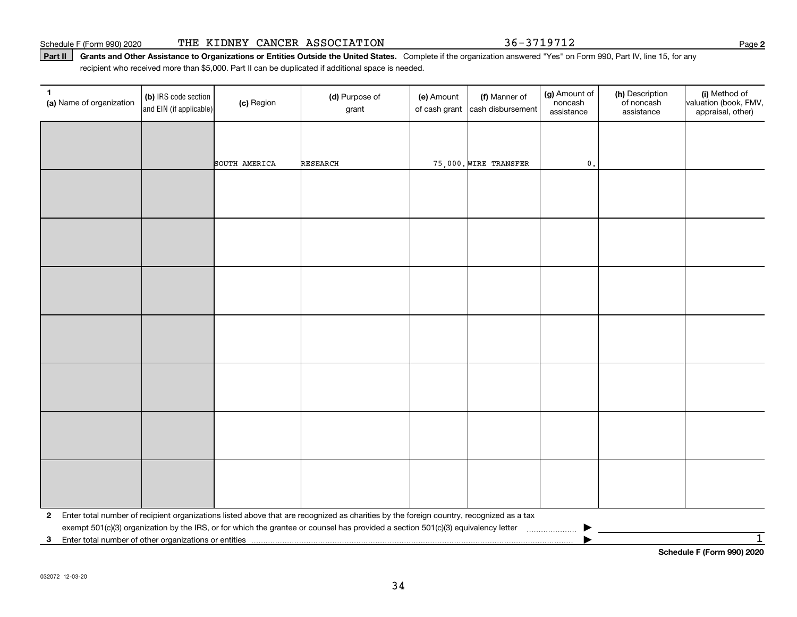Schedule F (Form 990) 2020 Page THE KIDNEY CANCER ASSOCIATION 36-3719712

Part II | Grants and Other Assistance to Organizations or Entities Outside the United States. Complete if the organization answered "Yes" on Form 990, Part IV, line 15, for any recipient who received more than \$5,000. Part II can be duplicated if additional space is needed.

| $\mathbf{0}$ .<br>75,000. WIRE TRANSFER<br>SOUTH AMERICA<br><b>RESEARCH</b>                                                                             | 1<br>(a) Name of organization | (b) IRS code section<br>and EIN (if applicable) | (c) Region | (d) Purpose of<br>grant | (e) Amount<br>of cash grant | (f) Manner of<br>cash disbursement | (g) Amount of<br>noncash<br>assistance | (h) Description<br>of noncash<br>assistance | (i) Method of<br>valuation (book, FMV,<br>appraisal, other) |
|---------------------------------------------------------------------------------------------------------------------------------------------------------|-------------------------------|-------------------------------------------------|------------|-------------------------|-----------------------------|------------------------------------|----------------------------------------|---------------------------------------------|-------------------------------------------------------------|
|                                                                                                                                                         |                               |                                                 |            |                         |                             |                                    |                                        |                                             |                                                             |
|                                                                                                                                                         |                               |                                                 |            |                         |                             |                                    |                                        |                                             |                                                             |
|                                                                                                                                                         |                               |                                                 |            |                         |                             |                                    |                                        |                                             |                                                             |
|                                                                                                                                                         |                               |                                                 |            |                         |                             |                                    |                                        |                                             |                                                             |
|                                                                                                                                                         |                               |                                                 |            |                         |                             |                                    |                                        |                                             |                                                             |
|                                                                                                                                                         |                               |                                                 |            |                         |                             |                                    |                                        |                                             |                                                             |
|                                                                                                                                                         |                               |                                                 |            |                         |                             |                                    |                                        |                                             |                                                             |
|                                                                                                                                                         |                               |                                                 |            |                         |                             |                                    |                                        |                                             |                                                             |
|                                                                                                                                                         |                               |                                                 |            |                         |                             |                                    |                                        |                                             |                                                             |
|                                                                                                                                                         |                               |                                                 |            |                         |                             |                                    |                                        |                                             |                                                             |
|                                                                                                                                                         |                               |                                                 |            |                         |                             |                                    |                                        |                                             |                                                             |
|                                                                                                                                                         |                               |                                                 |            |                         |                             |                                    |                                        |                                             |                                                             |
|                                                                                                                                                         |                               |                                                 |            |                         |                             |                                    |                                        |                                             |                                                             |
|                                                                                                                                                         |                               |                                                 |            |                         |                             |                                    |                                        |                                             |                                                             |
|                                                                                                                                                         |                               |                                                 |            |                         |                             |                                    |                                        |                                             |                                                             |
|                                                                                                                                                         |                               |                                                 |            |                         |                             |                                    |                                        |                                             |                                                             |
| Enter total number of recipient organizations listed above that are recognized as charities by the foreign country, recognized as a tax<br>$\mathbf{2}$ |                               |                                                 |            |                         |                             |                                    |                                        |                                             |                                                             |
| exempt 501(c)(3) organization by the IRS, or for which the grantee or counsel has provided a section 501(c)(3) equivalency letter<br>3                  |                               |                                                 |            |                         |                             |                                    |                                        |                                             | $\overline{1}$                                              |

**Schedule F (Form 990) 2020**

**2**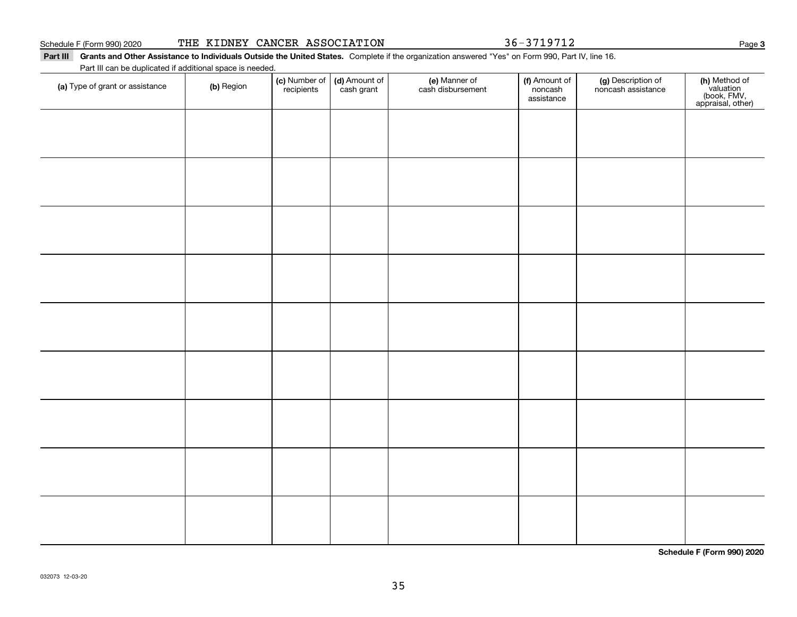|  |  |  |  | THE KIDNEY CANCER ASSOCIATION |  |
|--|--|--|--|-------------------------------|--|
|--|--|--|--|-------------------------------|--|

36-3719712

### Part III Grants and Other Assistance to Individuals Outside the United States. Complete if the organization answered "Yes" on Form 990, Part IV, line 16. Part III can be duplicated if additional space is needed.

| Part in can be duplicated if additional space is needed.<br>(a) Type of grant or assistance | (b) Region | (c) Number of<br>recipients | (d) Amount of<br>cash grant | (e) Manner of<br>cash disbursement | (f) Amount of<br>noncash<br>assistance | (g) Description of<br>noncash assistance | (h) Method of<br>valuation<br>(book, FMV,<br>appraisal, other) |
|---------------------------------------------------------------------------------------------|------------|-----------------------------|-----------------------------|------------------------------------|----------------------------------------|------------------------------------------|----------------------------------------------------------------|
|                                                                                             |            |                             |                             |                                    |                                        |                                          |                                                                |
|                                                                                             |            |                             |                             |                                    |                                        |                                          |                                                                |
|                                                                                             |            |                             |                             |                                    |                                        |                                          |                                                                |
|                                                                                             |            |                             |                             |                                    |                                        |                                          |                                                                |
|                                                                                             |            |                             |                             |                                    |                                        |                                          |                                                                |
|                                                                                             |            |                             |                             |                                    |                                        |                                          |                                                                |
|                                                                                             |            |                             |                             |                                    |                                        |                                          |                                                                |
|                                                                                             |            |                             |                             |                                    |                                        |                                          |                                                                |
|                                                                                             |            |                             |                             |                                    |                                        |                                          |                                                                |
|                                                                                             |            |                             |                             |                                    |                                        |                                          |                                                                |
|                                                                                             |            |                             |                             |                                    |                                        |                                          |                                                                |

**Schedule F (Form 990) 2020**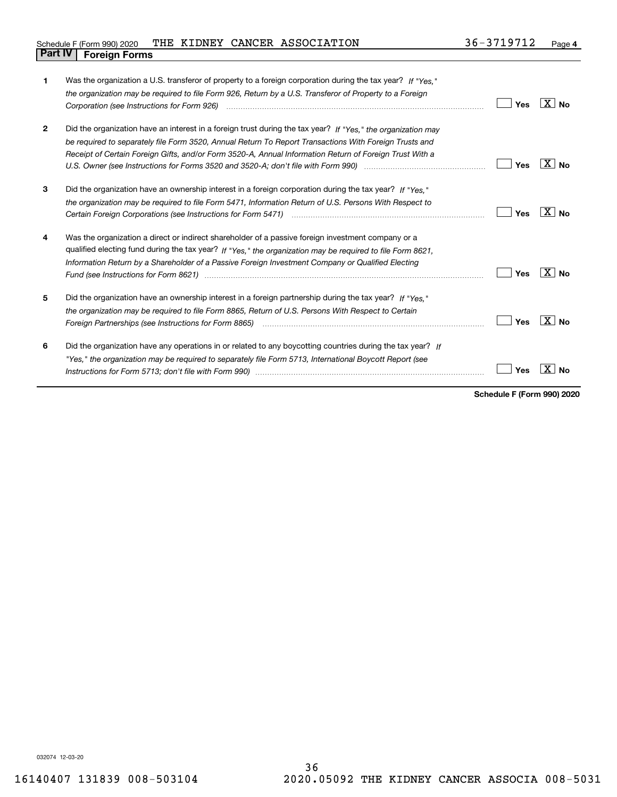| 1            | Was the organization a U.S. transferor of property to a foreign corporation during the tax year? If "Yes."<br>the organization may be required to file Form 926, Return by a U.S. Transferor of Property to a Foreign<br>Corporation (see Instructions for Form 926) (and the content of the content of the corporation (see Instructions for Form 926)                                                                                                                                                                                                 | Yes | $X \mid N_0$         |
|--------------|---------------------------------------------------------------------------------------------------------------------------------------------------------------------------------------------------------------------------------------------------------------------------------------------------------------------------------------------------------------------------------------------------------------------------------------------------------------------------------------------------------------------------------------------------------|-----|----------------------|
| $\mathbf{2}$ | Did the organization have an interest in a foreign trust during the tax year? If "Yes," the organization may<br>be required to separately file Form 3520, Annual Return To Report Transactions With Foreign Trusts and<br>Receipt of Certain Foreign Gifts, and/or Form 3520-A, Annual Information Return of Foreign Trust With a                                                                                                                                                                                                                       | Yes | ⊦X ∣ No              |
| 3            | Did the organization have an ownership interest in a foreign corporation during the tax year? If "Yes,"<br>the organization may be required to file Form 5471, Information Return of U.S. Persons With Respect to                                                                                                                                                                                                                                                                                                                                       | Yes | $X \mid N_0$         |
| 4            | Was the organization a direct or indirect shareholder of a passive foreign investment company or a<br>qualified electing fund during the tax year? If "Yes," the organization may be required to file Form 8621,<br>Information Return by a Shareholder of a Passive Foreign Investment Company or Qualified Electing<br>Fund (see Instructions for Form 8621) manufactured control to the form of the state of the control of the state of the state of the state of the state of the state of the state of the state of the state of the state of the | Yes | ΧI<br>N <sub>0</sub> |
| 5            | Did the organization have an ownership interest in a foreign partnership during the tax year? If "Yes."<br>the organization may be required to file Form 8865, Return of U.S. Persons With Respect to Certain                                                                                                                                                                                                                                                                                                                                           | Yes | ΧI<br><b>No</b>      |
| 6            | Did the organization have any operations in or related to any boycotting countries during the tax year? If<br>"Yes," the organization may be required to separately file Form 5713, International Boycott Report (see                                                                                                                                                                                                                                                                                                                                   | Yes |                      |

**Schedule F (Form 990) 2020**

032074 12-03-20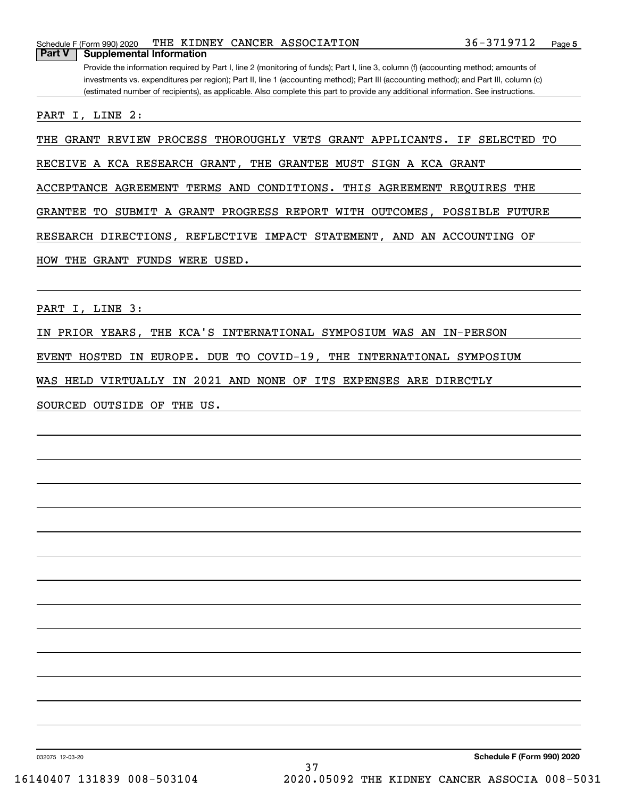|        | Schedule F (Form 990) 2020 |  | THE KIDNEY CANCER ASSOCIATION                                                                                                         | 36-3719712 | Page |
|--------|----------------------------|--|---------------------------------------------------------------------------------------------------------------------------------------|------------|------|
| Part V | Supplemental Information   |  |                                                                                                                                       |            |      |
|        |                            |  | Provide the information required by Part I, line 2 (monitoring of funds); Part I, line 3, column (f) (accounting method; amounts of   |            |      |
|        |                            |  | investments vs. expenditures per region); Part II, line 1 (accounting method); Part III (accounting method); and Part III, column (c) |            |      |

(estimated number of recipients), as applicable. Also complete this part to provide any additional information. See instructions.

PART I, LINE 2:

THE GRANT REVIEW PROCESS THOROUGHLY VETS GRANT APPLICANTS. IF SELECTED TO

RECEIVE A KCA RESEARCH GRANT, THE GRANTEE MUST SIGN A KCA GRANT

ACCEPTANCE AGREEMENT TERMS AND CONDITIONS. THIS AGREEMENT REQUIRES THE

GRANTEE TO SUBMIT A GRANT PROGRESS REPORT WITH OUTCOMES, POSSIBLE FUTURE

RESEARCH DIRECTIONS, REFLECTIVE IMPACT STATEMENT, AND AN ACCOUNTING OF

HOW THE GRANT FUNDS WERE USED.

PART I, LINE 3:

IN PRIOR YEARS, THE KCA'S INTERNATIONAL SYMPOSIUM WAS AN IN-PERSON

EVENT HOSTED IN EUROPE. DUE TO COVID-19, THE INTERNATIONAL SYMPOSIUM

WAS HELD VIRTUALLY IN 2021 AND NONE OF ITS EXPENSES ARE DIRECTLY

SOURCED OUTSIDE OF THE US.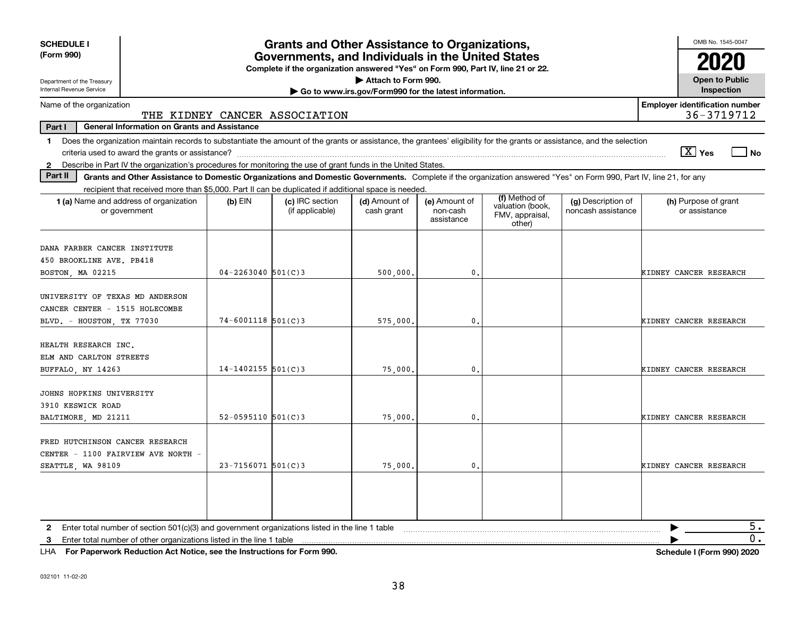| <b>SCHEDULE I</b>                                                                                                                                                              |                                                                                                                                       | <b>Grants and Other Assistance to Organizations,</b> |                                                       |                                         |                                               |                                          | OMB No. 1545-0047                                   |  |  |
|--------------------------------------------------------------------------------------------------------------------------------------------------------------------------------|---------------------------------------------------------------------------------------------------------------------------------------|------------------------------------------------------|-------------------------------------------------------|-----------------------------------------|-----------------------------------------------|------------------------------------------|-----------------------------------------------------|--|--|
| (Form 990)                                                                                                                                                                     | Governments, and Individuals in the United States<br>Complete if the organization answered "Yes" on Form 990, Part IV, line 21 or 22. |                                                      |                                                       |                                         |                                               |                                          |                                                     |  |  |
| Attach to Form 990.<br>Department of the Treasury                                                                                                                              |                                                                                                                                       |                                                      |                                                       |                                         |                                               |                                          |                                                     |  |  |
| Internal Revenue Service                                                                                                                                                       |                                                                                                                                       |                                                      | Go to www.irs.gov/Form990 for the latest information. |                                         |                                               |                                          | Inspection                                          |  |  |
| Name of the organization                                                                                                                                                       | THE KIDNEY CANCER ASSOCIATION                                                                                                         |                                                      |                                                       |                                         |                                               |                                          | <b>Employer identification number</b><br>36-3719712 |  |  |
| Part I<br><b>General Information on Grants and Assistance</b>                                                                                                                  |                                                                                                                                       |                                                      |                                                       |                                         |                                               |                                          |                                                     |  |  |
| Does the organization maintain records to substantiate the amount of the grants or assistance, the grantees' eligibility for the grants or assistance, and the selection<br>1. |                                                                                                                                       |                                                      |                                                       |                                         |                                               |                                          | $\boxed{\text{X}}$ Yes<br>  No                      |  |  |
| Describe in Part IV the organization's procedures for monitoring the use of grant funds in the United States.<br>$\mathbf{2}$                                                  |                                                                                                                                       |                                                      |                                                       |                                         |                                               |                                          |                                                     |  |  |
| Part II<br>Grants and Other Assistance to Domestic Organizations and Domestic Governments. Complete if the organization answered "Yes" on Form 990, Part IV, line 21, for any  |                                                                                                                                       |                                                      |                                                       |                                         |                                               |                                          |                                                     |  |  |
| recipient that received more than \$5,000. Part II can be duplicated if additional space is needed.                                                                            |                                                                                                                                       |                                                      |                                                       |                                         | (f) Method of                                 |                                          |                                                     |  |  |
| 1 (a) Name and address of organization<br>or government                                                                                                                        | (b) EIN                                                                                                                               | (c) IRC section<br>(if applicable)                   | (d) Amount of<br>cash grant                           | (e) Amount of<br>non-cash<br>assistance | valuation (book,<br>FMV, appraisal,<br>other) | (g) Description of<br>noncash assistance | (h) Purpose of grant<br>or assistance               |  |  |
| DANA FARBER CANCER INSTITUTE<br>450 BROOKLINE AVE. PB418                                                                                                                       |                                                                                                                                       |                                                      |                                                       |                                         |                                               |                                          |                                                     |  |  |
| BOSTON, MA 02215                                                                                                                                                               | $04 - 2263040$ 501(C)3                                                                                                                |                                                      | 500,000.                                              | 0.                                      |                                               |                                          | KIDNEY CANCER RESEARCH                              |  |  |
| UNIVERSITY OF TEXAS MD ANDERSON<br>CANCER CENTER - 1515 HOLECOMBE<br>BLVD. - HOUSTON, TX 77030                                                                                 | $74 - 6001118$ 501(C)3                                                                                                                |                                                      | 575,000                                               | 0.                                      |                                               |                                          | KIDNEY CANCER RESEARCH                              |  |  |
| HEALTH RESEARCH INC.<br>ELM AND CARLTON STREETS<br>BUFFALO, NY 14263                                                                                                           | $14 - 1402155$ 501(C)3                                                                                                                |                                                      | 75,000                                                | $\mathbf{0}$ .                          |                                               |                                          | KIDNEY CANCER RESEARCH                              |  |  |
| JOHNS HOPKINS UNIVERSITY<br>3910 KESWICK ROAD<br>BALTIMORE, MD 21211                                                                                                           | $52 - 0595110$ 501(C)3                                                                                                                |                                                      | 75,000                                                | 0.                                      |                                               |                                          | KIDNEY CANCER RESEARCH                              |  |  |
| FRED HUTCHINSON CANCER RESEARCH<br>CENTER - 1100 FAIRVIEW AVE NORTH -<br>SEATTLE, WA 98109                                                                                     | $23 - 7156071$ 501(C)3                                                                                                                |                                                      | 75,000                                                | 0.                                      |                                               |                                          | KIDNEY CANCER RESEARCH                              |  |  |
| Enter total number of section 501(c)(3) and government organizations listed in the line 1 table<br>2<br>3                                                                      |                                                                                                                                       |                                                      |                                                       |                                         |                                               |                                          | 5.<br>0.                                            |  |  |

**For Paperwork Reduction Act Notice, see the Instructions for Form 990. Schedule I (Form 990) 2020** LHA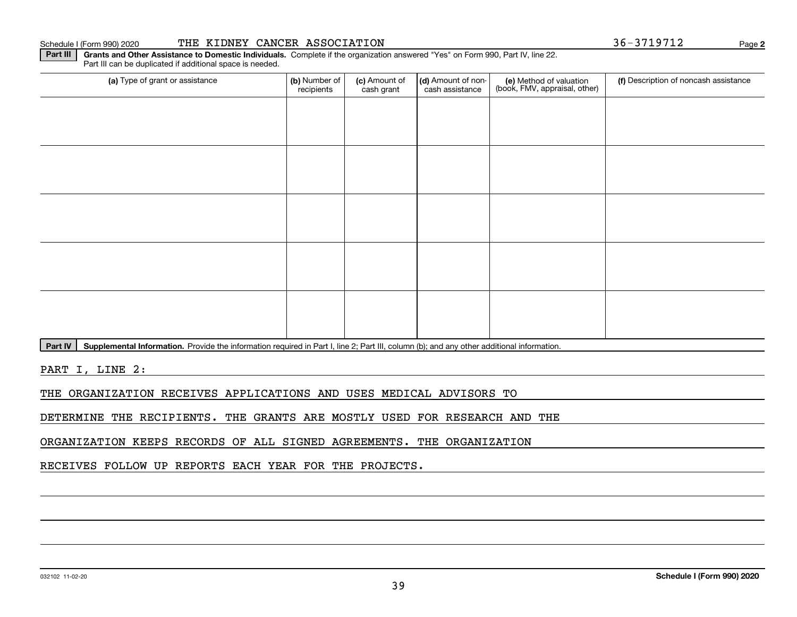## Schedule I (Form 990) 2020 THE KIDNEY CANCER ASSOCIATION 3 6-3719712 Page

**Part III** | Grants and Other Assistance to Domestic Individuals. Complete if the organization answered "Yes" on Form 990, Part IV, line 22. Part III can be duplicated if additional space is needed.

| (a) Type of grant or assistance | (b) Number of<br>recipients | (c) Amount of<br>cash grant | (d) Amount of non-<br>cash assistance | (e) Method of valuation<br>(book, FMV, appraisal, other) | (f) Description of noncash assistance |
|---------------------------------|-----------------------------|-----------------------------|---------------------------------------|----------------------------------------------------------|---------------------------------------|
|                                 |                             |                             |                                       |                                                          |                                       |
|                                 |                             |                             |                                       |                                                          |                                       |
|                                 |                             |                             |                                       |                                                          |                                       |
|                                 |                             |                             |                                       |                                                          |                                       |
|                                 |                             |                             |                                       |                                                          |                                       |
|                                 |                             |                             |                                       |                                                          |                                       |
|                                 |                             |                             |                                       |                                                          |                                       |
|                                 |                             |                             |                                       |                                                          |                                       |
|                                 |                             |                             |                                       |                                                          |                                       |
|                                 |                             |                             |                                       |                                                          |                                       |

Part IV | Supplemental Information. Provide the information required in Part I, line 2; Part III, column (b); and any other additional information.

PART I, LINE 2:

THE ORGANIZATION RECEIVES APPLICATIONS AND USES MEDICAL ADVISORS TO

DETERMINE THE RECIPIENTS. THE GRANTS ARE MOSTLY USED FOR RESEARCH AND THE

ORGANIZATION KEEPS RECORDS OF ALL SIGNED AGREEMENTS. THE ORGANIZATION

RECEIVES FOLLOW UP REPORTS EACH YEAR FOR THE PROJECTS.

**2**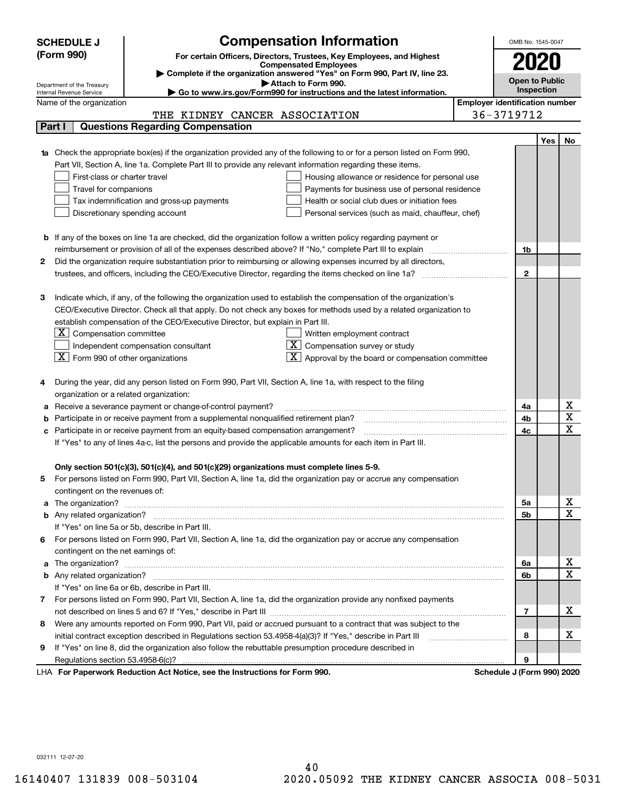|            | <b>SCHEDULE J</b>                                                                                                                                       | <b>Compensation Information</b>                                                                                                                                                                                                      |                                       | OMB No. 1545-0047 |                       |                              |
|------------|---------------------------------------------------------------------------------------------------------------------------------------------------------|--------------------------------------------------------------------------------------------------------------------------------------------------------------------------------------------------------------------------------------|---------------------------------------|-------------------|-----------------------|------------------------------|
| (Form 990) |                                                                                                                                                         | For certain Officers, Directors, Trustees, Key Employees, and Highest                                                                                                                                                                |                                       |                   |                       |                              |
|            | <b>Compensated Employees</b>                                                                                                                            |                                                                                                                                                                                                                                      |                                       |                   |                       |                              |
|            | Complete if the organization answered "Yes" on Form 990, Part IV, line 23.                                                                              |                                                                                                                                                                                                                                      |                                       |                   | <b>Open to Public</b> |                              |
|            | Attach to Form 990.<br>Department of the Treasury<br>Go to www.irs.gov/Form990 for instructions and the latest information.<br>Internal Revenue Service |                                                                                                                                                                                                                                      |                                       |                   | Inspection            |                              |
|            | Name of the organization                                                                                                                                |                                                                                                                                                                                                                                      | <b>Employer identification number</b> |                   |                       |                              |
|            |                                                                                                                                                         | THE KIDNEY CANCER ASSOCIATION                                                                                                                                                                                                        |                                       | 36-3719712        |                       |                              |
|            | Part I                                                                                                                                                  | <b>Questions Regarding Compensation</b>                                                                                                                                                                                              |                                       |                   |                       |                              |
|            |                                                                                                                                                         |                                                                                                                                                                                                                                      |                                       |                   | Yes                   | No.                          |
|            |                                                                                                                                                         | 1a Check the appropriate box(es) if the organization provided any of the following to or for a person listed on Form 990,                                                                                                            |                                       |                   |                       |                              |
|            |                                                                                                                                                         | Part VII, Section A, line 1a. Complete Part III to provide any relevant information regarding these items.                                                                                                                           |                                       |                   |                       |                              |
|            | First-class or charter travel                                                                                                                           | Housing allowance or residence for personal use                                                                                                                                                                                      |                                       |                   |                       |                              |
|            | Travel for companions                                                                                                                                   | Payments for business use of personal residence                                                                                                                                                                                      |                                       |                   |                       |                              |
|            |                                                                                                                                                         | Tax indemnification and gross-up payments<br>Health or social club dues or initiation fees                                                                                                                                           |                                       |                   |                       |                              |
|            |                                                                                                                                                         | Discretionary spending account<br>Personal services (such as maid, chauffeur, chef)                                                                                                                                                  |                                       |                   |                       |                              |
|            |                                                                                                                                                         |                                                                                                                                                                                                                                      |                                       |                   |                       |                              |
|            |                                                                                                                                                         | <b>b</b> If any of the boxes on line 1a are checked, did the organization follow a written policy regarding payment or                                                                                                               |                                       |                   |                       |                              |
|            |                                                                                                                                                         | reimbursement or provision of all of the expenses described above? If "No," complete Part III to explain                                                                                                                             |                                       | 1b                |                       |                              |
| 2          |                                                                                                                                                         | Did the organization require substantiation prior to reimbursing or allowing expenses incurred by all directors,                                                                                                                     |                                       |                   |                       |                              |
|            |                                                                                                                                                         |                                                                                                                                                                                                                                      |                                       | $\mathbf{2}$      |                       |                              |
|            |                                                                                                                                                         |                                                                                                                                                                                                                                      |                                       |                   |                       |                              |
| з          |                                                                                                                                                         | Indicate which, if any, of the following the organization used to establish the compensation of the organization's                                                                                                                   |                                       |                   |                       |                              |
|            |                                                                                                                                                         | CEO/Executive Director. Check all that apply. Do not check any boxes for methods used by a related organization to                                                                                                                   |                                       |                   |                       |                              |
|            |                                                                                                                                                         | establish compensation of the CEO/Executive Director, but explain in Part III.                                                                                                                                                       |                                       |                   |                       |                              |
|            | Compensation committee<br>ΣI.                                                                                                                           | Written employment contract                                                                                                                                                                                                          |                                       |                   |                       |                              |
|            |                                                                                                                                                         | $X$ Compensation survey or study<br>Independent compensation consultant                                                                                                                                                              |                                       |                   |                       |                              |
|            | $ \mathbf{X} $ Form 990 of other organizations                                                                                                          | Approval by the board or compensation committee                                                                                                                                                                                      |                                       |                   |                       |                              |
|            |                                                                                                                                                         |                                                                                                                                                                                                                                      |                                       |                   |                       |                              |
|            |                                                                                                                                                         | During the year, did any person listed on Form 990, Part VII, Section A, line 1a, with respect to the filing                                                                                                                         |                                       |                   |                       |                              |
|            | organization or a related organization:                                                                                                                 |                                                                                                                                                                                                                                      |                                       |                   |                       |                              |
| а          |                                                                                                                                                         | Receive a severance payment or change-of-control payment?                                                                                                                                                                            |                                       | 4a                |                       | х<br>$\overline{\textbf{x}}$ |
|            |                                                                                                                                                         | Participate in or receive payment from a supplemental nonqualified retirement plan?                                                                                                                                                  |                                       | 4b                |                       | $\overline{\mathbf{x}}$      |
|            |                                                                                                                                                         | c Participate in or receive payment from an equity-based compensation arrangement?                                                                                                                                                   |                                       | 4c                |                       |                              |
|            |                                                                                                                                                         | If "Yes" to any of lines 4a-c, list the persons and provide the applicable amounts for each item in Part III.                                                                                                                        |                                       |                   |                       |                              |
|            |                                                                                                                                                         | Only section 501(c)(3), 501(c)(4), and 501(c)(29) organizations must complete lines 5-9.                                                                                                                                             |                                       |                   |                       |                              |
| 5          |                                                                                                                                                         | For persons listed on Form 990, Part VII, Section A, line 1a, did the organization pay or accrue any compensation                                                                                                                    |                                       |                   |                       |                              |
|            | contingent on the revenues of:                                                                                                                          |                                                                                                                                                                                                                                      |                                       |                   |                       |                              |
|            |                                                                                                                                                         | a The organization? <b>Entitled Strategies and Strategies and Strategies and Strategies and Strategies and Strategies and Strategies and Strategies and Strategies and Strategies and Strategies and Strategies and Strategies a</b> |                                       | 5а                |                       | x                            |
|            |                                                                                                                                                         |                                                                                                                                                                                                                                      |                                       | <b>5b</b>         |                       | $\overline{\mathbf{x}}$      |
|            |                                                                                                                                                         | If "Yes" on line 5a or 5b, describe in Part III.                                                                                                                                                                                     |                                       |                   |                       |                              |
|            |                                                                                                                                                         | 6 For persons listed on Form 990, Part VII, Section A, line 1a, did the organization pay or accrue any compensation                                                                                                                  |                                       |                   |                       |                              |
|            | contingent on the net earnings of:                                                                                                                      |                                                                                                                                                                                                                                      |                                       |                   |                       |                              |
|            |                                                                                                                                                         |                                                                                                                                                                                                                                      |                                       | 6а                |                       | х                            |
|            |                                                                                                                                                         |                                                                                                                                                                                                                                      |                                       | 6b                |                       | $\mathbf X$                  |
|            |                                                                                                                                                         | If "Yes" on line 6a or 6b, describe in Part III.                                                                                                                                                                                     |                                       |                   |                       |                              |
|            |                                                                                                                                                         | 7 For persons listed on Form 990, Part VII, Section A, line 1a, did the organization provide any nonfixed payments                                                                                                                   |                                       |                   |                       |                              |
|            |                                                                                                                                                         |                                                                                                                                                                                                                                      |                                       | 7                 |                       | х                            |
| 8          |                                                                                                                                                         | Were any amounts reported on Form 990, Part VII, paid or accrued pursuant to a contract that was subject to the                                                                                                                      |                                       |                   |                       |                              |
|            |                                                                                                                                                         |                                                                                                                                                                                                                                      |                                       |                   |                       | х                            |
| 9          |                                                                                                                                                         | If "Yes" on line 8, did the organization also follow the rebuttable presumption procedure described in                                                                                                                               |                                       |                   |                       |                              |
|            |                                                                                                                                                         |                                                                                                                                                                                                                                      |                                       | 9                 |                       |                              |
|            |                                                                                                                                                         | experience Dedication Ant Notice and the Instructions for Form 000                                                                                                                                                                   |                                       |                   |                       |                              |

LHA For Paperwork Reduction Act Notice, see the Instructions for Form 990. Schedule J (Form 990) 2020

032111 12-07-20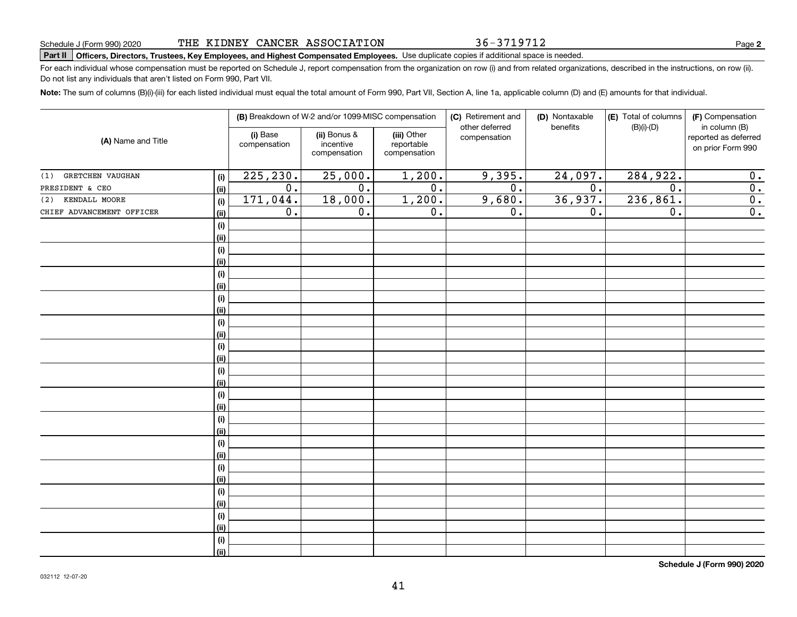THE KIDNEY CANCER ASSOCIATION

# **Part II Officers, Directors, Trustees, Key Employees, and Highest Compensated Employees.**  Schedule J (Form 990) 2020 Page Use duplicate copies if additional space is needed.

For each individual whose compensation must be reported on Schedule J, report compensation from the organization on row (i) and from related organizations, described in the instructions, on row (ii). Do not list any individuals that aren't listed on Form 990, Part VII.

**Note:**  The sum of columns (B)(i)-(iii) for each listed individual must equal the total amount of Form 990, Part VII, Section A, line 1a, applicable column (D) and (E) amounts for that individual.

| (A) Name and Title        |             |                          | (B) Breakdown of W-2 and/or 1099-MISC compensation |                                           | (C) Retirement and             | (D) Nontaxable   | (E) Total of columns | (F) Compensation                                           |
|---------------------------|-------------|--------------------------|----------------------------------------------------|-------------------------------------------|--------------------------------|------------------|----------------------|------------------------------------------------------------|
|                           |             | (i) Base<br>compensation | (ii) Bonus &<br>incentive<br>compensation          | (iii) Other<br>reportable<br>compensation | other deferred<br>compensation | benefits         | $(B)(i)$ - $(D)$     | in column (B)<br>reported as deferred<br>on prior Form 990 |
| GRETCHEN VAUGHAN<br>(1)   | (i)         | 225, 230.                | 25,000.                                            | 1,200.                                    | 9,395.                         | 24,097.          | 284,922.             | 0.                                                         |
| PRESIDENT & CEO           | (ii)        | 0.                       | $\overline{0}$ .                                   | $\overline{0}$ .                          | $\overline{0}$ .               | $\overline{0}$ . | $\overline{0}$ .     | $\overline{0}$ .                                           |
| (2) KENDALL MOORE         | (i)         | 171,044.                 | 18,000.                                            | 1,200.                                    | 9,680.                         | 36,937.          | 236,861.             | $\overline{0}$ .                                           |
| CHIEF ADVANCEMENT OFFICER | (ii)        | $\overline{0}$ .         | $\overline{0}$ .                                   | $\overline{0}$ .                          | 0.                             | $\overline{0}$ . | $\overline{0}$ .     | $\overline{0}$ .                                           |
|                           | $(\sf{i})$  |                          |                                                    |                                           |                                |                  |                      |                                                            |
|                           | (i)         |                          |                                                    |                                           |                                |                  |                      |                                                            |
|                           | $(\sf{i})$  |                          |                                                    |                                           |                                |                  |                      |                                                            |
|                           | (ii)        |                          |                                                    |                                           |                                |                  |                      |                                                            |
|                           | (i)         |                          |                                                    |                                           |                                |                  |                      |                                                            |
|                           | (ii)        |                          |                                                    |                                           |                                |                  |                      |                                                            |
|                           | $(\sf{i})$  |                          |                                                    |                                           |                                |                  |                      |                                                            |
|                           | (ii)        |                          |                                                    |                                           |                                |                  |                      |                                                            |
|                           | (i)         |                          |                                                    |                                           |                                |                  |                      |                                                            |
|                           | (ii)        |                          |                                                    |                                           |                                |                  |                      |                                                            |
|                           | $(\sf{i})$  |                          |                                                    |                                           |                                |                  |                      |                                                            |
|                           | (ii)        |                          |                                                    |                                           |                                |                  |                      |                                                            |
|                           | (i)         |                          |                                                    |                                           |                                |                  |                      |                                                            |
|                           | (ii)        |                          |                                                    |                                           |                                |                  |                      |                                                            |
|                           | $(\sf{i})$  |                          |                                                    |                                           |                                |                  |                      |                                                            |
|                           | (ii)        |                          |                                                    |                                           |                                |                  |                      |                                                            |
|                           | (i)         |                          |                                                    |                                           |                                |                  |                      |                                                            |
|                           | (ii)        |                          |                                                    |                                           |                                |                  |                      |                                                            |
|                           | $(\sf{i})$  |                          |                                                    |                                           |                                |                  |                      |                                                            |
|                           | (i)         |                          |                                                    |                                           |                                |                  |                      |                                                            |
|                           | (i)         |                          |                                                    |                                           |                                |                  |                      |                                                            |
|                           | (ii)        |                          |                                                    |                                           |                                |                  |                      |                                                            |
|                           | (i)<br>(ii) |                          |                                                    |                                           |                                |                  |                      |                                                            |
|                           | $(\sf{i})$  |                          |                                                    |                                           |                                |                  |                      |                                                            |
|                           | (ii)        |                          |                                                    |                                           |                                |                  |                      |                                                            |
|                           | (i)         |                          |                                                    |                                           |                                |                  |                      |                                                            |
|                           | (ii)        |                          |                                                    |                                           |                                |                  |                      |                                                            |
|                           |             |                          |                                                    |                                           |                                |                  |                      |                                                            |

41

**Schedule J (Form 990) 2020**

36-3719712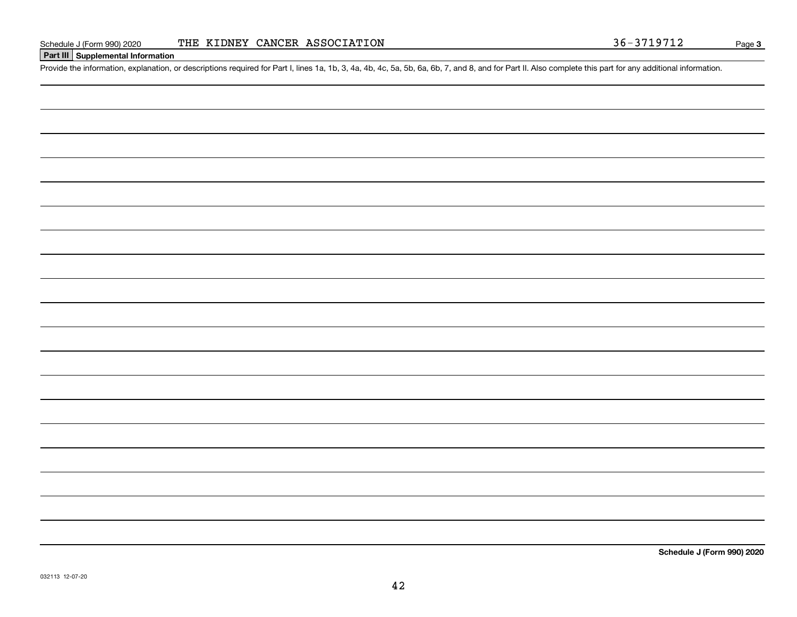## **Part III Supplemental Information**

Schedule J (Form 990) 2020 THE KIDNEY CANCER ASSOCIATION 36-3719712<br>Part III Supplemental Information<br>Provide the information, explanation, or descriptions required for Part I, lines 1a, 1b, 3, 4a, 4b, 4c, 5a, 5b, 6a, 6b,

**Schedule J (Form 990) 2020**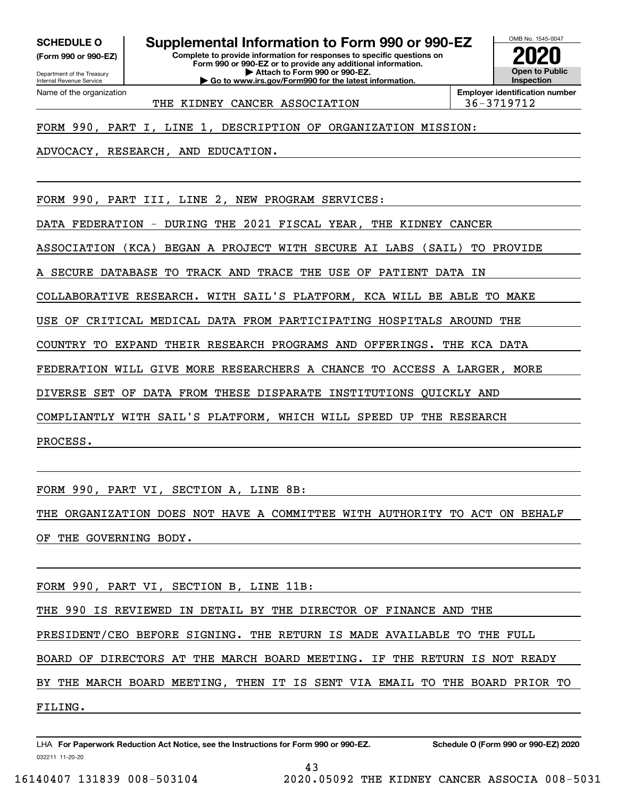**(Form 990 or 990-EZ)**

**Complete to provide information for responses to specific questions on SCHEDULE O Supplemental Information to Form 990 or 990-EZ**

**Form 990 or 990-EZ or to provide any additional information. | Attach to Form 990 or 990-EZ. | Go to www.irs.gov/Form990 for the latest information.**

OMB No. 1545-0047 **Open to Public Inspection2020**

Department of the Treasury Internal Revenue Service Name of the organization

THE KIDNEY CANCER ASSOCIATION 136-3719712

**Employer identification number**

FORM 990, PART I, LINE 1, DESCRIPTION OF ORGANIZATION MISSION:

ADVOCACY, RESEARCH, AND EDUCATION.

FORM 990, PART III, LINE 2, NEW PROGRAM SERVICES:

DATA FEDERATION - DURING THE 2021 FISCAL YEAR, THE KIDNEY CANCER

ASSOCIATION (KCA) BEGAN A PROJECT WITH SECURE AI LABS (SAIL) TO PROVIDE

SECURE DATABASE TO TRACK AND TRACE THE USE OF PATIENT DATA IN

COLLABORATIVE RESEARCH. WITH SAIL'S PLATFORM, KCA WILL BE ABLE TO MAKE

USE OF CRITICAL MEDICAL DATA FROM PARTICIPATING HOSPITALS AROUND THE

COUNTRY TO EXPAND THEIR RESEARCH PROGRAMS AND OFFERINGS. THE KCA DATA

FEDERATION WILL GIVE MORE RESEARCHERS A CHANCE TO ACCESS A LARGER, MORE

DIVERSE SET OF DATA FROM THESE DISPARATE INSTITUTIONS QUICKLY AND

COMPLIANTLY WITH SAIL'S PLATFORM, WHICH WILL SPEED UP THE RESEARCH

PROCESS.

FORM 990, PART VI, SECTION A, LINE 8B:

THE ORGANIZATION DOES NOT HAVE A COMMITTEE WITH AUTHORITY TO ACT ON BEHALF OF THE GOVERNING BODY.

FORM 990, PART VI, SECTION B, LINE 11B:

THE 990 IS REVIEWED IN DETAIL BY THE DIRECTOR OF FINANCE AND THE

PRESIDENT/CEO BEFORE SIGNING. THE RETURN IS MADE AVAILABLE TO THE FULL

BOARD OF DIRECTORS AT THE MARCH BOARD MEETING. IF THE RETURN IS NOT READY

BY THE MARCH BOARD MEETING, THEN IT IS SENT VIA EMAIL TO THE BOARD PRIOR TO FILING.

032211 11-20-20 LHA For Paperwork Reduction Act Notice, see the Instructions for Form 990 or 990-EZ. Schedule O (Form 990 or 990-EZ) 2020 43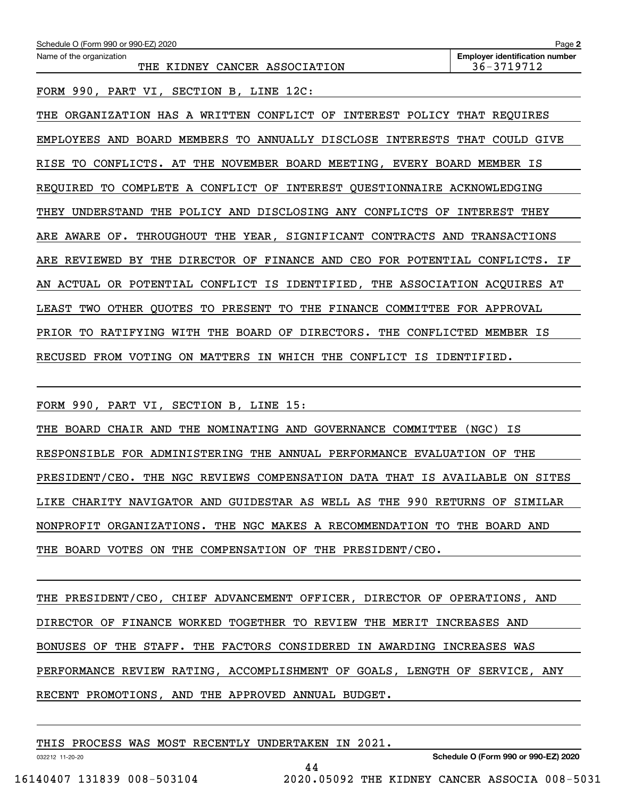| Schedule O (Form 990 or 990-EZ) 2020                                              | Page 2                                              |
|-----------------------------------------------------------------------------------|-----------------------------------------------------|
| Name of the organization<br>THE KIDNEY CANCER ASSOCIATION                         | <b>Employer identification number</b><br>36-3719712 |
| FORM 990, PART VI, SECTION B, LINE 12C:                                           |                                                     |
| ORGANIZATION HAS A WRITTEN CONFLICT OF INTEREST POLICY THAT REQUIRES<br>THE       |                                                     |
| EMPLOYEES AND BOARD MEMBERS TO ANNUALLY DISCLOSE INTERESTS                        | THAT COULD GIVE                                     |
| CONFLICTS. AT THE<br>NOVEMBER BOARD MEETING, EVERY BOARD MEMBER<br>RISE<br>TО     | ΙS                                                  |
| COMPLETE A CONFLICT OF INTEREST QUESTIONNAIRE ACKNOWLEDGING<br>REOUIRED<br>TO     |                                                     |
| THE POLICY AND DISCLOSING ANY CONFLICTS OF<br>UNDERSTAND<br>THEY                  | INTEREST THEY                                       |
| ARE AWARE OF. THROUGHOUT THE YEAR, SIGNIFICANT CONTRACTS                          | AND<br><b>TRANSACTIONS</b>                          |
| BY THE DIRECTOR OF<br>ARE REVIEWED<br>FINANCE AND CEO FOR POTENTIAL CONFLICTS. IF |                                                     |
| ACTUAL OR POTENTIAL CONFLICT IS IDENTIFIED, THE ASSOCIATION ACQUIRES AT<br>AN     |                                                     |
| OTHER QUOTES TO PRESENT TO THE FINANCE COMMITTEE<br>LEAST TWO                     | FOR APPROVAL                                        |
| PRIOR TO<br>WITH THE BOARD OF<br>DIRECTORS. THE CONFLICTED<br>RATIFYING           | MEMBER IS                                           |
|                                                                                   |                                                     |

RECUSED FROM VOTING ON MATTERS IN WHICH THE CONFLICT IS IDENTIFIED.

FORM 990, PART VI, SECTION B, LINE 15:

THE BOARD CHAIR AND THE NOMINATING AND GOVERNANCE COMMITTEE (NGC) IS RESPONSIBLE FOR ADMINISTERING THE ANNUAL PERFORMANCE EVALUATION OF THE PRESIDENT/CEO. THE NGC REVIEWS COMPENSATION DATA THAT IS AVAILABLE ON SITES LIKE CHARITY NAVIGATOR AND GUIDESTAR AS WELL AS THE 990 RETURNS OF SIMILAR NONPROFIT ORGANIZATIONS. THE NGC MAKES A RECOMMENDATION TO THE BOARD AND THE BOARD VOTES ON THE COMPENSATION OF THE PRESIDENT/CEO.

THE PRESIDENT/CEO, CHIEF ADVANCEMENT OFFICER, DIRECTOR OF OPERATIONS, AND DIRECTOR OF FINANCE WORKED TOGETHER TO REVIEW THE MERIT INCREASES AND BONUSES OF THE STAFF. THE FACTORS CONSIDERED IN AWARDING INCREASES WAS PERFORMANCE REVIEW RATING, ACCOMPLISHMENT OF GOALS, LENGTH OF SERVICE, ANY RECENT PROMOTIONS, AND THE APPROVED ANNUAL BUDGET.

44

THIS PROCESS WAS MOST RECENTLY UNDERTAKEN IN 2021.

**Schedule O (Form 990 or 990-EZ) 2020**

032212 11-20-20